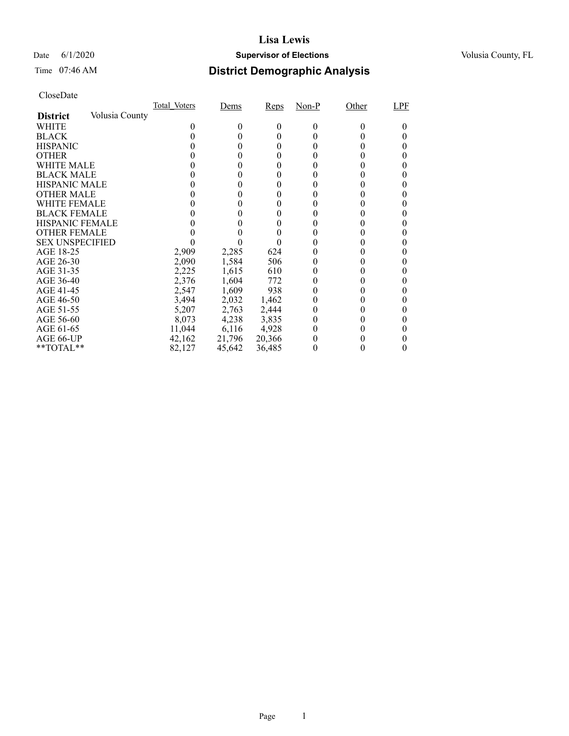#### Date 6/1/2020 **Supervisor of Elections Supervisor of Elections** Volusia County, FL

### Time 07:46 AM **District Demographic Analysis**

|                                   | Total Voters | Dems   | Reps   | Non-P | Other | LPF |
|-----------------------------------|--------------|--------|--------|-------|-------|-----|
| Volusia County<br><b>District</b> |              |        |        |       |       |     |
| WHITE                             |              | 0      | 0      | 0     |       |     |
| <b>BLACK</b>                      |              |        | 0      |       |       |     |
| <b>HISPANIC</b>                   |              |        | 0      |       |       |     |
| <b>OTHER</b>                      |              |        |        |       |       |     |
| WHITE MALE                        |              |        |        |       |       |     |
| <b>BLACK MALE</b>                 |              |        | 0      |       |       |     |
| <b>HISPANIC MALE</b>              |              |        |        |       |       |     |
| <b>OTHER MALE</b>                 |              |        | 0      |       |       |     |
| WHITE FEMALE                      |              |        |        |       |       |     |
| <b>BLACK FEMALE</b>               |              |        |        |       |       |     |
| <b>HISPANIC FEMALE</b>            |              |        |        |       |       |     |
| <b>OTHER FEMALE</b>               |              |        |        |       |       |     |
| <b>SEX UNSPECIFIED</b>            |              |        |        |       |       |     |
| AGE 18-25                         | 2,909        | 2,285  | 624    |       |       |     |
| AGE 26-30                         | 2,090        | 1,584  | 506    | 0     |       |     |
| AGE 31-35                         | 2,225        | 1,615  | 610    |       |       |     |
| AGE 36-40                         | 2,376        | 1,604  | 772    |       |       |     |
| AGE 41-45                         | 2,547        | 1,609  | 938    |       |       |     |
| AGE 46-50                         | 3,494        | 2,032  | 1,462  |       |       |     |
| AGE 51-55                         | 5,207        | 2,763  | 2,444  | 0     |       |     |
| AGE 56-60                         | 8,073        | 4,238  | 3,835  |       |       |     |
| AGE 61-65                         | 11,044       | 6,116  | 4,928  | 0     |       |     |
| AGE 66-UP                         | 42,162       | 21,796 | 20,366 |       |       |     |
| **TOTAL**                         | 82,127       | 45,642 | 36,485 |       |       |     |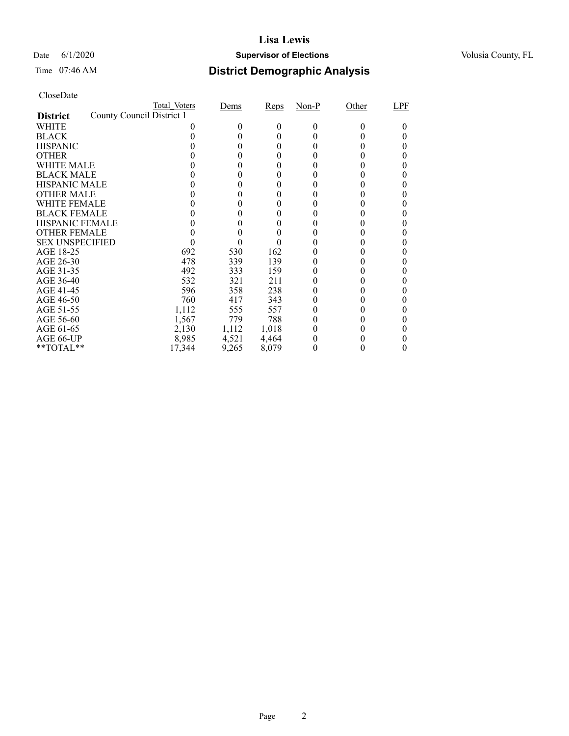#### Date 6/1/2020 **Supervisor of Elections Supervisor of Elections** Volusia County, FL

| CloseDate |
|-----------|
|-----------|

|                        |                           | Total Voters | Dems   | Reps  | Non-P | Other | LPF |
|------------------------|---------------------------|--------------|--------|-------|-------|-------|-----|
| <b>District</b>        | County Council District 1 |              |        |       |       |       |     |
| WHITE                  |                           |              | $_{0}$ | 0     | 0     | 0     |     |
| <b>BLACK</b>           |                           |              |        | 0     |       |       |     |
| <b>HISPANIC</b>        |                           |              | 0      | 0     |       |       |     |
| <b>OTHER</b>           |                           |              |        |       |       |       |     |
| WHITE MALE             |                           |              |        |       |       |       |     |
| <b>BLACK MALE</b>      |                           |              |        |       |       |       |     |
| <b>HISPANIC MALE</b>   |                           |              |        |       |       |       |     |
| <b>OTHER MALE</b>      |                           |              | $_{0}$ | 0     |       |       |     |
| WHITE FEMALE           |                           |              |        |       |       |       |     |
| <b>BLACK FEMALE</b>    |                           |              |        |       |       |       |     |
| <b>HISPANIC FEMALE</b> |                           |              |        |       |       |       |     |
| <b>OTHER FEMALE</b>    |                           |              |        |       |       |       |     |
| <b>SEX UNSPECIFIED</b> |                           |              |        |       |       |       |     |
| AGE 18-25              |                           | 692          | 530    | 162   |       |       |     |
| AGE 26-30              |                           | 478          | 339    | 139   |       |       | 0   |
| AGE 31-35              |                           | 492          | 333    | 159   |       |       |     |
| AGE 36-40              |                           | 532          | 321    | 211   |       |       |     |
| AGE 41-45              |                           | 596          | 358    | 238   |       |       |     |
| AGE 46-50              |                           | 760          | 417    | 343   |       |       |     |
| AGE 51-55              |                           | 1,112        | 555    | 557   |       |       |     |
| AGE 56-60              |                           | 1,567        | 779    | 788   |       |       |     |
| AGE 61-65              |                           | 2,130        | 1,112  | 1,018 |       |       |     |
| AGE 66-UP              |                           | 8,985        | 4,521  | 4,464 |       |       |     |
| $*$ TOTAL $*$          |                           | 17,344       | 9,265  | 8,079 |       |       |     |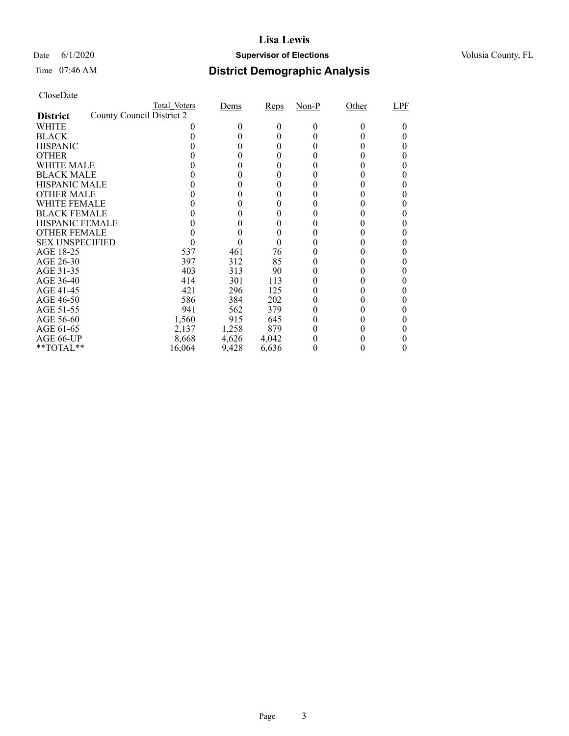#### Date 6/1/2020 **Supervisor of Elections Supervisor of Elections** Volusia County, FL

| CloseDate |
|-----------|
|-----------|

|                        |                           | Total Voters | Dems   | Reps  | Non-P | Other | LPF |
|------------------------|---------------------------|--------------|--------|-------|-------|-------|-----|
| <b>District</b>        | County Council District 2 |              |        |       |       |       |     |
| WHITE                  |                           |              | $_{0}$ | 0     | 0     |       |     |
| <b>BLACK</b>           |                           |              |        | 0     |       |       |     |
| <b>HISPANIC</b>        |                           |              | 0      | 0     |       |       |     |
| <b>OTHER</b>           |                           |              |        |       |       |       |     |
| WHITE MALE             |                           |              |        |       |       |       |     |
| <b>BLACK MALE</b>      |                           |              |        |       |       |       |     |
| <b>HISPANIC MALE</b>   |                           |              |        |       |       |       |     |
| <b>OTHER MALE</b>      |                           |              |        | 0     |       |       |     |
| WHITE FEMALE           |                           |              |        |       |       |       |     |
| <b>BLACK FEMALE</b>    |                           |              |        |       |       |       |     |
| <b>HISPANIC FEMALE</b> |                           |              |        |       |       |       |     |
| <b>OTHER FEMALE</b>    |                           |              |        |       |       |       |     |
| <b>SEX UNSPECIFIED</b> |                           |              |        | 0     |       |       |     |
| AGE 18-25              |                           | 537          | 461    | 76    |       |       |     |
| AGE 26-30              |                           | 397          | 312    | 85    |       |       | 0   |
| AGE 31-35              |                           | 403          | 313    | 90    |       |       |     |
| AGE 36-40              |                           | 414          | 301    | 113   |       |       |     |
| AGE 41-45              |                           | 421          | 296    | 125   |       |       |     |
| AGE 46-50              |                           | 586          | 384    | 202   |       |       |     |
| AGE 51-55              |                           | 941          | 562    | 379   |       |       |     |
| AGE 56-60              |                           | 1,560        | 915    | 645   |       |       |     |
| AGE 61-65              |                           | 2,137        | 1,258  | 879   |       |       |     |
| AGE 66-UP              |                           | 8,668        | 4,626  | 4,042 |       |       |     |
| $*$ TOTAL $*$          |                           | 16,064       | 9,428  | 6,636 |       |       |     |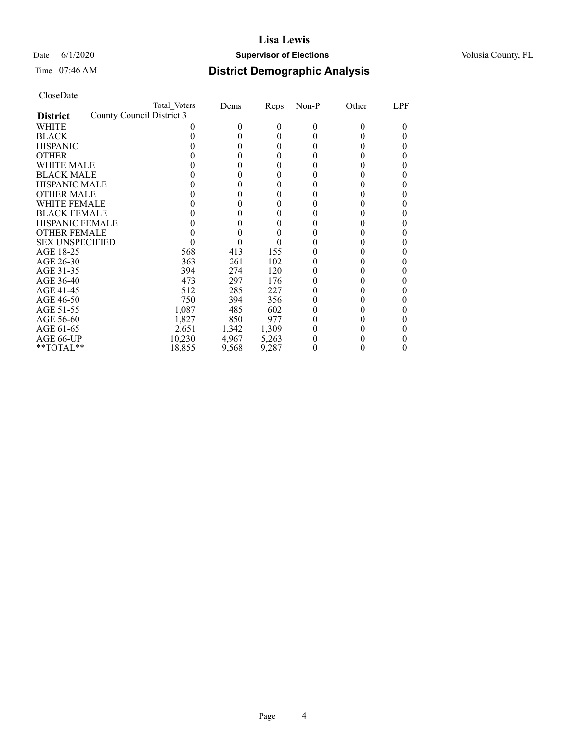#### Date 6/1/2020 **Supervisor of Elections Supervisor of Elections** Volusia County, FL

| CloseDate |
|-----------|
|-----------|

|                        |                           | Total Voters | Dems         | Reps  | $Non-P$  | Other        | LPF |
|------------------------|---------------------------|--------------|--------------|-------|----------|--------------|-----|
| <b>District</b>        | County Council District 3 |              |              |       |          |              |     |
| WHITE                  |                           |              | 0            | 0     | $\Omega$ | $\mathbf{0}$ |     |
| <b>BLACK</b>           |                           |              |              | 0     |          |              |     |
| <b>HISPANIC</b>        |                           |              | $\mathbf{0}$ | 0     |          |              |     |
| <b>OTHER</b>           |                           |              |              |       |          |              |     |
| WHITE MALE             |                           |              |              |       |          |              |     |
| <b>BLACK MALE</b>      |                           |              |              | 0     |          |              |     |
| <b>HISPANIC MALE</b>   |                           |              |              | 0     |          |              |     |
| <b>OTHER MALE</b>      |                           |              |              | 0     |          |              | 0   |
| <b>WHITE FEMALE</b>    |                           |              |              |       |          |              |     |
| <b>BLACK FEMALE</b>    |                           |              |              |       |          |              |     |
| <b>HISPANIC FEMALE</b> |                           |              |              |       |          |              |     |
| <b>OTHER FEMALE</b>    |                           |              |              |       |          |              |     |
| <b>SEX UNSPECIFIED</b> |                           |              |              |       |          |              | 0   |
| AGE 18-25              |                           | 568          | 413          | 155   |          |              |     |
| AGE 26-30              |                           | 363          | 261          | 102   |          |              |     |
| AGE 31-35              |                           | 394          | 274          | 120   |          |              |     |
| AGE 36-40              |                           | 473          | 297          | 176   |          |              |     |
| AGE 41-45              |                           | 512          | 285          | 227   |          |              |     |
| AGE 46-50              |                           | 750          | 394          | 356   |          |              |     |
| AGE 51-55              |                           | 1,087        | 485          | 602   |          |              |     |
| AGE 56-60              |                           | 1,827        | 850          | 977   |          |              |     |
| AGE 61-65              |                           | 2,651        | 1,342        | 1,309 |          |              |     |
| AGE 66-UP              |                           | 10,230       | 4,967        | 5,263 |          |              |     |
| $*$ $TOTAL**$          |                           | 18,855       | 9,568        | 9,287 |          |              |     |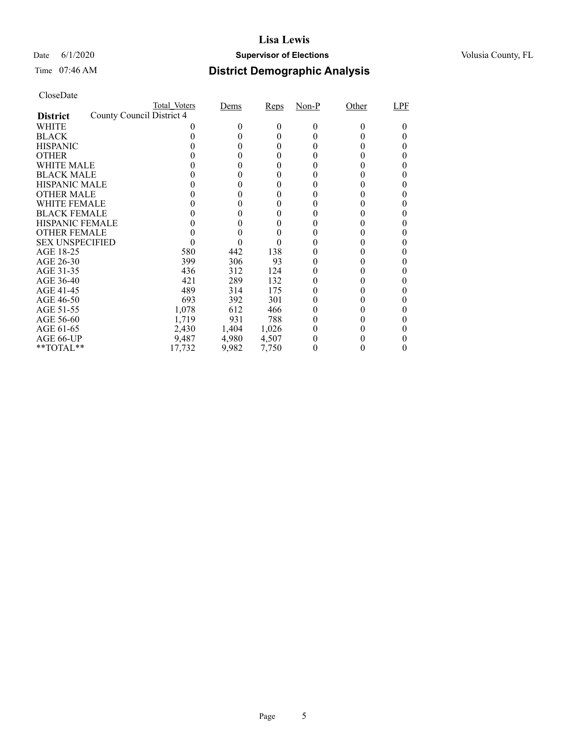#### Date 6/1/2020 **Supervisor of Elections Supervisor of Elections** Volusia County, FL

| CloseDate |
|-----------|
|-----------|

|                        |                           | Total Voters | Dems   | Reps  | Non-P | Other | LPF |
|------------------------|---------------------------|--------------|--------|-------|-------|-------|-----|
| <b>District</b>        | County Council District 4 |              |        |       |       |       |     |
| WHITE                  |                           |              | $_{0}$ | 0     | 0     |       |     |
| <b>BLACK</b>           |                           |              |        | 0     |       |       |     |
| <b>HISPANIC</b>        |                           |              |        | 0     |       |       |     |
| <b>OTHER</b>           |                           |              |        |       |       |       |     |
| WHITE MALE             |                           |              |        |       |       |       |     |
| <b>BLACK MALE</b>      |                           |              |        |       |       |       |     |
| <b>HISPANIC MALE</b>   |                           |              |        |       |       |       |     |
| <b>OTHER MALE</b>      |                           |              |        | 0     |       |       |     |
| WHITE FEMALE           |                           |              |        |       |       |       |     |
| <b>BLACK FEMALE</b>    |                           |              |        |       |       |       |     |
| <b>HISPANIC FEMALE</b> |                           |              |        |       |       |       |     |
| <b>OTHER FEMALE</b>    |                           |              |        |       |       |       |     |
| <b>SEX UNSPECIFIED</b> |                           |              |        |       |       |       |     |
| AGE 18-25              |                           | 580          | 442    | 138   |       |       |     |
| AGE 26-30              |                           | 399          | 306    | 93    |       |       |     |
| AGE 31-35              |                           | 436          | 312    | 124   |       |       |     |
| AGE 36-40              |                           | 421          | 289    | 132   |       |       |     |
| AGE 41-45              |                           | 489          | 314    | 175   |       |       |     |
| AGE 46-50              |                           | 693          | 392    | 301   |       |       |     |
| AGE 51-55              |                           | 1,078        | 612    | 466   |       |       |     |
| AGE 56-60              |                           | 1,719        | 931    | 788   |       |       |     |
| AGE 61-65              |                           | 2,430        | 1,404  | 1,026 |       |       |     |
| AGE 66-UP              |                           | 9,487        | 4,980  | 4,507 |       |       |     |
| $*$ TOTAL $*$          |                           | 17,732       | 9,982  | 7,750 |       |       |     |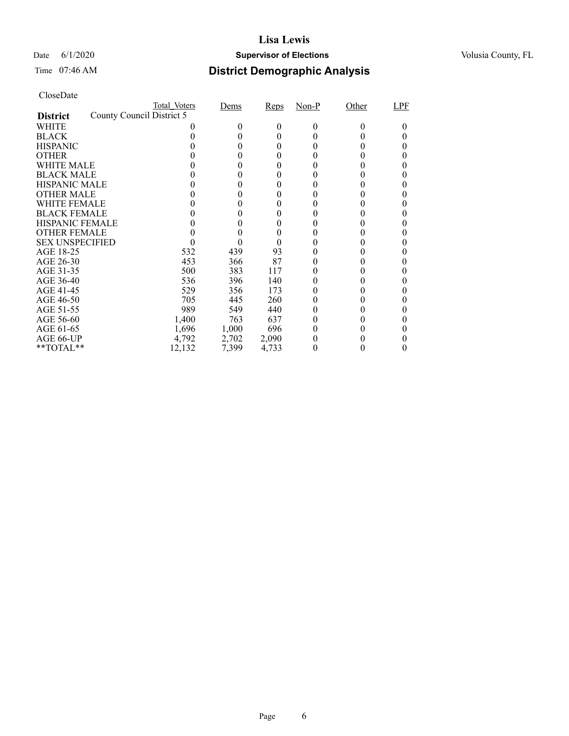#### Date 6/1/2020 **Supervisor of Elections Supervisor of Elections** Volusia County, FL

| CloseDate |
|-----------|
|-----------|

|                        |                           | Total Voters | Dems   | Reps     | Non-P | Other | LPF |
|------------------------|---------------------------|--------------|--------|----------|-------|-------|-----|
| <b>District</b>        | County Council District 5 |              |        |          |       |       |     |
| WHITE                  |                           |              | $_{0}$ | $^{(1)}$ | 0     |       |     |
| <b>BLACK</b>           |                           |              |        | 0        |       |       |     |
| <b>HISPANIC</b>        |                           |              |        |          |       |       |     |
| <b>OTHER</b>           |                           |              |        |          |       |       |     |
| WHITE MALE             |                           |              |        |          |       |       |     |
| <b>BLACK MALE</b>      |                           |              |        |          |       |       |     |
| <b>HISPANIC MALE</b>   |                           |              |        |          |       |       |     |
| <b>OTHER MALE</b>      |                           |              |        | 0        |       |       | 0   |
| <b>WHITE FEMALE</b>    |                           |              |        |          |       |       |     |
| <b>BLACK FEMALE</b>    |                           |              |        |          |       |       |     |
| <b>HISPANIC FEMALE</b> |                           |              |        |          |       |       |     |
| <b>OTHER FEMALE</b>    |                           |              |        |          |       |       |     |
| <b>SEX UNSPECIFIED</b> |                           |              |        |          |       |       |     |
| AGE 18-25              |                           | 532          | 439    | 93       |       |       |     |
| AGE 26-30              |                           | 453          | 366    | 87       |       |       |     |
| AGE 31-35              |                           | 500          | 383    | 117      |       |       |     |
| AGE 36-40              |                           | 536          | 396    | 140      |       |       |     |
| AGE 41-45              |                           | 529          | 356    | 173      |       |       |     |
| AGE 46-50              |                           | 705          | 445    | 260      |       |       |     |
| AGE 51-55              |                           | 989          | 549    | 440      |       |       |     |
| AGE 56-60              |                           | 1,400        | 763    | 637      |       |       |     |
| AGE 61-65              |                           | 1,696        | 1,000  | 696      |       |       |     |
| AGE 66-UP              |                           | 4,792        | 2,702  | 2,090    |       |       |     |
| $*$ TOTAL $*$          |                           | 12,132       | 7,399  | 4,733    |       |       |     |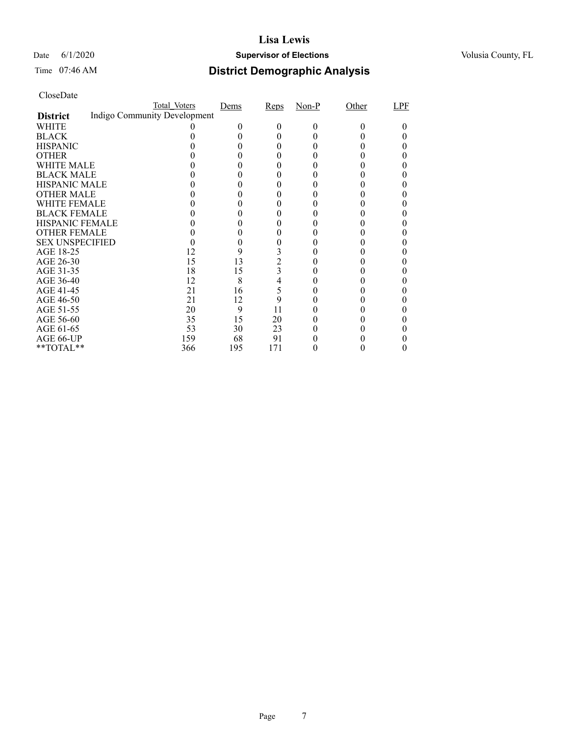#### Date 6/1/2020 **Supervisor of Elections Supervisor of Elections** Volusia County, FL

### Time 07:46 AM **District Demographic Analysis**

|                        | Total Voters                 | Dems | Reps           | $Non-P$ | Other | LPF |
|------------------------|------------------------------|------|----------------|---------|-------|-----|
| <b>District</b>        | Indigo Community Development |      |                |         |       |     |
| WHITE                  |                              |      |                |         |       |     |
| <b>BLACK</b>           |                              |      |                |         |       |     |
| <b>HISPANIC</b>        |                              |      |                |         |       |     |
| <b>OTHER</b>           |                              |      |                |         |       |     |
| WHITE MALE             |                              |      |                |         |       |     |
| <b>BLACK MALE</b>      |                              |      |                |         |       |     |
| <b>HISPANIC MALE</b>   |                              |      |                |         |       |     |
| <b>OTHER MALE</b>      |                              |      |                |         |       |     |
| <b>WHITE FEMALE</b>    |                              |      |                |         |       |     |
| <b>BLACK FEMALE</b>    |                              |      |                |         |       |     |
| <b>HISPANIC FEMALE</b> |                              |      |                |         |       |     |
| <b>OTHER FEMALE</b>    |                              |      |                |         |       |     |
| <b>SEX UNSPECIFIED</b> |                              |      |                |         |       |     |
| AGE 18-25              | 12                           | 9    |                |         |       |     |
| AGE 26-30              | 15                           | 13   | $\overline{c}$ |         |       |     |
| AGE 31-35              | 18                           | 15   | 3              |         |       |     |
| AGE 36-40              | 12                           | 8    | 4              |         |       |     |
| AGE 41-45              | 21                           | 16   | 5              |         |       |     |
| AGE 46-50              | 21                           | 12   | 9              |         |       |     |
| AGE 51-55              | 20                           | 9    | 11             |         |       |     |
| AGE 56-60              | 35                           | 15   | 20             |         |       |     |
| AGE 61-65              | 53                           | 30   | 23             |         |       |     |
| AGE 66-UP              | 159                          | 68   | 91             |         |       |     |
| **TOTAL**              | 366                          | 195  | 171            |         |       |     |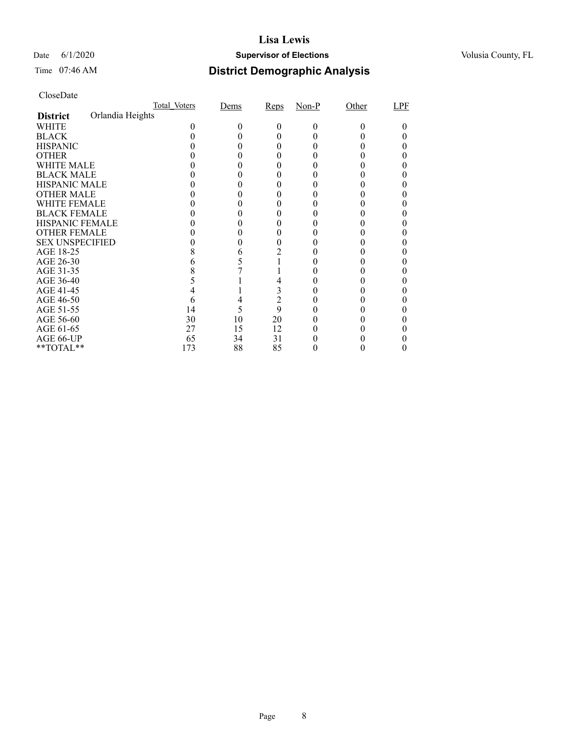#### Date 6/1/2020 **Supervisor of Elections Supervisor of Elections** Volusia County, FL

### Time 07:46 AM **District Demographic Analysis**

|                        |                  | Total Voters | Dems | Reps           | $Non-P$ | Other  | LPF |
|------------------------|------------------|--------------|------|----------------|---------|--------|-----|
| <b>District</b>        | Orlandia Heights |              |      |                |         |        |     |
| WHITE                  |                  |              |      | 0              | 0       | $_{0}$ |     |
| <b>BLACK</b>           |                  |              |      |                |         |        |     |
| <b>HISPANIC</b>        |                  |              |      |                |         |        |     |
| <b>OTHER</b>           |                  |              |      |                |         |        |     |
| WHITE MALE             |                  |              |      |                |         |        |     |
| <b>BLACK MALE</b>      |                  |              |      |                |         |        |     |
| <b>HISPANIC MALE</b>   |                  |              |      |                |         |        |     |
| <b>OTHER MALE</b>      |                  |              |      |                |         |        |     |
| WHITE FEMALE           |                  |              |      |                |         |        |     |
| <b>BLACK FEMALE</b>    |                  |              |      |                |         |        |     |
| HISPANIC FEMALE        |                  |              |      |                |         |        |     |
| <b>OTHER FEMALE</b>    |                  |              |      |                |         |        |     |
| <b>SEX UNSPECIFIED</b> |                  |              |      |                |         |        |     |
| AGE 18-25              |                  |              | 6    |                |         |        |     |
| AGE 26-30              |                  |              |      |                |         |        |     |
| AGE 31-35              |                  |              |      |                |         |        |     |
| AGE 36-40              |                  |              |      |                |         |        |     |
| AGE 41-45              |                  |              |      | 3              |         |        |     |
| AGE 46-50              |                  | h            | 4    | $\overline{2}$ |         |        |     |
| AGE 51-55              |                  | 14           |      | 9              |         |        |     |
| AGE 56-60              |                  | 30           | 10   | 20             |         |        |     |
| AGE 61-65              |                  | 27           | 15   | 12             |         |        |     |
| AGE 66-UP              |                  | 65           | 34   | 31             |         |        |     |
| $*$ $TOTAL**$          |                  | 173          | 88   | 85             |         |        |     |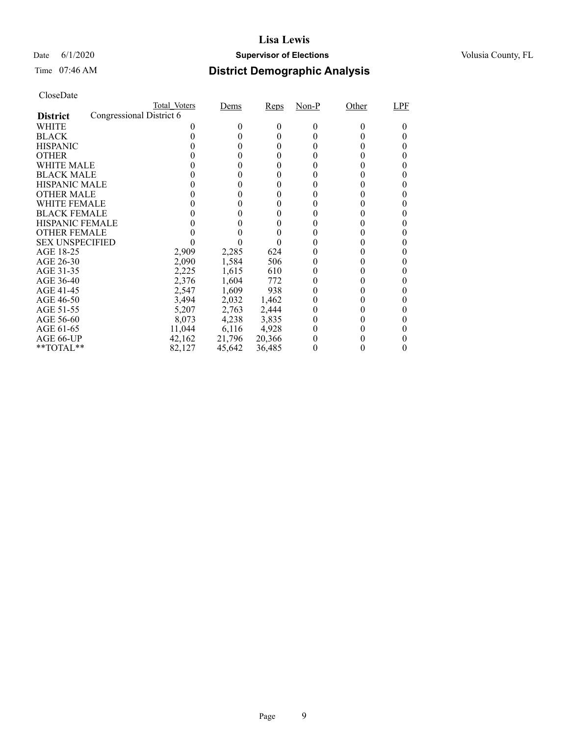#### Date 6/1/2020 **Supervisor of Elections Supervisor of Elections** Volusia County, FL

| CloseDate |
|-----------|
|-----------|

|                                             | Total Voters | Dems   | Reps   | Non-P        | Other        | LPF |
|---------------------------------------------|--------------|--------|--------|--------------|--------------|-----|
| Congressional District 6<br><b>District</b> |              |        |        |              |              |     |
| WHITE                                       |              |        | 0      | $\Omega$     | $\mathbf{0}$ |     |
| <b>BLACK</b>                                |              |        | 0      |              |              |     |
| <b>HISPANIC</b>                             |              |        | 0      |              |              |     |
| <b>OTHER</b>                                |              |        |        |              |              |     |
| WHITE MALE                                  |              |        |        |              |              |     |
| <b>BLACK MALE</b>                           |              |        |        |              |              |     |
| <b>HISPANIC MALE</b>                        |              |        |        |              |              |     |
| <b>OTHER MALE</b>                           |              |        | 0      |              |              |     |
| WHITE FEMALE                                |              |        |        |              |              |     |
| <b>BLACK FEMALE</b>                         |              |        |        |              |              |     |
| <b>HISPANIC FEMALE</b>                      |              |        |        |              |              |     |
| <b>OTHER FEMALE</b>                         |              |        |        |              |              |     |
| <b>SEX UNSPECIFIED</b>                      |              |        |        |              |              |     |
| AGE 18-25                                   | 2,909        | 2,285  | 624    |              |              |     |
| AGE 26-30                                   | 2,090        | 1,584  | 506    | $\mathbf{0}$ |              |     |
| AGE 31-35                                   | 2,225        | 1,615  | 610    |              |              |     |
| AGE 36-40                                   | 2,376        | 1,604  | 772    |              |              |     |
| AGE 41-45                                   | 2,547        | 1,609  | 938    |              |              |     |
| AGE 46-50                                   | 3,494        | 2,032  | 1,462  |              |              |     |
| AGE 51-55                                   | 5,207        | 2,763  | 2,444  | $_{0}$       |              |     |
| AGE 56-60                                   | 8,073        | 4,238  | 3,835  |              |              |     |
| AGE 61-65                                   | 11,044       | 6,116  | 4,928  |              |              |     |
| AGE 66-UP                                   | 42,162       | 21,796 | 20,366 |              |              |     |
| $*$ $TOTAL**$                               | 82,127       | 45,642 | 36,485 |              |              |     |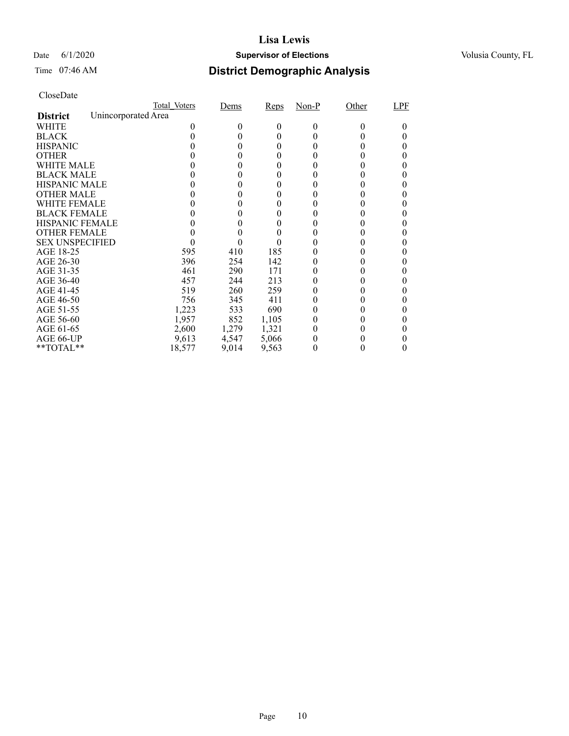#### Date 6/1/2020 **Supervisor of Elections Supervisor of Elections** Volusia County, FL

# Time 07:46 AM **District Demographic Analysis**

|                        |                     | Total Voters | Dems  | Reps     | $Non-P$ | Other    | LPF |
|------------------------|---------------------|--------------|-------|----------|---------|----------|-----|
| <b>District</b>        | Unincorporated Area |              |       |          |         |          |     |
| WHITE                  |                     |              | 0     | $^{(1)}$ | 0       | $^{(1)}$ |     |
| <b>BLACK</b>           |                     |              |       | 0        |         |          |     |
| <b>HISPANIC</b>        |                     |              | 0     | $_{0}$   |         |          |     |
| <b>OTHER</b>           |                     |              |       | 0        |         |          |     |
| WHITE MALE             |                     |              | 0     | $_{0}$   |         |          |     |
| <b>BLACK MALE</b>      |                     |              |       |          |         |          |     |
| <b>HISPANIC MALE</b>   |                     |              |       |          |         |          |     |
| <b>OTHER MALE</b>      |                     |              |       | 0        |         |          |     |
| WHITE FEMALE           |                     |              |       | 0        |         |          |     |
| <b>BLACK FEMALE</b>    |                     |              |       | 0        |         |          |     |
| <b>HISPANIC FEMALE</b> |                     |              |       |          |         |          |     |
| <b>OTHER FEMALE</b>    |                     |              |       | 0        |         |          |     |
| <b>SEX UNSPECIFIED</b> |                     |              |       |          |         |          |     |
| AGE 18-25              |                     | 595          | 410   | 185      |         |          |     |
| AGE 26-30              |                     | 396          | 254   | 142      |         |          |     |
| AGE 31-35              |                     | 461          | 290   | 171      |         |          |     |
| AGE 36-40              |                     | 457          | 244   | 213      |         |          |     |
| AGE 41-45              |                     | 519          | 260   | 259      |         |          |     |
| AGE 46-50              |                     | 756          | 345   | 411      | 0       |          |     |
| AGE 51-55              |                     | 1,223        | 533   | 690      |         |          |     |
| AGE 56-60              |                     | 1,957        | 852   | 1,105    |         |          |     |
| AGE 61-65              |                     | 2,600        | 1,279 | 1,321    |         |          |     |
| AGE 66-UP              |                     | 9,613        | 4,547 | 5,066    |         |          |     |
| **TOTAL**              |                     | 18,577       | 9,014 | 9,563    | 0       |          | 0   |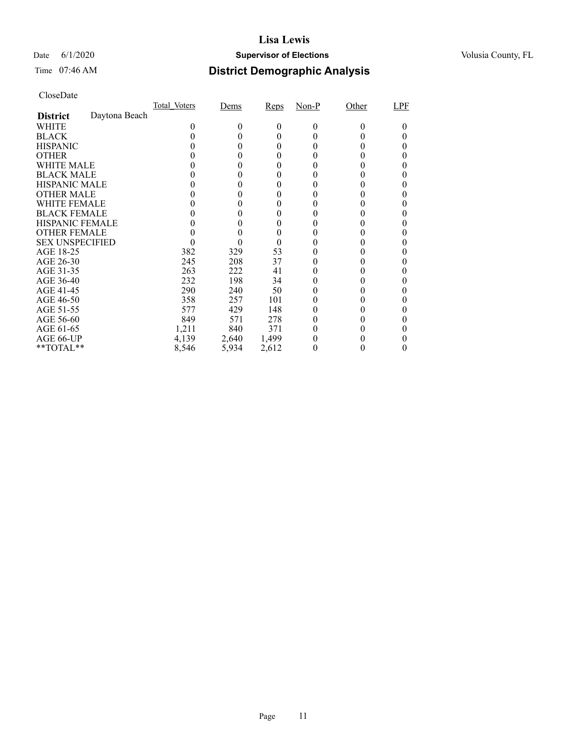#### Date 6/1/2020 **Supervisor of Elections Supervisor of Elections** Volusia County, FL

### Time 07:46 AM **District Demographic Analysis**

|                        |               | Total Voters | Dems  | Reps  | $Non-P$      | Other | LPF |
|------------------------|---------------|--------------|-------|-------|--------------|-------|-----|
| <b>District</b>        | Daytona Beach |              |       |       |              |       |     |
| WHITE                  |               | 0            | 0     | 0     | $\Omega$     | 0     | 0   |
| <b>BLACK</b>           |               |              | 0     | 0     | $_{0}$       |       |     |
| <b>HISPANIC</b>        |               |              | 0     | 0     |              | 0     | 0   |
| <b>OTHER</b>           |               |              | 0     | 0     |              |       | 0   |
| WHITE MALE             |               |              |       | 0     |              |       |     |
| <b>BLACK MALE</b>      |               |              |       | 0     |              |       | 0   |
| <b>HISPANIC MALE</b>   |               |              |       | 0     |              |       |     |
| <b>OTHER MALE</b>      |               |              | 0     | 0     | $\mathbf{0}$ | 0     | 0   |
| <b>WHITE FEMALE</b>    |               |              |       | 0     |              |       | 0   |
| <b>BLACK FEMALE</b>    |               |              |       | 0     |              |       |     |
| <b>HISPANIC FEMALE</b> |               |              |       | 0     |              |       | 0   |
| <b>OTHER FEMALE</b>    |               |              |       | 0     |              |       |     |
| <b>SEX UNSPECIFIED</b> |               |              |       | 0     |              |       | 0   |
| AGE 18-25              |               | 382          | 329   | 53    |              |       |     |
| AGE 26-30              |               | 245          | 208   | 37    | $_{0}$       |       | 0   |
| AGE 31-35              |               | 263          | 222   | 41    |              |       |     |
| AGE 36-40              |               | 232          | 198   | 34    |              |       | 0   |
| AGE 41-45              |               | 290          | 240   | 50    |              |       | 0   |
| AGE 46-50              |               | 358          | 257   | 101   |              |       |     |
| AGE 51-55              |               | 577          | 429   | 148   |              | 0     | 0   |
| AGE 56-60              |               | 849          | 571   | 278   |              |       |     |
| AGE 61-65              |               | 1,211        | 840   | 371   |              |       | 0   |
| AGE 66-UP              |               | 4,139        | 2,640 | 1,499 |              |       |     |
| $*$ $TOTAL**$          |               | 8,546        | 5,934 | 2,612 | 0            |       | I)  |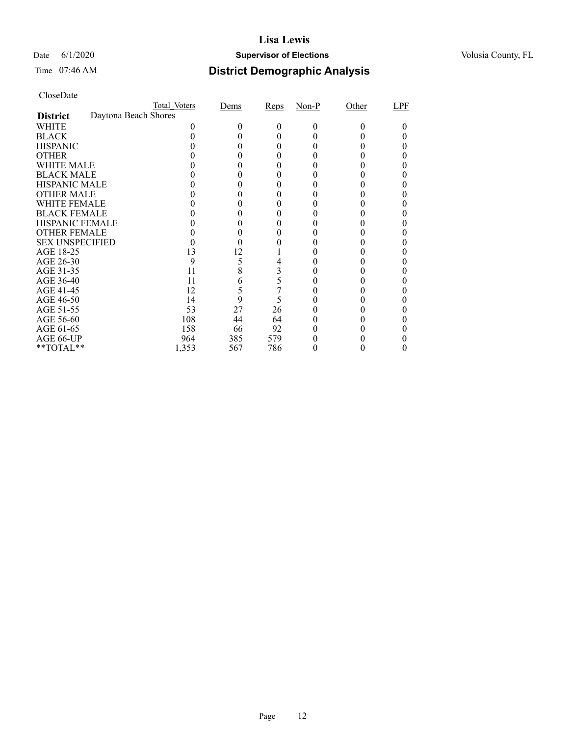#### Date 6/1/2020 **Supervisor of Elections Supervisor of Elections** Volusia County, FL

# Time 07:46 AM **District Demographic Analysis**

|                        |                      | Total Voters | Dems | Reps | $Non-P$ | Other  | LPF |
|------------------------|----------------------|--------------|------|------|---------|--------|-----|
| <b>District</b>        | Daytona Beach Shores |              |      |      |         |        |     |
| WHITE                  |                      |              |      | 0    | 0       | $_{0}$ |     |
| <b>BLACK</b>           |                      |              |      |      |         |        |     |
| <b>HISPANIC</b>        |                      |              |      | 0    |         |        |     |
| <b>OTHER</b>           |                      |              |      |      |         |        |     |
| WHITE MALE             |                      |              |      |      |         |        |     |
| <b>BLACK MALE</b>      |                      |              |      |      |         |        |     |
| <b>HISPANIC MALE</b>   |                      |              |      |      |         |        |     |
| <b>OTHER MALE</b>      |                      |              |      |      |         |        |     |
| WHITE FEMALE           |                      |              |      |      |         |        |     |
| <b>BLACK FEMALE</b>    |                      |              |      |      |         |        |     |
| <b>HISPANIC FEMALE</b> |                      |              |      |      |         |        |     |
| <b>OTHER FEMALE</b>    |                      |              |      |      |         |        |     |
| <b>SEX UNSPECIFIED</b> |                      |              |      |      |         |        |     |
| AGE 18-25              |                      | 13           | 12   |      |         |        |     |
| AGE 26-30              |                      | 9            | 5    |      |         |        |     |
| AGE 31-35              |                      | 11           | 8    | 3    |         |        |     |
| AGE 36-40              |                      | 11           | 6    | 5    |         |        |     |
| AGE 41-45              |                      | 12           | 5    |      |         |        |     |
| AGE 46-50              |                      | 14           | 9    | 5    |         |        |     |
| AGE 51-55              |                      | 53           | 27   | 26   |         |        |     |
| AGE 56-60              |                      | 108          | 44   | 64   |         |        |     |
| AGE 61-65              |                      | 158          | 66   | 92   |         |        |     |
| AGE 66-UP              |                      | 964          | 385  | 579  |         |        |     |
| **TOTAL**              |                      | 1,353        | 567  | 786  |         |        |     |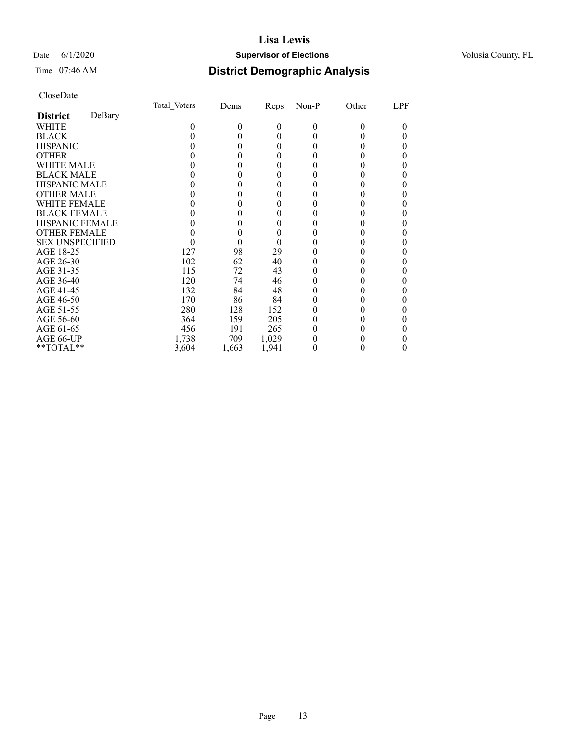#### Date 6/1/2020 **Supervisor of Elections Supervisor of Elections** Volusia County, FL

### Time 07:46 AM **District Demographic Analysis**

|                        |        | Total Voters | Dems  | Reps     | Non-P | Other | LPF |
|------------------------|--------|--------------|-------|----------|-------|-------|-----|
| <b>District</b>        | DeBary |              |       |          |       |       |     |
| WHITE                  |        | 0            | 0     | $\theta$ | 0     | 0     |     |
| <b>BLACK</b>           |        |              |       | 0        |       |       |     |
| <b>HISPANIC</b>        |        |              |       | $_{0}$   |       |       |     |
| <b>OTHER</b>           |        |              |       |          |       |       |     |
| WHITE MALE             |        |              |       |          |       |       |     |
| <b>BLACK MALE</b>      |        |              |       | 0        |       |       |     |
| <b>HISPANIC MALE</b>   |        |              |       |          |       |       |     |
| <b>OTHER MALE</b>      |        |              |       | 0        |       |       |     |
| WHITE FEMALE           |        |              |       |          |       |       |     |
| <b>BLACK FEMALE</b>    |        |              |       |          |       |       |     |
| <b>HISPANIC FEMALE</b> |        |              |       |          |       |       |     |
| <b>OTHER FEMALE</b>    |        |              |       | 0        |       |       |     |
| <b>SEX UNSPECIFIED</b> |        |              |       | $\theta$ |       |       |     |
| AGE 18-25              |        | 127          | 98    | 29       |       |       |     |
| AGE 26-30              |        | 102          | 62    | 40       | 0     |       |     |
| AGE 31-35              |        | 115          | 72    | 43       |       |       |     |
| AGE 36-40              |        | 120          | 74    | 46       |       |       |     |
| AGE 41-45              |        | 132          | 84    | 48       |       |       |     |
| AGE 46-50              |        | 170          | 86    | 84       |       |       |     |
| AGE 51-55              |        | 280          | 128   | 152      | 0     | 0     |     |
| AGE 56-60              |        | 364          | 159   | 205      | 0     |       |     |
| AGE 61-65              |        | 456          | 191   | 265      | 0     |       |     |
| AGE 66-UP              |        | 1,738        | 709   | 1,029    |       |       |     |
| $*$ TOTAL $*$          |        | 3,604        | 1,663 | 1,941    | 0     |       |     |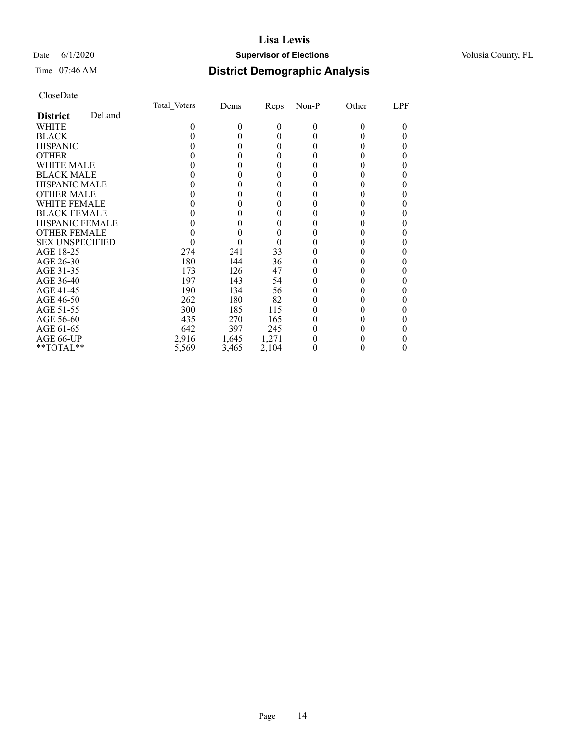#### Date 6/1/2020 **Supervisor of Elections Supervisor of Elections** Volusia County, FL

#### Time 07:46 AM **District Demographic Analysis**

|                        |        | Total Voters | Dems     | Reps  | Non-P        | Other    | LPF |
|------------------------|--------|--------------|----------|-------|--------------|----------|-----|
| <b>District</b>        | DeLand |              |          |       |              |          |     |
| WHITE                  |        | 0            | $\theta$ | 0     | $\theta$     | $\Omega$ | 0   |
| <b>BLACK</b>           |        |              |          | 0     |              |          |     |
| <b>HISPANIC</b>        |        |              | 0        | 0     | $\mathbf{0}$ |          |     |
| <b>OTHER</b>           |        |              |          |       |              |          |     |
| WHITE MALE             |        |              |          |       |              |          |     |
| <b>BLACK MALE</b>      |        |              |          |       |              |          |     |
| <b>HISPANIC MALE</b>   |        |              |          |       |              |          |     |
| <b>OTHER MALE</b>      |        |              |          |       |              |          |     |
| WHITE FEMALE           |        |              |          |       |              |          |     |
| <b>BLACK FEMALE</b>    |        |              |          |       |              |          |     |
| <b>HISPANIC FEMALE</b> |        |              |          |       |              |          |     |
| <b>OTHER FEMALE</b>    |        |              |          |       |              |          |     |
| <b>SEX UNSPECIFIED</b> |        |              |          | 0     |              |          |     |
| AGE 18-25              |        | 274          | 241      | 33    |              |          |     |
| AGE 26-30              |        | 180          | 144      | 36    |              |          |     |
| AGE 31-35              |        | 173          | 126      | 47    |              |          |     |
| AGE 36-40              |        | 197          | 143      | 54    | $\mathbf{0}$ |          |     |
| AGE 41-45              |        | 190          | 134      | 56    |              |          |     |
| AGE 46-50              |        | 262          | 180      | 82    |              |          |     |
| AGE 51-55              |        | 300          | 185      | 115   |              |          |     |
| AGE 56-60              |        | 435          | 270      | 165   |              |          |     |
| AGE 61-65              |        | 642          | 397      | 245   |              |          |     |
| AGE 66-UP              |        | 2,916        | 1,645    | 1,271 |              |          |     |
| **TOTAL**              |        | 5,569        | 3,465    | 2,104 | 0            |          | 0   |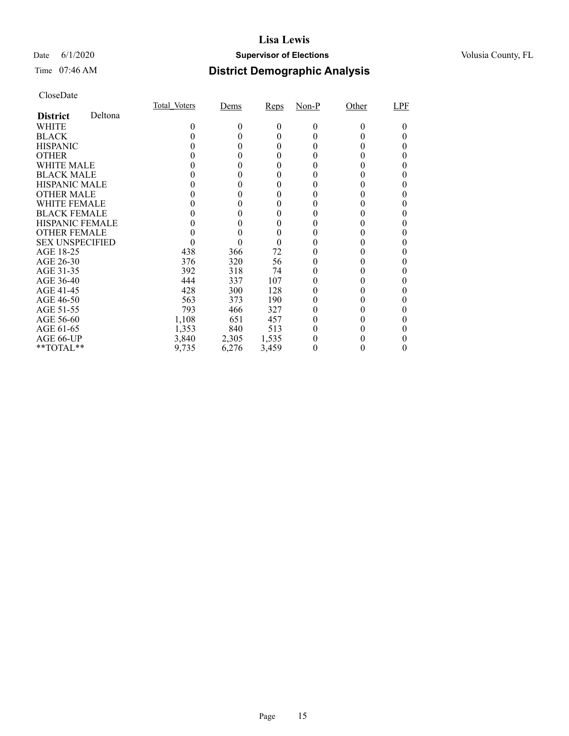#### Date 6/1/2020 **Supervisor of Elections Supervisor of Elections** Volusia County, FL

### Time 07:46 AM **District Demographic Analysis**

|                        |         | Total Voters | Dems  | <b>Reps</b> | $Non-P$ | Other  | LPF |
|------------------------|---------|--------------|-------|-------------|---------|--------|-----|
| <b>District</b>        | Deltona |              |       |             |         |        |     |
| WHITE                  |         | $_{0}$       | 0     | $\theta$    | 0       | $_{0}$ |     |
| <b>BLACK</b>           |         |              |       | 0           |         |        |     |
| <b>HISPANIC</b>        |         |              |       | 0           |         |        |     |
| <b>OTHER</b>           |         |              |       |             |         |        |     |
| WHITE MALE             |         |              |       | $_{0}$      | 0       |        |     |
| <b>BLACK MALE</b>      |         |              |       |             |         |        |     |
| <b>HISPANIC MALE</b>   |         |              |       |             |         |        |     |
| <b>OTHER MALE</b>      |         |              |       |             |         |        |     |
| <b>WHITE FEMALE</b>    |         |              |       |             |         |        |     |
| <b>BLACK FEMALE</b>    |         |              |       |             |         |        |     |
| HISPANIC FEMALE        |         |              |       |             |         |        |     |
| <b>OTHER FEMALE</b>    |         |              |       | 0           |         |        |     |
| <b>SEX UNSPECIFIED</b> |         |              |       |             |         |        |     |
| AGE 18-25              |         | 438          | 366   | 72          |         |        |     |
| AGE 26-30              |         | 376          | 320   | 56          |         |        |     |
| AGE 31-35              |         | 392          | 318   | 74          |         |        |     |
| AGE 36-40              |         | 444          | 337   | 107         |         |        |     |
| AGE 41-45              |         | 428          | 300   | 128         |         |        |     |
| AGE 46-50              |         | 563          | 373   | 190         | 0       |        |     |
| AGE 51-55              |         | 793          | 466   | 327         |         |        |     |
| AGE 56-60              |         | 1,108        | 651   | 457         |         |        |     |
| AGE 61-65              |         | 1,353        | 840   | 513         |         |        |     |
| AGE 66-UP              |         | 3,840        | 2,305 | 1,535       |         |        |     |
| **TOTAL**              |         | 9,735        | 6,276 | 3,459       | 0       |        | 0   |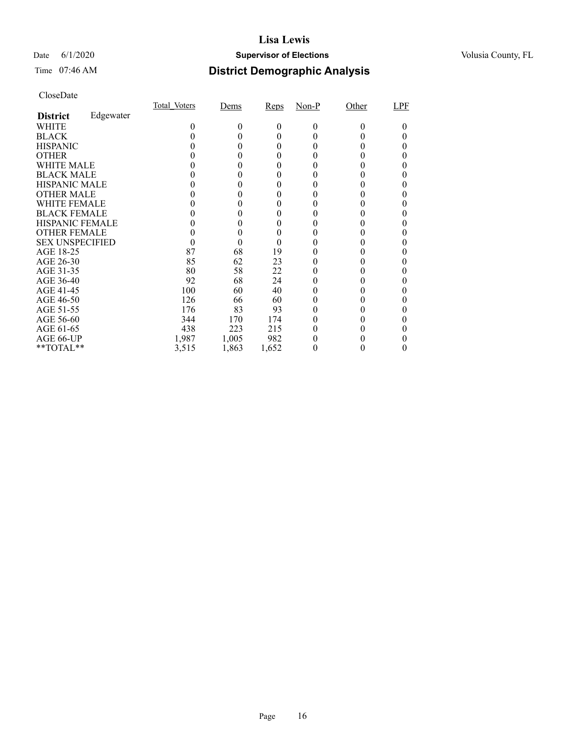#### Date 6/1/2020 **Supervisor of Elections Supervisor of Elections** Volusia County, FL

### Time 07:46 AM **District Demographic Analysis**

|                        |           | <b>Total Voters</b> | Dems     | Reps  | $Non-P$      | Other    | LPF |
|------------------------|-----------|---------------------|----------|-------|--------------|----------|-----|
| <b>District</b>        | Edgewater |                     |          |       |              |          |     |
| WHITE                  |           | 0                   | $\theta$ | 0     | $\theta$     | $\Omega$ | 0   |
| <b>BLACK</b>           |           |                     |          | 0     | $_{0}$       |          |     |
| <b>HISPANIC</b>        |           |                     | $_{0}$   | 0     | $\mathbf{0}$ |          |     |
| <b>OTHER</b>           |           |                     | 0        |       |              |          |     |
| WHITE MALE             |           |                     |          |       |              |          |     |
| <b>BLACK MALE</b>      |           |                     | 0        |       |              |          |     |
| <b>HISPANIC MALE</b>   |           |                     |          |       |              |          |     |
| <b>OTHER MALE</b>      |           |                     | 0        | 0     |              |          |     |
| <b>WHITE FEMALE</b>    |           |                     |          |       |              |          |     |
| <b>BLACK FEMALE</b>    |           |                     |          |       |              |          |     |
| <b>HISPANIC FEMALE</b> |           |                     | 0        |       |              |          |     |
| <b>OTHER FEMALE</b>    |           |                     |          |       |              |          |     |
| <b>SEX UNSPECIFIED</b> |           |                     | 0        | 0     |              |          | 0   |
| AGE 18-25              |           | 87                  | 68       | 19    |              |          |     |
| AGE 26-30              |           | 85                  | 62       | 23    | $_{0}$       |          |     |
| AGE 31-35              |           | 80                  | 58       | 22    |              |          |     |
| AGE 36-40              |           | 92                  | 68       | 24    |              |          |     |
| AGE 41-45              |           | 100                 | 60       | 40    |              |          |     |
| AGE 46-50              |           | 126                 | 66       | 60    | 0            |          |     |
| AGE 51-55              |           | 176                 | 83       | 93    | $_{0}$       |          |     |
| AGE 56-60              |           | 344                 | 170      | 174   |              |          |     |
| AGE 61-65              |           | 438                 | 223      | 215   |              |          |     |
| AGE 66-UP              |           | 1,987               | 1,005    | 982   |              |          |     |
| $*$ $TOTAL**$          |           | 3,515               | 1,863    | 1,652 | 0            |          |     |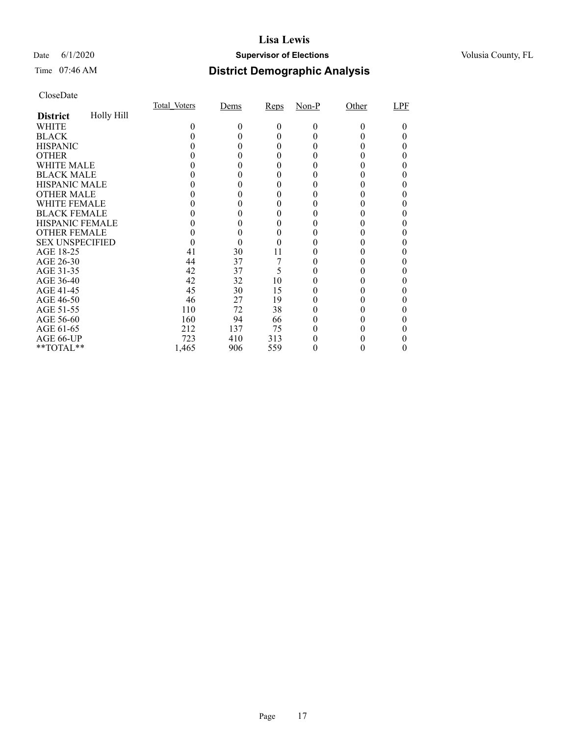#### Date 6/1/2020 **Supervisor of Elections Supervisor of Elections** Volusia County, FL

### Time 07:46 AM **District Demographic Analysis**

|                        |            | Total Voters | Dems | Reps | $Non-P$  | Other    | LPF |
|------------------------|------------|--------------|------|------|----------|----------|-----|
| <b>District</b>        | Holly Hill |              |      |      |          |          |     |
| WHITE                  |            | 0            | 0    | 0    | $\theta$ | $\Omega$ |     |
| <b>BLACK</b>           |            |              |      |      |          |          |     |
| <b>HISPANIC</b>        |            |              |      |      |          |          |     |
| <b>OTHER</b>           |            |              |      |      |          |          |     |
| WHITE MALE             |            |              |      |      |          |          |     |
| <b>BLACK MALE</b>      |            |              |      |      |          |          |     |
| <b>HISPANIC MALE</b>   |            |              |      |      |          |          |     |
| <b>OTHER MALE</b>      |            |              |      |      |          |          |     |
| <b>WHITE FEMALE</b>    |            |              |      |      |          |          |     |
| <b>BLACK FEMALE</b>    |            |              |      |      |          |          |     |
| <b>HISPANIC FEMALE</b> |            |              |      |      |          |          |     |
| <b>OTHER FEMALE</b>    |            |              | 0    |      |          |          |     |
| <b>SEX UNSPECIFIED</b> |            |              |      |      |          |          |     |
| AGE 18-25              |            | 41           | 30   | 11   |          |          |     |
| AGE 26-30              |            | 44           | 37   |      |          |          |     |
| AGE 31-35              |            | 42           | 37   | 5    |          |          |     |
| AGE 36-40              |            | 42           | 32   | 10   |          |          |     |
| AGE 41-45              |            | 45           | 30   | 15   |          |          |     |
| AGE 46-50              |            | 46           | 27   | 19   |          |          |     |
| AGE 51-55              |            | 110          | 72   | 38   |          |          |     |
| AGE 56-60              |            | 160          | 94   | 66   |          |          |     |
| AGE 61-65              |            | 212          | 137  | 75   |          |          |     |
| AGE 66-UP              |            | 723          | 410  | 313  |          |          |     |
| **TOTAL**              |            | 1,465        | 906  | 559  | 0        |          | 0   |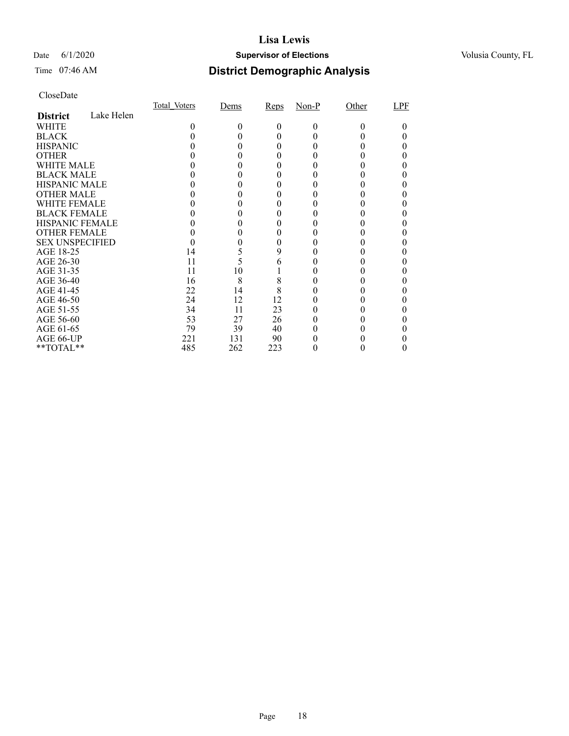#### Date 6/1/2020 **Supervisor of Elections Supervisor of Elections** Volusia County, FL

### Time 07:46 AM **District Demographic Analysis**

|                        |            | Total Voters | Dems | Reps     | $Non-P$  | Other    | LPF |
|------------------------|------------|--------------|------|----------|----------|----------|-----|
| <b>District</b>        | Lake Helen |              |      |          |          |          |     |
| WHITE                  |            | $_{0}$       | 0    | $\theta$ | $\Omega$ | $\Omega$ |     |
| <b>BLACK</b>           |            |              |      |          |          |          |     |
| <b>HISPANIC</b>        |            |              |      |          |          |          |     |
| <b>OTHER</b>           |            |              |      |          |          |          |     |
| WHITE MALE             |            |              |      |          |          |          |     |
| <b>BLACK MALE</b>      |            |              |      |          |          |          |     |
| <b>HISPANIC MALE</b>   |            |              |      |          |          |          |     |
| <b>OTHER MALE</b>      |            |              |      |          |          |          |     |
| WHITE FEMALE           |            |              |      |          |          |          |     |
| <b>BLACK FEMALE</b>    |            |              |      |          |          |          |     |
| <b>HISPANIC FEMALE</b> |            |              |      |          |          |          |     |
| <b>OTHER FEMALE</b>    |            |              |      |          |          |          |     |
| <b>SEX UNSPECIFIED</b> |            |              |      |          |          |          |     |
| AGE 18-25              |            | 14           | 5    | 9        |          |          |     |
| AGE 26-30              |            | 11           | 5    | 6        |          |          |     |
| AGE 31-35              |            | 11           | 10   |          |          |          |     |
| AGE 36-40              |            | 16           | 8    | 8        |          |          |     |
| AGE 41-45              |            | 22           | 14   | 8        |          |          |     |
| AGE 46-50              |            | 24           | 12   | 12       |          |          |     |
| AGE 51-55              |            | 34           | 11   | 23       |          |          |     |
| AGE 56-60              |            | 53           | 27   | 26       |          |          |     |
| AGE 61-65              |            | 79           | 39   | 40       |          |          |     |
| AGE 66-UP              |            | 221          | 131  | 90       |          |          |     |
| **TOTAL**              |            | 485          | 262  | 223      |          |          |     |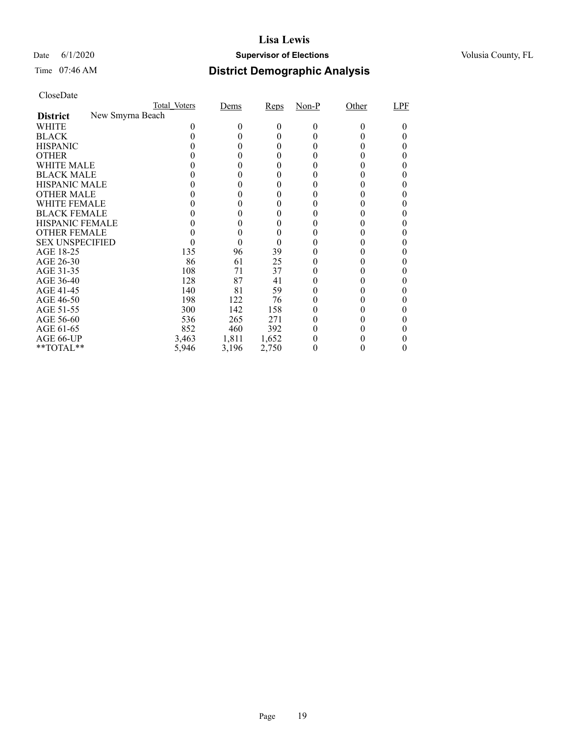#### Date 6/1/2020 **Supervisor of Elections Supervisor of Elections** Volusia County, FL

# Time 07:46 AM **District Demographic Analysis**

|                        |                  | Total Voters | Dems   | Reps  | $Non-P$ | Other | LPF |
|------------------------|------------------|--------------|--------|-------|---------|-------|-----|
| <b>District</b>        | New Smyrna Beach |              |        |       |         |       |     |
| WHITE                  |                  |              | $_{0}$ | 0     | 0       | 0     |     |
| <b>BLACK</b>           |                  |              |        | 0     |         |       |     |
| <b>HISPANIC</b>        |                  |              |        | 0     |         |       |     |
| <b>OTHER</b>           |                  |              |        | 0     |         |       |     |
| WHITE MALE             |                  |              |        | 0     |         |       |     |
| <b>BLACK MALE</b>      |                  |              |        |       |         |       |     |
| <b>HISPANIC MALE</b>   |                  |              |        |       |         |       |     |
| <b>OTHER MALE</b>      |                  |              |        |       |         |       |     |
| WHITE FEMALE           |                  |              |        |       |         |       |     |
| <b>BLACK FEMALE</b>    |                  |              |        |       |         |       |     |
| <b>HISPANIC FEMALE</b> |                  |              |        |       |         |       |     |
| <b>OTHER FEMALE</b>    |                  |              | 0      | 0     |         |       |     |
| <b>SEX UNSPECIFIED</b> |                  |              |        |       |         |       |     |
| AGE 18-25              |                  | 135          | 96     | 39    |         |       |     |
| AGE 26-30              |                  | 86           | 61     | 25    |         |       |     |
| AGE 31-35              |                  | 108          | 71     | 37    |         |       |     |
| AGE 36-40              |                  | 128          | 87     | 41    |         |       |     |
| AGE 41-45              |                  | 140          | 81     | 59    |         |       |     |
| AGE 46-50              |                  | 198          | 122    | 76    |         |       |     |
| AGE 51-55              |                  | 300          | 142    | 158   |         |       |     |
| AGE 56-60              |                  | 536          | 265    | 271   |         |       |     |
| AGE 61-65              |                  | 852          | 460    | 392   |         |       |     |
| AGE 66-UP              |                  | 3,463        | 1,811  | 1,652 |         |       |     |
| **TOTAL**              |                  | 5,946        | 3,196  | 2,750 | 0       |       |     |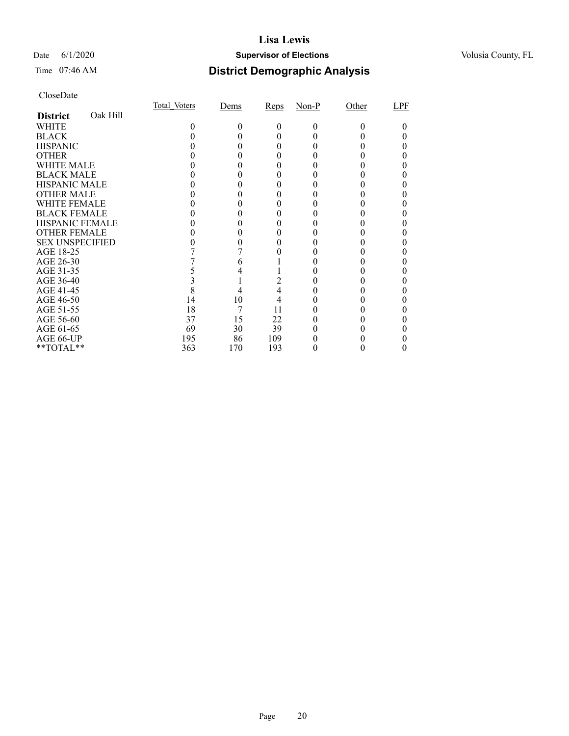#### Date 6/1/2020 **Supervisor of Elections Supervisor of Elections** Volusia County, FL

### Time 07:46 AM **District Demographic Analysis**

|                        |          | Total Voters | Dems | Reps | $Non-P$  | Other | LPF |
|------------------------|----------|--------------|------|------|----------|-------|-----|
| <b>District</b>        | Oak Hill |              |      |      |          |       |     |
| WHITE                  |          | 0            | 0    | 0    | $\Omega$ | 0     |     |
| <b>BLACK</b>           |          |              |      |      |          |       |     |
| <b>HISPANIC</b>        |          |              |      |      |          |       |     |
| <b>OTHER</b>           |          |              |      |      |          |       |     |
| WHITE MALE             |          |              |      |      |          |       |     |
| <b>BLACK MALE</b>      |          |              |      |      |          |       |     |
| <b>HISPANIC MALE</b>   |          |              |      |      |          |       |     |
| <b>OTHER MALE</b>      |          |              |      |      |          |       |     |
| <b>WHITE FEMALE</b>    |          |              |      |      |          |       |     |
| <b>BLACK FEMALE</b>    |          |              |      |      |          |       |     |
| <b>HISPANIC FEMALE</b> |          |              |      |      |          |       |     |
| <b>OTHER FEMALE</b>    |          |              |      |      |          |       |     |
| <b>SEX UNSPECIFIED</b> |          |              |      |      |          |       |     |
| AGE 18-25              |          |              |      |      |          |       |     |
| AGE 26-30              |          |              |      |      |          |       |     |
| AGE 31-35              |          |              |      |      |          |       |     |
| AGE 36-40              |          |              |      |      |          |       |     |
| AGE 41-45              |          |              |      |      |          |       |     |
| AGE 46-50              |          | 14           | 10   | 4    |          |       |     |
| AGE 51-55              |          | 18           | 7    | 11   |          |       |     |
| AGE 56-60              |          | 37           | 15   | 22   |          |       |     |
| AGE 61-65              |          | 69           | 30   | 39   |          |       |     |
| AGE 66-UP              |          | 195          | 86   | 109  |          |       |     |
| **TOTAL**              |          | 363          | 170  | 193  |          |       |     |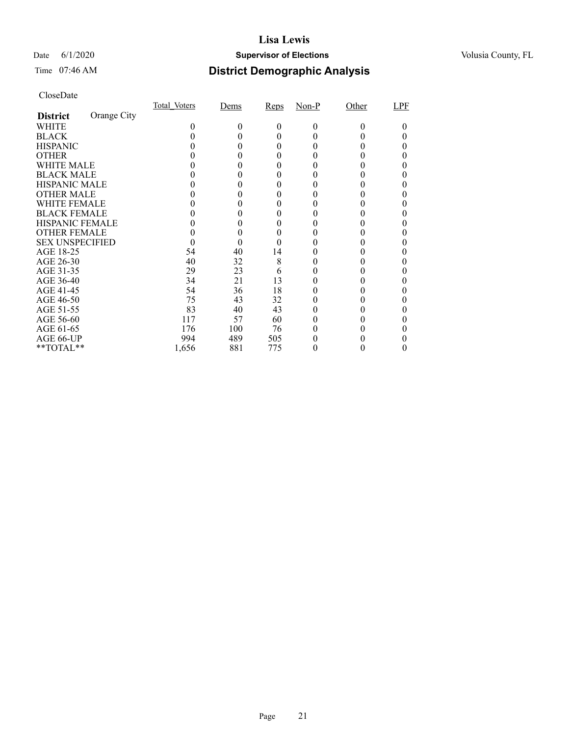#### Date 6/1/2020 **Supervisor of Elections Supervisor of Elections** Volusia County, FL

### Time 07:46 AM **District Demographic Analysis**

|                        |             | Total Voters | Dems | Reps | $Non-P$  | Other | LPF |
|------------------------|-------------|--------------|------|------|----------|-------|-----|
| <b>District</b>        | Orange City |              |      |      |          |       |     |
| WHITE                  |             | 0            | 0    | 0    | $\Omega$ | 0     |     |
| <b>BLACK</b>           |             |              |      |      |          |       |     |
| <b>HISPANIC</b>        |             |              |      |      |          |       |     |
| <b>OTHER</b>           |             |              |      |      |          |       |     |
| WHITE MALE             |             |              |      |      |          |       |     |
| <b>BLACK MALE</b>      |             |              |      |      |          |       |     |
| <b>HISPANIC MALE</b>   |             |              |      |      |          |       |     |
| <b>OTHER MALE</b>      |             |              |      |      |          |       |     |
| <b>WHITE FEMALE</b>    |             |              |      |      |          |       |     |
| <b>BLACK FEMALE</b>    |             |              |      |      |          |       |     |
| <b>HISPANIC FEMALE</b> |             |              |      |      |          |       |     |
| <b>OTHER FEMALE</b>    |             |              |      |      |          |       |     |
| <b>SEX UNSPECIFIED</b> |             |              |      |      |          |       |     |
| AGE 18-25              |             | 54           | 40   | 14   |          |       |     |
| AGE 26-30              |             | 40           | 32   | 8    |          |       |     |
| AGE 31-35              |             | 29           | 23   | 6    |          |       |     |
| AGE 36-40              |             | 34           | 21   | 13   |          |       |     |
| AGE 41-45              |             | 54           | 36   | 18   |          |       |     |
| AGE 46-50              |             | 75           | 43   | 32   |          |       |     |
| AGE 51-55              |             | 83           | 40   | 43   |          |       |     |
| AGE 56-60              |             | 117          | 57   | 60   |          |       |     |
| AGE 61-65              |             | 176          | 100  | 76   |          |       |     |
| AGE 66-UP              |             | 994          | 489  | 505  |          |       |     |
| **TOTAL**              |             | 1,656        | 881  | 775  |          |       |     |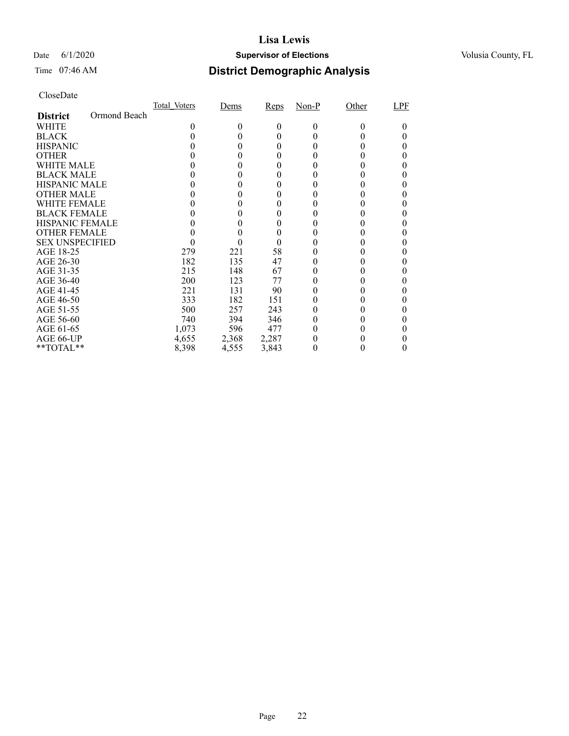#### Date 6/1/2020 **Supervisor of Elections Supervisor of Elections** Volusia County, FL

# Time 07:46 AM **District Demographic Analysis**

|                        |              | Total Voters | Dems  | Reps  | $Non-P$ | Other    | LPF |
|------------------------|--------------|--------------|-------|-------|---------|----------|-----|
| <b>District</b>        | Ormond Beach |              |       |       |         |          |     |
| WHITE                  |              | 0            | 0     | 0     | 0       | $\theta$ | 0   |
| <b>BLACK</b>           |              |              |       | 0     |         |          |     |
| <b>HISPANIC</b>        |              |              | 0     | 0     |         | 0        |     |
| <b>OTHER</b>           |              |              |       | 0     |         |          |     |
| WHITE MALE             |              |              | 0     | 0     |         |          |     |
| <b>BLACK MALE</b>      |              |              |       |       |         |          |     |
| <b>HISPANIC MALE</b>   |              |              |       |       |         |          |     |
| <b>OTHER MALE</b>      |              |              |       |       |         |          |     |
| WHITE FEMALE           |              |              |       |       |         |          |     |
| <b>BLACK FEMALE</b>    |              |              |       | 0     |         |          |     |
| <b>HISPANIC FEMALE</b> |              |              |       |       |         |          |     |
| <b>OTHER FEMALE</b>    |              |              |       | 0     |         |          |     |
| <b>SEX UNSPECIFIED</b> |              |              |       | 0     |         |          |     |
| AGE 18-25              |              | 279          | 221   | 58    |         |          |     |
| AGE 26-30              |              | 182          | 135   | 47    |         |          |     |
| AGE 31-35              |              | 215          | 148   | 67    |         |          |     |
| AGE 36-40              |              | 200          | 123   | 77    |         |          |     |
| AGE 41-45              |              | 221          | 131   | 90    |         |          |     |
| AGE 46-50              |              | 333          | 182   | 151   |         |          |     |
| AGE 51-55              |              | 500          | 257   | 243   |         |          |     |
| AGE 56-60              |              | 740          | 394   | 346   |         |          |     |
| AGE 61-65              |              | 1,073        | 596   | 477   |         |          |     |
| AGE 66-UP              |              | 4,655        | 2,368 | 2,287 |         |          |     |
| **TOTAL**              |              | 8,398        | 4,555 | 3,843 | 0       | 0        | 0   |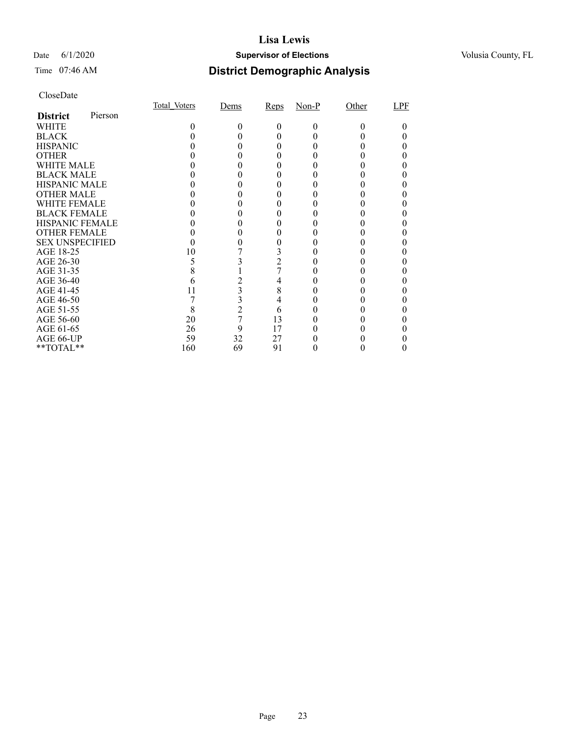#### Date 6/1/2020 **Supervisor of Elections Supervisor of Elections** Volusia County, FL

### Time 07:46 AM **District Demographic Analysis**

|                        |         | Total Voters | Dems           | Reps           | $Non-P$ | Other | LPF |
|------------------------|---------|--------------|----------------|----------------|---------|-------|-----|
| <b>District</b>        | Pierson |              |                |                |         |       |     |
| WHITE                  |         | 0            | 0              | $_{0}$         | $_{0}$  | 0     |     |
| <b>BLACK</b>           |         |              |                |                |         |       |     |
| <b>HISPANIC</b>        |         |              |                |                |         |       |     |
| <b>OTHER</b>           |         |              |                |                |         |       |     |
| <b>WHITE MALE</b>      |         |              |                |                |         |       |     |
| <b>BLACK MALE</b>      |         |              |                |                |         |       |     |
| <b>HISPANIC MALE</b>   |         |              |                |                |         |       |     |
| <b>OTHER MALE</b>      |         |              |                |                |         |       |     |
| <b>WHITE FEMALE</b>    |         |              |                |                |         |       |     |
| <b>BLACK FEMALE</b>    |         |              |                |                |         |       |     |
| <b>HISPANIC FEMALE</b> |         |              |                |                |         |       |     |
| <b>OTHER FEMALE</b>    |         |              |                |                |         |       |     |
| <b>SEX UNSPECIFIED</b> |         |              |                |                |         |       |     |
| AGE 18-25              |         | 10           |                |                |         |       |     |
| AGE 26-30              |         |              |                | $\overline{2}$ |         |       |     |
| AGE 31-35              |         |              |                |                |         |       |     |
| AGE 36-40              |         |              |                | 4              |         |       |     |
| AGE 41-45              |         |              | 3              | 8              |         |       |     |
| AGE 46-50              |         |              | 3              | 4              |         |       |     |
| AGE 51-55              |         | 8            | $\overline{c}$ | 6              |         |       |     |
| AGE 56-60              |         | 20           | 7              | 13             |         |       |     |
| AGE 61-65              |         | 26           | 9              | 17             |         |       |     |
| AGE 66-UP              |         | 59           | 32             | 27             |         |       |     |
| **TOTAL**              |         | 160          | 69             | 91             |         |       |     |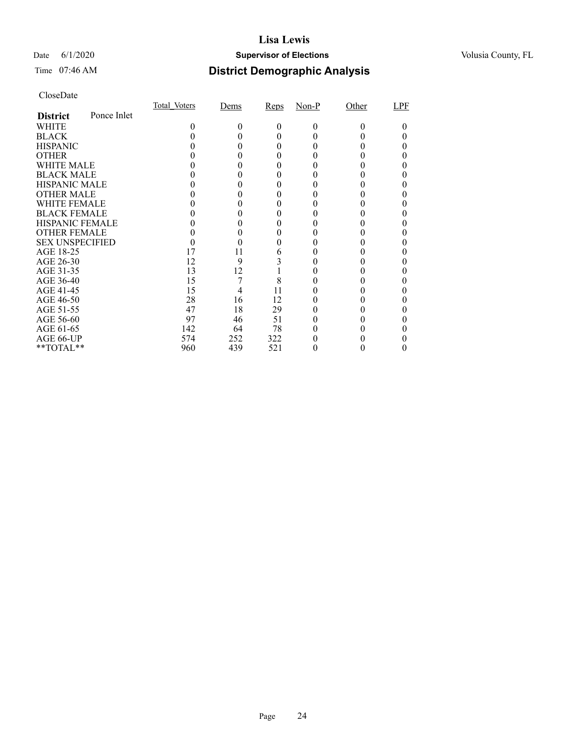#### Date 6/1/2020 **Supervisor of Elections Supervisor of Elections** Volusia County, FL

### Time 07:46 AM **District Demographic Analysis**

|                        |             | Total Voters | Dems | Reps | $Non-P$  | Other | LPF |
|------------------------|-------------|--------------|------|------|----------|-------|-----|
| <b>District</b>        | Ponce Inlet |              |      |      |          |       |     |
| WHITE                  |             | 0            | 0    | 0    | $\Omega$ | 0     |     |
| <b>BLACK</b>           |             |              |      |      |          |       |     |
| <b>HISPANIC</b>        |             |              |      |      |          |       |     |
| <b>OTHER</b>           |             |              |      |      |          |       |     |
| WHITE MALE             |             |              |      |      |          |       |     |
| <b>BLACK MALE</b>      |             |              |      |      |          |       |     |
| <b>HISPANIC MALE</b>   |             |              |      |      |          |       |     |
| <b>OTHER MALE</b>      |             |              |      |      |          |       |     |
| <b>WHITE FEMALE</b>    |             |              |      |      |          |       |     |
| <b>BLACK FEMALE</b>    |             |              |      |      |          |       |     |
| <b>HISPANIC FEMALE</b> |             |              |      |      |          |       |     |
| <b>OTHER FEMALE</b>    |             |              |      |      |          |       |     |
| <b>SEX UNSPECIFIED</b> |             |              |      |      |          |       |     |
| AGE 18-25              |             | 17           | 11   | 6    |          |       |     |
| AGE 26-30              |             | 12           | 9    |      |          |       |     |
| AGE 31-35              |             | 13           | 12   |      |          |       |     |
| AGE 36-40              |             | 15           |      | 8    |          |       |     |
| AGE 41-45              |             | 15           |      | 11   |          |       |     |
| AGE 46-50              |             | 28           | 16   | 12   |          |       |     |
| AGE 51-55              |             | 47           | 18   | 29   |          |       |     |
| AGE 56-60              |             | 97           | 46   | 51   |          |       |     |
| AGE 61-65              |             | 142          | 64   | 78   |          |       |     |
| AGE 66-UP              |             | 574          | 252  | 322  |          |       |     |
| **TOTAL**              |             | 960          | 439  | 521  |          |       |     |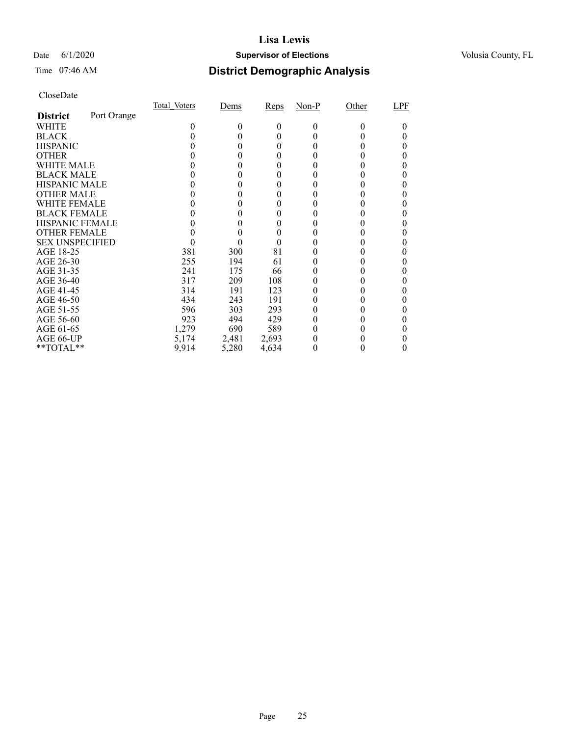#### Date 6/1/2020 **Supervisor of Elections Supervisor of Elections** Volusia County, FL

### Time 07:46 AM **District Demographic Analysis**

|                        |             | Total Voters | Dems   | Reps  | $Non-P$      | Other    | LPF |
|------------------------|-------------|--------------|--------|-------|--------------|----------|-----|
| <b>District</b>        | Port Orange |              |        |       |              |          |     |
| WHITE                  |             | 0            | 0      | 0     | $\theta$     | $\Omega$ |     |
| <b>BLACK</b>           |             |              |        | 0     | $_{0}$       |          |     |
| <b>HISPANIC</b>        |             |              | $_{0}$ | 0     | $\mathbf{0}$ |          |     |
| <b>OTHER</b>           |             |              | 0      |       |              |          |     |
| WHITE MALE             |             |              |        |       |              |          |     |
| <b>BLACK MALE</b>      |             |              | 0      |       |              |          |     |
| <b>HISPANIC MALE</b>   |             |              |        |       |              |          |     |
| <b>OTHER MALE</b>      |             |              | 0      | 0     |              |          |     |
| <b>WHITE FEMALE</b>    |             |              |        |       |              |          |     |
| <b>BLACK FEMALE</b>    |             |              |        |       |              |          |     |
| <b>HISPANIC FEMALE</b> |             |              |        |       |              |          |     |
| <b>OTHER FEMALE</b>    |             |              |        |       |              |          |     |
| <b>SEX UNSPECIFIED</b> |             |              | 0      | 0     |              |          |     |
| AGE 18-25              |             | 381          | 300    | 81    |              |          |     |
| AGE 26-30              |             | 255          | 194    | 61    | $_{0}$       |          |     |
| AGE 31-35              |             | 241          | 175    | 66    |              |          |     |
| AGE 36-40              |             | 317          | 209    | 108   |              |          |     |
| AGE 41-45              |             | 314          | 191    | 123   |              |          |     |
| AGE 46-50              |             | 434          | 243    | 191   | 0            |          |     |
| AGE 51-55              |             | 596          | 303    | 293   | $_{0}$       |          |     |
| AGE 56-60              |             | 923          | 494    | 429   |              |          |     |
| AGE 61-65              |             | 1,279        | 690    | 589   | $_{0}$       |          |     |
| AGE 66-UP              |             | 5,174        | 2,481  | 2,693 |              |          |     |
| $*$ $TOTAL**$          |             | 9,914        | 5,280  | 4,634 | 0            |          |     |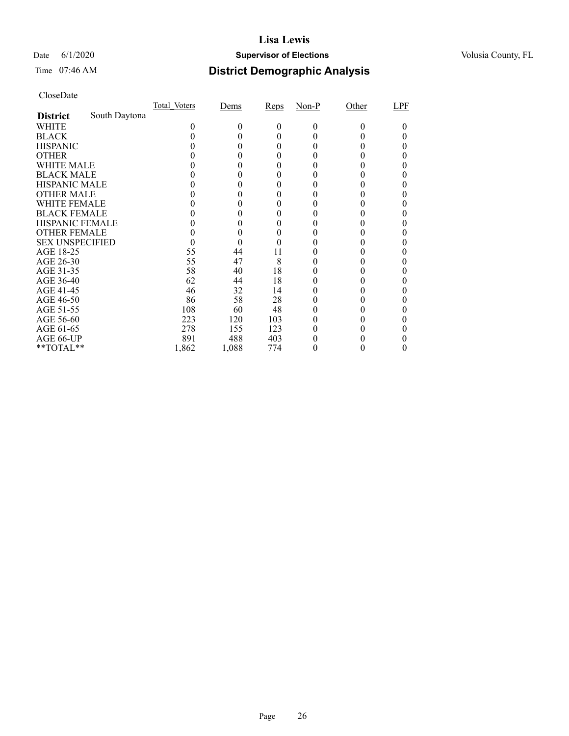#### Date 6/1/2020 **Supervisor of Elections Supervisor of Elections** Volusia County, FL

# Time 07:46 AM **District Demographic Analysis**

|                        |               | Total Voters | Dems  | Reps | $Non-P$ | Other | LPF |
|------------------------|---------------|--------------|-------|------|---------|-------|-----|
| <b>District</b>        | South Daytona |              |       |      |         |       |     |
| WHITE                  |               | 0            | 0     | 0    | 0       | 0     |     |
| <b>BLACK</b>           |               |              |       | 0    |         |       |     |
| <b>HISPANIC</b>        |               |              | 0     | 0    |         |       |     |
| <b>OTHER</b>           |               |              |       | 0    |         |       |     |
| WHITE MALE             |               |              |       | 0    |         |       |     |
| <b>BLACK MALE</b>      |               |              |       |      |         |       |     |
| <b>HISPANIC MALE</b>   |               |              |       |      |         |       |     |
| <b>OTHER MALE</b>      |               |              |       | 0    |         |       |     |
| WHITE FEMALE           |               |              |       | 0    |         |       |     |
| <b>BLACK FEMALE</b>    |               |              |       | 0    |         |       |     |
| <b>HISPANIC FEMALE</b> |               |              |       |      |         |       |     |
| <b>OTHER FEMALE</b>    |               |              | 0     | 0    |         |       |     |
| <b>SEX UNSPECIFIED</b> |               |              | 0     |      |         |       |     |
| AGE 18-25              |               | 55           | 44    | 11   |         |       |     |
| AGE 26-30              |               | 55           | 47    | 8    |         |       |     |
| AGE 31-35              |               | 58           | 40    | 18   |         |       |     |
| AGE 36-40              |               | 62           | 44    | 18   |         |       |     |
| AGE 41-45              |               | 46           | 32    | 14   |         |       |     |
| AGE 46-50              |               | 86           | 58    | 28   |         |       |     |
| AGE 51-55              |               | 108          | 60    | 48   |         |       |     |
| AGE 56-60              |               | 223          | 120   | 103  |         |       |     |
| AGE 61-65              |               | 278          | 155   | 123  |         |       |     |
| AGE 66-UP              |               | 891          | 488   | 403  |         |       |     |
| **TOTAL**              |               | 1,862        | 1,088 | 774  | 0       | 0     | 0   |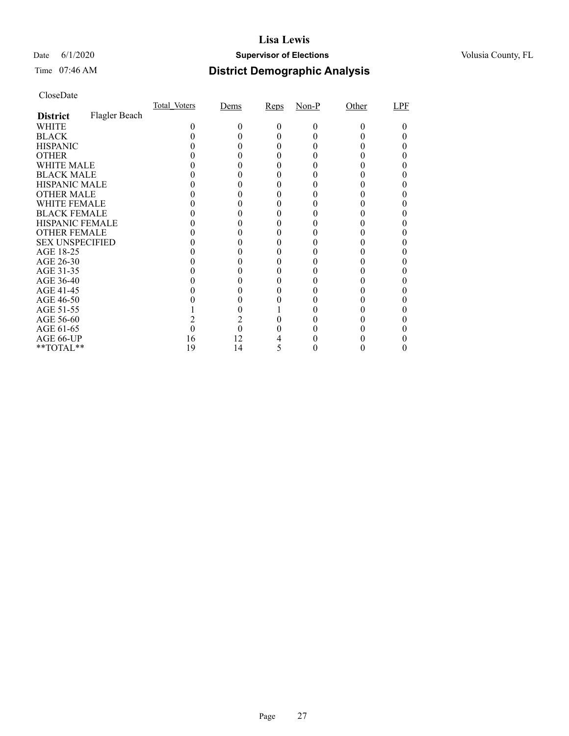#### Date 6/1/2020 **Supervisor of Elections Supervisor of Elections** Volusia County, FL

# Time 07:46 AM **District Demographic Analysis**

|                        |               | Total Voters | Dems | Reps | $Non-P$ | Other | LPF |
|------------------------|---------------|--------------|------|------|---------|-------|-----|
| <b>District</b>        | Flagler Beach |              |      |      |         |       |     |
| WHITE                  |               | 0            | 0    | 0    | 0       |       |     |
| <b>BLACK</b>           |               |              |      |      |         |       |     |
| <b>HISPANIC</b>        |               |              |      |      |         |       |     |
| <b>OTHER</b>           |               |              |      |      |         |       |     |
| WHITE MALE             |               |              |      |      |         |       |     |
| <b>BLACK MALE</b>      |               |              |      |      |         |       |     |
| <b>HISPANIC MALE</b>   |               |              |      |      |         |       |     |
| <b>OTHER MALE</b>      |               |              |      |      |         |       |     |
| WHITE FEMALE           |               |              |      |      |         |       |     |
| <b>BLACK FEMALE</b>    |               |              |      |      |         |       |     |
| <b>HISPANIC FEMALE</b> |               |              |      |      |         |       |     |
| <b>OTHER FEMALE</b>    |               |              |      |      |         |       |     |
| <b>SEX UNSPECIFIED</b> |               |              |      |      |         |       |     |
| AGE 18-25              |               |              |      |      |         |       |     |
| AGE 26-30              |               |              |      |      |         |       |     |
| AGE 31-35              |               |              |      |      |         |       |     |
| AGE 36-40              |               |              |      |      |         |       |     |
| AGE 41-45              |               |              |      |      |         |       |     |
| AGE 46-50              |               |              |      |      |         |       |     |
| AGE 51-55              |               |              |      |      |         |       |     |
| AGE 56-60              |               |              |      |      |         |       |     |
| AGE 61-65              |               |              | 0    |      |         |       |     |
| AGE 66-UP              |               | 16           | 12   |      |         |       |     |
| **TOTAL**              |               | 19           | 14   | Ć    |         |       |     |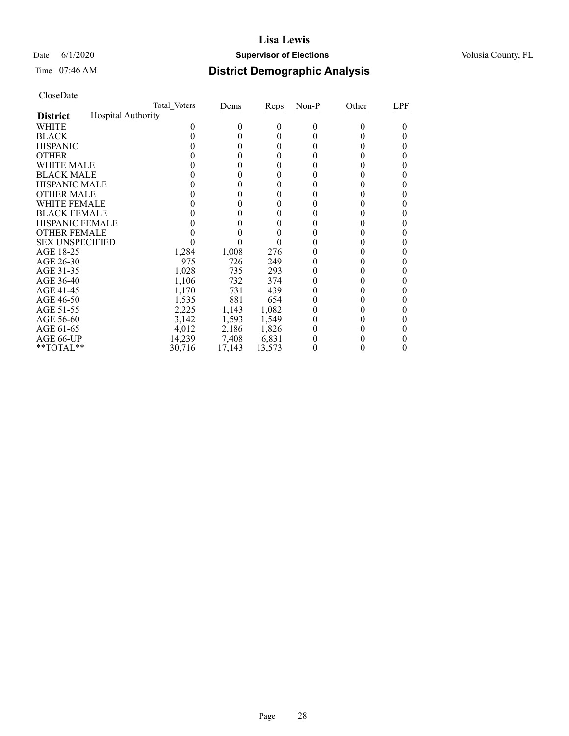#### Date 6/1/2020 **Supervisor of Elections Supervisor of Elections** Volusia County, FL

# Time 07:46 AM **District Demographic Analysis**

|                        |                    | Total Voters | Dems   | Reps     | $Non-P$  | Other  | LPF |
|------------------------|--------------------|--------------|--------|----------|----------|--------|-----|
| <b>District</b>        | Hospital Authority |              |        |          |          |        |     |
| WHITE                  |                    | 0            | $_{0}$ | $^{(1)}$ | $\Omega$ | $_{0}$ |     |
| <b>BLACK</b>           |                    |              |        | 0        |          |        |     |
| <b>HISPANIC</b>        |                    |              |        | 0        |          |        |     |
| <b>OTHER</b>           |                    |              |        |          |          |        |     |
| WHITE MALE             |                    |              |        | $_{0}$   |          |        |     |
| <b>BLACK MALE</b>      |                    |              |        |          |          |        |     |
| <b>HISPANIC MALE</b>   |                    |              |        |          |          |        |     |
| <b>OTHER MALE</b>      |                    |              |        |          |          |        |     |
| WHITE FEMALE           |                    |              |        |          |          |        |     |
| <b>BLACK FEMALE</b>    |                    |              |        | 0        |          |        |     |
| <b>HISPANIC FEMALE</b> |                    |              |        |          |          |        |     |
| <b>OTHER FEMALE</b>    |                    |              |        |          |          |        |     |
| <b>SEX UNSPECIFIED</b> |                    |              |        |          |          |        |     |
| AGE 18-25              |                    | 1,284        | 1,008  | 276      |          |        |     |
| AGE 26-30              |                    | 975          | 726    | 249      |          |        |     |
| AGE 31-35              |                    | 1,028        | 735    | 293      |          |        |     |
| AGE 36-40              |                    | 1,106        | 732    | 374      |          |        |     |
| AGE 41-45              |                    | 1,170        | 731    | 439      |          |        |     |
| AGE 46-50              |                    | 1,535        | 881    | 654      |          |        |     |
| AGE 51-55              |                    | 2,225        | 1,143  | 1,082    |          |        |     |
| AGE 56-60              |                    | 3,142        | 1,593  | 1,549    |          |        |     |
| AGE 61-65              |                    | 4,012        | 2,186  | 1,826    |          |        |     |
| AGE 66-UP              |                    | 14,239       | 7,408  | 6,831    |          |        |     |
| $*$ $TOTAL**$          |                    | 30,716       | 17,143 | 13,573   |          |        |     |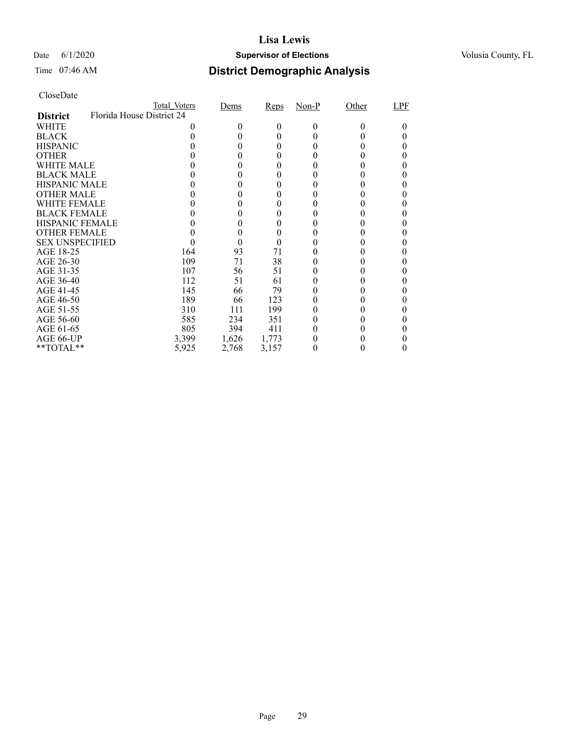#### Date 6/1/2020 **Supervisor of Elections Supervisor of Elections** Volusia County, FL

| CloseDate |
|-----------|
|-----------|

|                        | Total Voters              | Dems   | Reps  | Non-P | Other | LPF |
|------------------------|---------------------------|--------|-------|-------|-------|-----|
| <b>District</b>        | Florida House District 24 |        |       |       |       |     |
| WHITE                  |                           | $_{0}$ | 0     | 0     |       |     |
| <b>BLACK</b>           |                           |        | 0     |       |       |     |
| <b>HISPANIC</b>        |                           |        | 0     |       |       |     |
| <b>OTHER</b>           |                           |        |       |       |       |     |
| WHITE MALE             |                           |        |       |       |       |     |
| <b>BLACK MALE</b>      |                           |        |       |       |       |     |
| <b>HISPANIC MALE</b>   |                           |        |       |       |       |     |
| <b>OTHER MALE</b>      |                           |        | 0     |       |       |     |
| WHITE FEMALE           |                           |        |       |       |       |     |
| <b>BLACK FEMALE</b>    |                           |        |       |       |       |     |
| <b>HISPANIC FEMALE</b> |                           |        |       |       |       |     |
| <b>OTHER FEMALE</b>    |                           |        |       |       |       |     |
| <b>SEX UNSPECIFIED</b> |                           | 0      | 0     |       |       |     |
| AGE 18-25              | 164                       | 93     | 71    |       |       |     |
| AGE 26-30              | 109                       | 71     | 38    |       |       |     |
| AGE 31-35              | 107                       | 56     | 51    |       |       |     |
| AGE 36-40              | 112                       | 51     | 61    |       |       |     |
| AGE 41-45              | 145                       | 66     | 79    |       |       |     |
| AGE 46-50              | 189                       | 66     | 123   |       |       |     |
| AGE 51-55              | 310                       | 111    | 199   |       |       |     |
| AGE 56-60              | 585                       | 234    | 351   |       |       |     |
| AGE 61-65              | 805                       | 394    | 411   |       |       |     |
| AGE 66-UP              | 3,399                     | 1,626  | 1,773 |       |       |     |
| $*$ TOTAL $*$          | 5,925                     | 2,768  | 3,157 |       |       |     |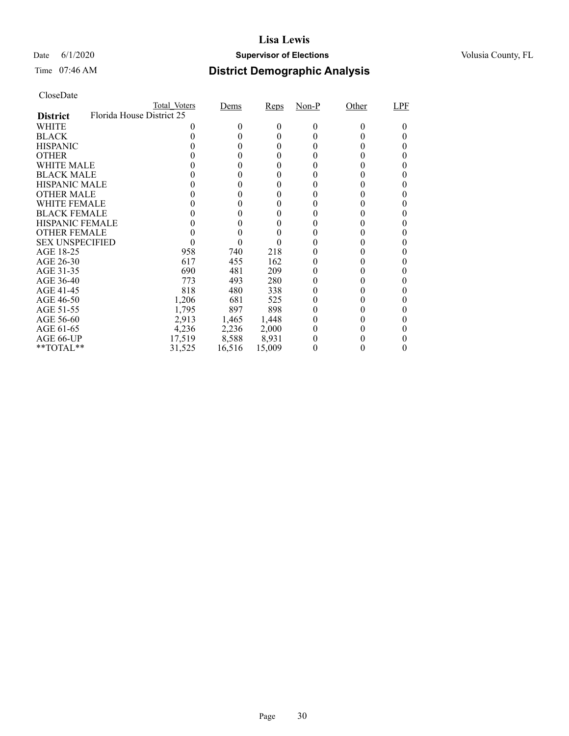#### Date 6/1/2020 **Supervisor of Elections Supervisor of Elections** Volusia County, FL

| CloseDate |
|-----------|
|-----------|

|                        | Total Voters              | Dems   | Reps   | Non-P    | Other | LPF |
|------------------------|---------------------------|--------|--------|----------|-------|-----|
| <b>District</b>        | Florida House District 25 |        |        |          |       |     |
| WHITE                  |                           | 0      | 0      | $\Omega$ |       |     |
| <b>BLACK</b>           |                           |        | 0      |          |       |     |
| <b>HISPANIC</b>        |                           | 0      | 0      |          |       |     |
| <b>OTHER</b>           |                           |        |        |          |       |     |
| WHITE MALE             |                           |        |        |          |       |     |
| <b>BLACK MALE</b>      |                           |        |        |          |       |     |
| <b>HISPANIC MALE</b>   |                           |        |        |          |       |     |
| <b>OTHER MALE</b>      |                           | 0      | 0      |          |       |     |
| WHITE FEMALE           |                           |        |        |          |       |     |
| <b>BLACK FEMALE</b>    |                           |        |        |          |       |     |
| <b>HISPANIC FEMALE</b> |                           |        |        |          |       |     |
| <b>OTHER FEMALE</b>    |                           |        |        |          |       |     |
| <b>SEX UNSPECIFIED</b> |                           | 0      |        |          |       |     |
| AGE 18-25              | 958                       | 740    | 218    |          |       |     |
| AGE 26-30              | 617                       | 455    | 162    |          |       |     |
| AGE 31-35              | 690                       | 481    | 209    |          |       |     |
| AGE 36-40              | 773                       | 493    | 280    |          |       |     |
| AGE 41-45              | 818                       | 480    | 338    |          |       |     |
| AGE 46-50              | 1,206                     | 681    | 525    |          |       |     |
| AGE 51-55              | 1,795                     | 897    | 898    |          |       |     |
| AGE 56-60              | 2,913                     | 1,465  | 1,448  |          |       |     |
| AGE 61-65              | 4,236                     | 2,236  | 2,000  |          |       |     |
| AGE 66-UP              | 17,519                    | 8,588  | 8,931  |          |       |     |
| $*$ TOTAL $*$          | 31,525                    | 16,516 | 15,009 |          |       |     |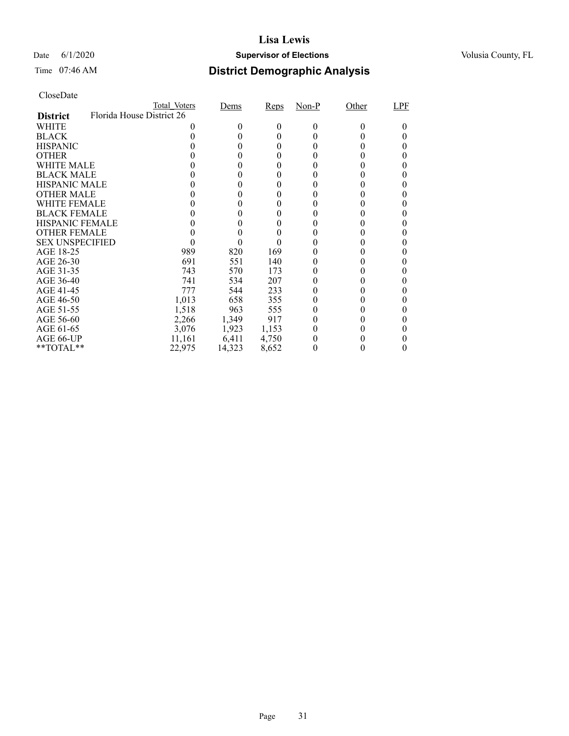#### Date 6/1/2020 **Supervisor of Elections Supervisor of Elections** Volusia County, FL

# Time 07:46 AM **District Demographic Analysis**

|                        |                           | Total Voters | Dems   | Reps  | $Non-P$ | Other | LPF |
|------------------------|---------------------------|--------------|--------|-------|---------|-------|-----|
| <b>District</b>        | Florida House District 26 |              |        |       |         |       |     |
| WHITE                  |                           |              | $_{0}$ | 0     | 0       | 0     |     |
| <b>BLACK</b>           |                           |              |        | 0     |         |       |     |
| <b>HISPANIC</b>        |                           |              |        | 0     |         |       |     |
| <b>OTHER</b>           |                           |              |        |       |         |       |     |
| WHITE MALE             |                           |              |        | 0     |         |       |     |
| <b>BLACK MALE</b>      |                           |              |        |       |         |       |     |
| <b>HISPANIC MALE</b>   |                           |              |        |       |         |       |     |
| <b>OTHER MALE</b>      |                           |              |        | 0     |         |       |     |
| WHITE FEMALE           |                           |              |        |       |         |       |     |
| <b>BLACK FEMALE</b>    |                           |              |        | 0     |         |       |     |
| <b>HISPANIC FEMALE</b> |                           |              |        |       |         |       |     |
| <b>OTHER FEMALE</b>    |                           |              |        |       |         |       |     |
| <b>SEX UNSPECIFIED</b> |                           |              |        |       |         |       |     |
| AGE 18-25              |                           | 989          | 820    | 169   |         |       |     |
| AGE 26-30              |                           | 691          | 551    | 140   |         |       |     |
| AGE 31-35              |                           | 743          | 570    | 173   |         |       |     |
| AGE 36-40              |                           | 741          | 534    | 207   |         |       |     |
| AGE 41-45              |                           | 777          | 544    | 233   |         |       |     |
| AGE 46-50              |                           | 1,013        | 658    | 355   |         |       |     |
| AGE 51-55              |                           | 1,518        | 963    | 555   |         |       |     |
| AGE 56-60              |                           | 2,266        | 1,349  | 917   |         |       |     |
| AGE 61-65              |                           | 3,076        | 1,923  | 1,153 |         |       |     |
| AGE 66-UP              |                           | 11,161       | 6,411  | 4,750 |         |       |     |
| $*$ $TOTAL**$          |                           | 22.975       | 14,323 | 8,652 | 0       |       |     |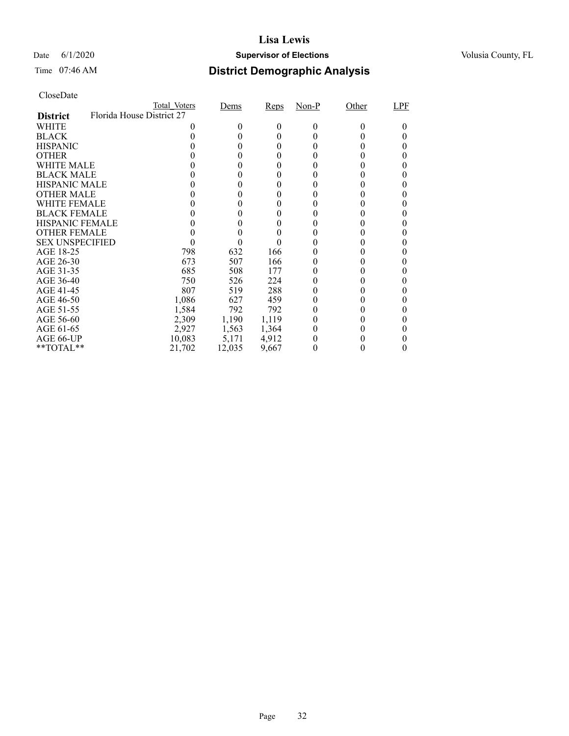#### Date 6/1/2020 **Supervisor of Elections Supervisor of Elections** Volusia County, FL

| CloseDate |
|-----------|
|-----------|

|                        | Total Voters              | Dems   | Reps  | Non-P | Other | LPF |
|------------------------|---------------------------|--------|-------|-------|-------|-----|
| <b>District</b>        | Florida House District 27 |        |       |       |       |     |
| WHITE                  |                           | $_{0}$ | 0     | 0     |       |     |
| <b>BLACK</b>           |                           |        | 0     |       |       |     |
| <b>HISPANIC</b>        |                           |        | 0     |       |       |     |
| <b>OTHER</b>           |                           |        |       |       |       |     |
| WHITE MALE             |                           |        |       |       |       |     |
| <b>BLACK MALE</b>      |                           |        |       |       |       |     |
| <b>HISPANIC MALE</b>   |                           |        |       |       |       |     |
| <b>OTHER MALE</b>      |                           |        | 0     |       |       |     |
| WHITE FEMALE           |                           |        |       |       |       |     |
| <b>BLACK FEMALE</b>    |                           |        |       |       |       |     |
| <b>HISPANIC FEMALE</b> |                           |        |       |       |       |     |
| <b>OTHER FEMALE</b>    |                           |        |       |       |       |     |
| <b>SEX UNSPECIFIED</b> |                           |        |       |       |       |     |
| AGE 18-25              | 798                       | 632    | 166   |       |       |     |
| AGE 26-30              | 673                       | 507    | 166   |       |       |     |
| AGE 31-35              | 685                       | 508    | 177   |       |       |     |
| AGE 36-40              | 750                       | 526    | 224   |       |       |     |
| AGE 41-45              | 807                       | 519    | 288   |       |       |     |
| AGE 46-50              | 1,086                     | 627    | 459   |       |       |     |
| AGE 51-55              | 1,584                     | 792    | 792   |       |       |     |
| AGE 56-60              | 2,309                     | 1,190  | 1,119 |       |       |     |
| AGE 61-65              | 2,927                     | 1,563  | 1,364 |       |       |     |
| AGE 66-UP              | 10,083                    | 5,171  | 4,912 |       |       |     |
| $*$ TOTAL $*$          | 21,702                    | 12,035 | 9,667 |       |       |     |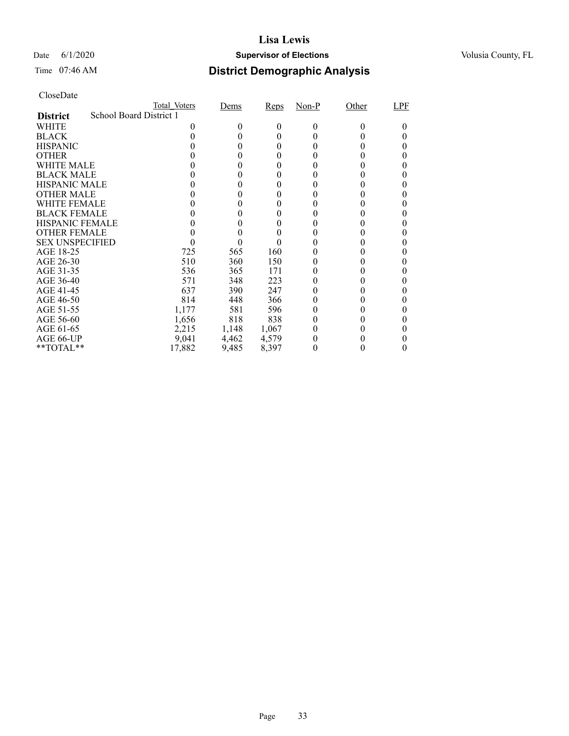#### Date 6/1/2020 **Supervisor of Elections Supervisor of Elections** Volusia County, FL

| CloseDate |
|-----------|
|-----------|

|                                            | Total Voters | Dems  | Reps  | Non-P    | Other | LPF |
|--------------------------------------------|--------------|-------|-------|----------|-------|-----|
| School Board District 1<br><b>District</b> |              |       |       |          |       |     |
| WHITE                                      | 0            | 0     | 0     | $\Omega$ |       |     |
| <b>BLACK</b>                               |              |       | 0     |          |       |     |
| <b>HISPANIC</b>                            |              | 0     | 0     |          |       |     |
| <b>OTHER</b>                               |              |       |       |          |       |     |
| WHITE MALE                                 |              |       |       |          |       |     |
| <b>BLACK MALE</b>                          |              |       |       |          |       |     |
| <b>HISPANIC MALE</b>                       |              |       |       |          |       |     |
| <b>OTHER MALE</b>                          |              | 0     | 0     |          |       |     |
| WHITE FEMALE                               |              |       |       |          |       |     |
| <b>BLACK FEMALE</b>                        |              |       |       |          |       |     |
| <b>HISPANIC FEMALE</b>                     |              |       |       |          |       |     |
| <b>OTHER FEMALE</b>                        |              |       |       |          |       |     |
| <b>SEX UNSPECIFIED</b>                     |              | 0     |       |          |       |     |
| AGE 18-25                                  | 725          | 565   | 160   |          |       |     |
| AGE 26-30                                  | 510          | 360   | 150   |          |       | 0   |
| AGE 31-35                                  | 536          | 365   | 171   |          |       |     |
| AGE 36-40                                  | 571          | 348   | 223   |          |       |     |
| AGE 41-45                                  | 637          | 390   | 247   |          |       |     |
| AGE 46-50                                  | 814          | 448   | 366   |          |       |     |
| AGE 51-55                                  | 1,177        | 581   | 596   |          |       | 0   |
| AGE 56-60                                  | 1,656        | 818   | 838   |          |       |     |
| AGE 61-65                                  | 2,215        | 1,148 | 1,067 |          |       |     |
| AGE 66-UP                                  | 9,041        | 4,462 | 4,579 |          |       |     |
| $*$ TOTAL $*$                              | 17,882       | 9,485 | 8,397 |          |       |     |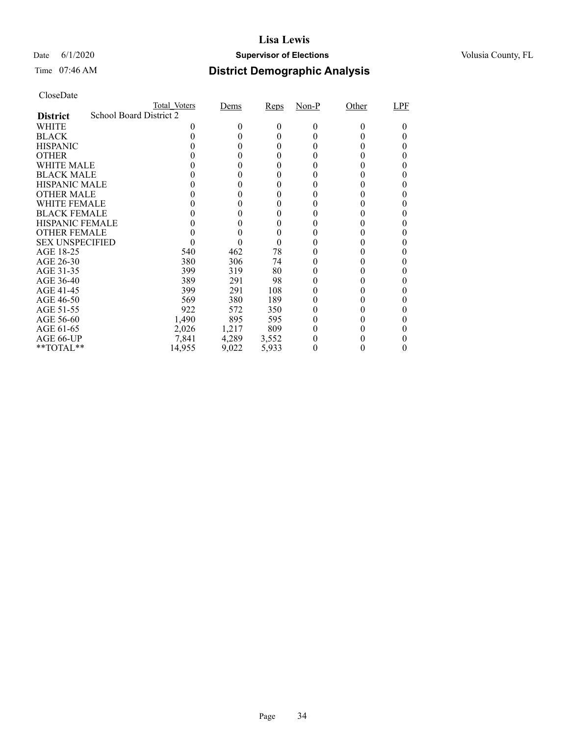#### Date 6/1/2020 **Supervisor of Elections Supervisor of Elections** Volusia County, FL

| CloseDate |
|-----------|
|-----------|

|                        |                         | Total Voters | Dems   | Reps   | Non-P | Other | LPF |
|------------------------|-------------------------|--------------|--------|--------|-------|-------|-----|
| <b>District</b>        | School Board District 2 |              |        |        |       |       |     |
| WHITE                  |                         |              | 0      | 0      | 0     | 0     |     |
| <b>BLACK</b>           |                         |              |        | 0      |       |       |     |
| <b>HISPANIC</b>        |                         |              | 0      | 0      |       |       |     |
| <b>OTHER</b>           |                         |              |        |        |       |       |     |
| WHITE MALE             |                         |              |        |        |       |       |     |
| <b>BLACK MALE</b>      |                         |              |        |        |       |       |     |
| <b>HISPANIC MALE</b>   |                         |              |        |        |       |       |     |
| <b>OTHER MALE</b>      |                         |              | $_{0}$ | 0      |       |       |     |
| WHITE FEMALE           |                         |              |        |        |       |       |     |
| <b>BLACK FEMALE</b>    |                         |              |        |        |       |       |     |
| <b>HISPANIC FEMALE</b> |                         |              |        |        |       |       |     |
| <b>OTHER FEMALE</b>    |                         |              |        |        |       |       |     |
| <b>SEX UNSPECIFIED</b> |                         |              |        | $_{0}$ |       |       |     |
| AGE 18-25              |                         | 540          | 462    | 78     |       |       |     |
| AGE 26-30              |                         | 380          | 306    | 74     |       |       | 0   |
| AGE 31-35              |                         | 399          | 319    | 80     |       |       |     |
| AGE 36-40              |                         | 389          | 291    | 98     |       |       |     |
| AGE 41-45              |                         | 399          | 291    | 108    |       |       |     |
| AGE 46-50              |                         | 569          | 380    | 189    |       |       |     |
| AGE 51-55              |                         | 922          | 572    | 350    |       |       | 0   |
| AGE 56-60              |                         | 1,490        | 895    | 595    |       |       |     |
| AGE 61-65              |                         | 2,026        | 1,217  | 809    |       |       |     |
| AGE 66-UP              |                         | 7,841        | 4,289  | 3,552  |       |       |     |
| $*$ TOTAL $*$          |                         | 14,955       | 9,022  | 5,933  |       |       |     |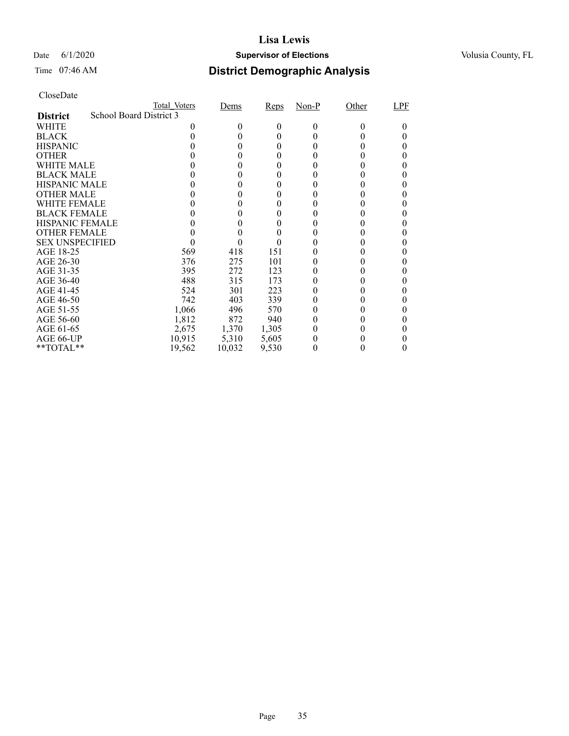#### Date 6/1/2020 **Supervisor of Elections Supervisor of Elections** Volusia County, FL

# Time 07:46 AM **District Demographic Analysis**

|                        |                         | Total Voters | Dems   | Reps  | $Non-P$ | Other    | LPF |
|------------------------|-------------------------|--------------|--------|-------|---------|----------|-----|
| <b>District</b>        | School Board District 3 |              |        |       |         |          |     |
| WHITE                  |                         |              | $_{0}$ | 0     | 0       | $^{(1)}$ |     |
| <b>BLACK</b>           |                         |              |        | 0     |         |          |     |
| <b>HISPANIC</b>        |                         |              | 0      | 0     |         |          |     |
| <b>OTHER</b>           |                         |              |        | 0     |         |          |     |
| WHITE MALE             |                         |              |        | 0     |         |          |     |
| <b>BLACK MALE</b>      |                         |              |        |       |         |          |     |
| <b>HISPANIC MALE</b>   |                         |              |        |       |         |          |     |
| <b>OTHER MALE</b>      |                         |              |        |       |         |          |     |
| WHITE FEMALE           |                         |              |        |       |         |          |     |
| <b>BLACK FEMALE</b>    |                         |              |        |       |         |          |     |
| <b>HISPANIC FEMALE</b> |                         |              |        |       |         |          |     |
| <b>OTHER FEMALE</b>    |                         |              |        | 0     |         |          |     |
| <b>SEX UNSPECIFIED</b> |                         |              |        |       |         |          |     |
| AGE 18-25              |                         | 569          | 418    | 151   |         |          |     |
| AGE 26-30              |                         | 376          | 275    | 101   |         |          |     |
| AGE 31-35              |                         | 395          | 272    | 123   |         |          |     |
| AGE 36-40              |                         | 488          | 315    | 173   |         |          |     |
| AGE 41-45              |                         | 524          | 301    | 223   |         |          |     |
| AGE 46-50              |                         | 742          | 403    | 339   |         |          |     |
| AGE 51-55              |                         | 1,066        | 496    | 570   |         |          |     |
| AGE 56-60              |                         | 1,812        | 872    | 940   |         |          |     |
| AGE 61-65              |                         | 2,675        | 1,370  | 1,305 |         |          |     |
| AGE 66-UP              |                         | 10,915       | 5,310  | 5,605 |         |          |     |
| $*$ $TOTAL**$          |                         | 19,562       | 10,032 | 9,530 | 0       |          |     |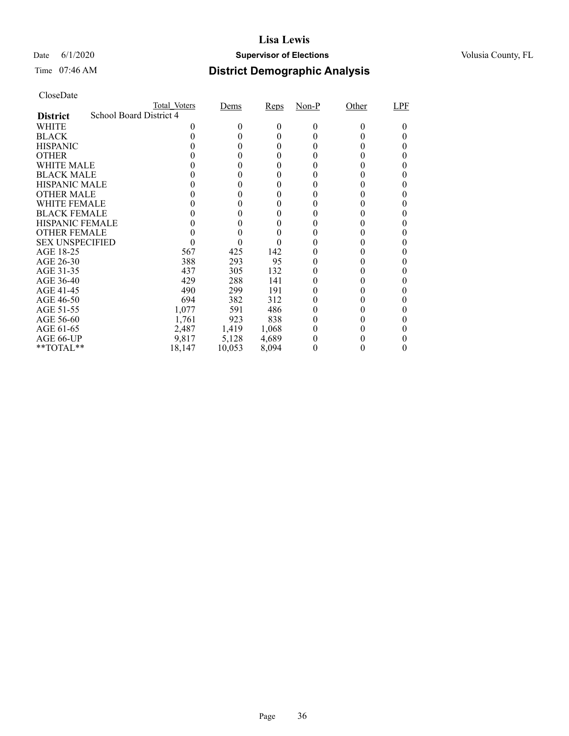#### Date 6/1/2020 **Supervisor of Elections Supervisor of Elections** Volusia County, FL

# Time 07:46 AM **District Demographic Analysis**

|                        |                         | Total Voters | Dems   | Reps  | $Non-P$ | Other  | LPF |
|------------------------|-------------------------|--------------|--------|-------|---------|--------|-----|
| <b>District</b>        | School Board District 4 |              |        |       |         |        |     |
| WHITE                  |                         |              | $_{0}$ | 0     | 0       | $_{0}$ |     |
| <b>BLACK</b>           |                         |              |        | 0     |         |        |     |
| <b>HISPANIC</b>        |                         |              | 0      | 0     |         |        |     |
| <b>OTHER</b>           |                         |              |        | 0     |         |        |     |
| WHITE MALE             |                         |              |        | 0     |         |        |     |
| <b>BLACK MALE</b>      |                         |              |        |       |         |        |     |
| <b>HISPANIC MALE</b>   |                         |              |        |       |         |        |     |
| <b>OTHER MALE</b>      |                         |              |        |       |         |        |     |
| WHITE FEMALE           |                         |              |        |       |         |        |     |
| <b>BLACK FEMALE</b>    |                         |              |        |       |         |        |     |
| <b>HISPANIC FEMALE</b> |                         |              |        |       |         |        |     |
| <b>OTHER FEMALE</b>    |                         |              |        | 0     |         |        |     |
| <b>SEX UNSPECIFIED</b> |                         |              |        |       |         |        |     |
| AGE 18-25              |                         | 567          | 425    | 142   |         |        |     |
| AGE 26-30              |                         | 388          | 293    | 95    |         |        |     |
| AGE 31-35              |                         | 437          | 305    | 132   |         |        |     |
| AGE 36-40              |                         | 429          | 288    | 141   |         |        |     |
| AGE 41-45              |                         | 490          | 299    | 191   |         |        |     |
| AGE 46-50              |                         | 694          | 382    | 312   |         |        |     |
| AGE 51-55              |                         | 1,077        | 591    | 486   |         |        |     |
| AGE 56-60              |                         | 1,761        | 923    | 838   |         |        |     |
| AGE 61-65              |                         | 2,487        | 1,419  | 1,068 |         |        |     |
| AGE 66-UP              |                         | 9,817        | 5,128  | 4,689 |         |        |     |
| $*$ $TOTAL**$          |                         | 18,147       | 10,053 | 8,094 | 0       |        |     |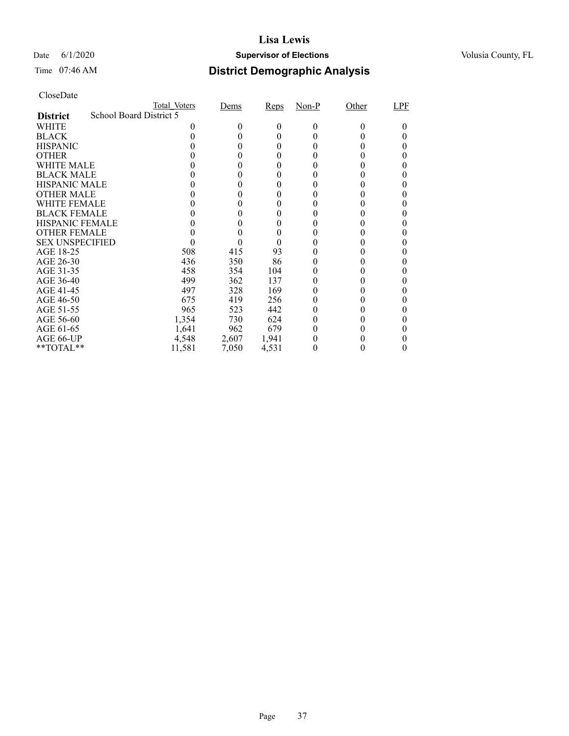### Date 6/1/2020 **Supervisor of Elections Supervisor of Elections** Volusia County, FL

| CloseDate |
|-----------|
|-----------|

|                        | <b>Total Voters</b>     | Dems   | Reps  | Non-P | Other | LPF |
|------------------------|-------------------------|--------|-------|-------|-------|-----|
| <b>District</b>        | School Board District 5 |        |       |       |       |     |
| WHITE                  |                         | $_{0}$ | 0     | 0     |       |     |
| <b>BLACK</b>           |                         |        | 0     |       |       |     |
| <b>HISPANIC</b>        |                         | 0      | 0     |       |       |     |
| <b>OTHER</b>           |                         |        |       |       |       |     |
| WHITE MALE             |                         |        |       |       |       |     |
| <b>BLACK MALE</b>      |                         |        |       |       |       |     |
| <b>HISPANIC MALE</b>   |                         |        |       |       |       |     |
| <b>OTHER MALE</b>      |                         |        | 0     |       |       |     |
| WHITE FEMALE           |                         |        |       |       |       |     |
| <b>BLACK FEMALE</b>    |                         |        |       |       |       |     |
| <b>HISPANIC FEMALE</b> |                         |        |       |       |       |     |
| <b>OTHER FEMALE</b>    |                         |        |       |       |       |     |
| <b>SEX UNSPECIFIED</b> |                         |        | 0     |       |       |     |
| AGE 18-25              | 508                     | 415    | 93    |       |       |     |
| AGE 26-30              | 436                     | 350    | 86    |       |       |     |
| AGE 31-35              | 458                     | 354    | 104   |       |       |     |
| AGE 36-40              | 499                     | 362    | 137   |       |       |     |
| AGE 41-45              | 497                     | 328    | 169   |       |       |     |
| AGE 46-50              | 675                     | 419    | 256   |       |       |     |
| AGE 51-55              | 965                     | 523    | 442   |       |       |     |
| AGE 56-60              | 1,354                   | 730    | 624   |       |       |     |
| AGE 61-65              | 1,641                   | 962    | 679   |       |       |     |
| AGE 66-UP              | 4,548                   | 2,607  | 1,941 |       |       |     |
| $*$ TOTAL $*$          | 11,581                  | 7,050  | 4,531 |       |       |     |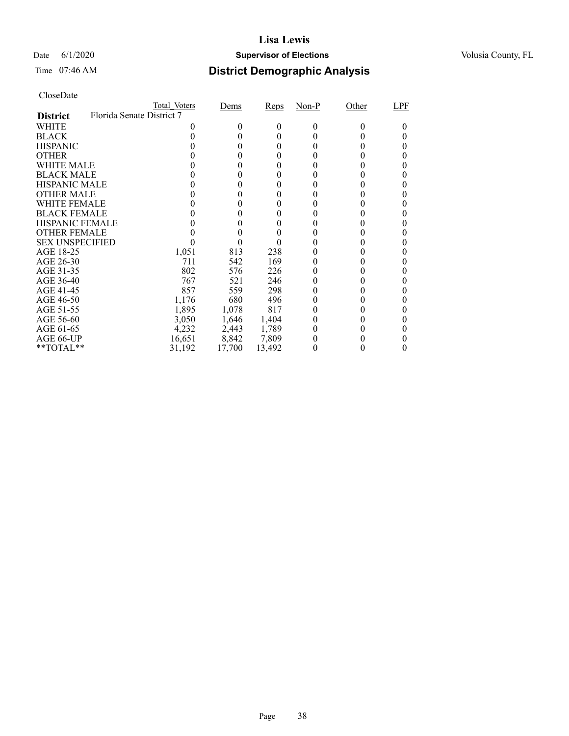### Date 6/1/2020 **Supervisor of Elections Supervisor of Elections** Volusia County, FL

| CloseDate |
|-----------|
|-----------|

|                        | Total Voters              | Dems   | Reps   | Non-P | Other | LPF |
|------------------------|---------------------------|--------|--------|-------|-------|-----|
| <b>District</b>        | Florida Senate District 7 |        |        |       |       |     |
| WHITE                  |                           | $_{0}$ | 0      | 0     |       |     |
| <b>BLACK</b>           |                           |        | 0      |       |       |     |
| <b>HISPANIC</b>        |                           | 0      | 0      |       |       |     |
| <b>OTHER</b>           |                           |        |        |       |       |     |
| WHITE MALE             |                           |        |        |       |       |     |
| <b>BLACK MALE</b>      |                           |        |        |       |       |     |
| <b>HISPANIC MALE</b>   |                           |        |        |       |       |     |
| <b>OTHER MALE</b>      |                           |        | 0      |       |       |     |
| WHITE FEMALE           |                           |        |        |       |       |     |
| <b>BLACK FEMALE</b>    |                           |        |        |       |       |     |
| <b>HISPANIC FEMALE</b> |                           |        |        |       |       |     |
| <b>OTHER FEMALE</b>    |                           |        |        |       |       |     |
| <b>SEX UNSPECIFIED</b> |                           |        |        |       |       |     |
| AGE 18-25              | 1,051                     | 813    | 238    |       |       |     |
| AGE 26-30              | 711                       | 542    | 169    |       |       | 0   |
| AGE 31-35              | 802                       | 576    | 226    |       |       |     |
| AGE 36-40              | 767                       | 521    | 246    |       |       |     |
| AGE 41-45              | 857                       | 559    | 298    |       |       |     |
| AGE 46-50              | 1,176                     | 680    | 496    |       |       |     |
| AGE 51-55              | 1,895                     | 1,078  | 817    |       |       |     |
| AGE 56-60              | 3,050                     | 1,646  | 1,404  |       |       |     |
| AGE 61-65              | 4,232                     | 2,443  | 1,789  |       |       |     |
| AGE 66-UP              | 16,651                    | 8,842  | 7,809  |       |       |     |
| $*$ TOTAL $*$          | 31,192                    | 17,700 | 13,492 |       |       |     |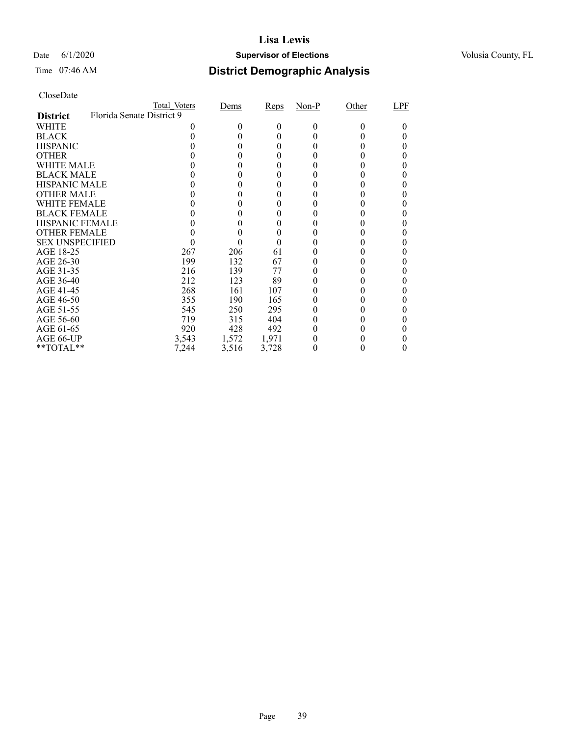### Date 6/1/2020 **Supervisor of Elections Supervisor of Elections** Volusia County, FL

| CloseDate |
|-----------|
|-----------|

|                        |                           | Total Voters | Dems   | Reps  | Non-P | Other | LPF |
|------------------------|---------------------------|--------------|--------|-------|-------|-------|-----|
| <b>District</b>        | Florida Senate District 9 |              |        |       |       |       |     |
| WHITE                  |                           |              | $_{0}$ | 0     | 0     |       |     |
| <b>BLACK</b>           |                           |              |        | 0     |       |       |     |
| <b>HISPANIC</b>        |                           |              |        | 0     |       |       |     |
| <b>OTHER</b>           |                           |              |        |       |       |       |     |
| WHITE MALE             |                           |              |        |       |       |       |     |
| <b>BLACK MALE</b>      |                           |              |        |       |       |       |     |
| <b>HISPANIC MALE</b>   |                           |              |        |       |       |       |     |
| <b>OTHER MALE</b>      |                           |              |        | 0     |       |       |     |
| WHITE FEMALE           |                           |              |        |       |       |       |     |
| <b>BLACK FEMALE</b>    |                           |              |        |       |       |       |     |
| <b>HISPANIC FEMALE</b> |                           |              |        |       |       |       |     |
| <b>OTHER FEMALE</b>    |                           |              |        |       |       |       |     |
| <b>SEX UNSPECIFIED</b> |                           |              |        | 0     |       |       |     |
| AGE 18-25              |                           | 267          | 206    | 61    |       |       |     |
| AGE 26-30              |                           | 199          | 132    | 67    |       |       |     |
| AGE 31-35              |                           | 216          | 139    | 77    |       |       |     |
| AGE 36-40              |                           | 212          | 123    | 89    |       |       |     |
| AGE 41-45              |                           | 268          | 161    | 107   |       |       |     |
| AGE 46-50              |                           | 355          | 190    | 165   |       |       |     |
| AGE 51-55              |                           | 545          | 250    | 295   |       |       |     |
| AGE 56-60              |                           | 719          | 315    | 404   |       |       |     |
| AGE 61-65              |                           | 920          | 428    | 492   |       |       |     |
| AGE 66-UP              |                           | 3,543        | 1,572  | 1,971 |       |       |     |
| $*$ TOTAL $*$          |                           | 7,244        | 3,516  | 3,728 |       |       |     |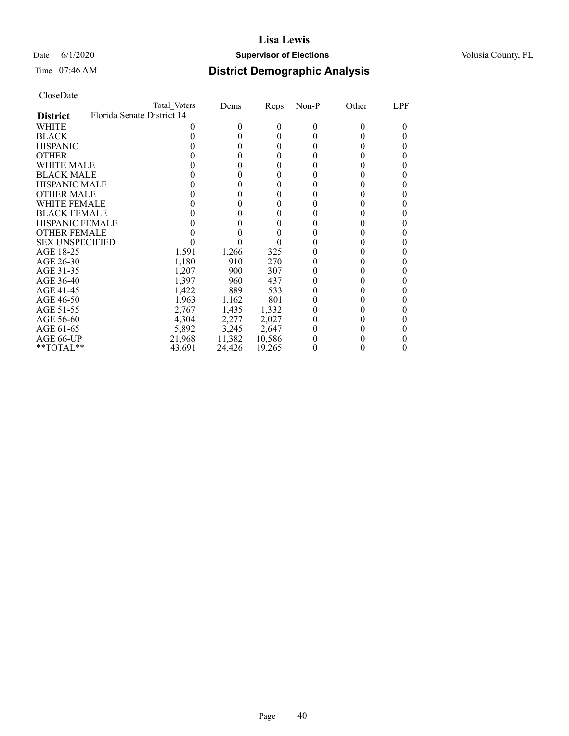### Date 6/1/2020 **Supervisor of Elections Supervisor of Elections** Volusia County, FL

| CloseDate |
|-----------|
|-----------|

|                        | Total Voters               | Dems   | Reps     | Non-P    | Other | LPF |
|------------------------|----------------------------|--------|----------|----------|-------|-----|
| <b>District</b>        | Florida Senate District 14 |        |          |          |       |     |
| WHITE                  |                            | 0      | $^{(1)}$ | $\Omega$ | 0     |     |
| <b>BLACK</b>           |                            |        | 0        |          |       |     |
| <b>HISPANIC</b>        |                            | 0      | $_{0}$   |          |       | 0   |
| <b>OTHER</b>           |                            |        |          |          |       |     |
| WHITE MALE             |                            |        |          |          |       |     |
| <b>BLACK MALE</b>      |                            |        |          |          |       |     |
| <b>HISPANIC MALE</b>   |                            |        |          |          |       |     |
| <b>OTHER MALE</b>      |                            | 0      | 0        |          |       |     |
| WHITE FEMALE           |                            |        |          |          |       |     |
| <b>BLACK FEMALE</b>    |                            |        |          |          |       |     |
| <b>HISPANIC FEMALE</b> |                            |        |          |          |       |     |
| <b>OTHER FEMALE</b>    |                            |        |          |          |       |     |
| <b>SEX UNSPECIFIED</b> |                            |        |          |          |       |     |
| AGE 18-25              | 1,591                      | 1,266  | 325      |          |       |     |
| AGE 26-30              | 1,180                      | 910    | 270      |          |       |     |
| AGE 31-35              | 1,207                      | 900    | 307      |          |       |     |
| AGE 36-40              | 1,397                      | 960    | 437      |          |       |     |
| AGE 41-45              | 1,422                      | 889    | 533      |          |       |     |
| AGE 46-50              | 1,963                      | 1,162  | 801      |          |       |     |
| AGE 51-55              | 2,767                      | 1,435  | 1,332    |          |       | 0   |
| AGE 56-60              | 4,304                      | 2,277  | 2,027    |          |       |     |
| AGE 61-65              | 5,892                      | 3,245  | 2,647    |          |       |     |
| AGE 66-UP              | 21,968                     | 11,382 | 10,586   |          |       |     |
| $*$ $TOTAL**$          | 43,691                     | 24,426 | 19,265   |          |       | 0   |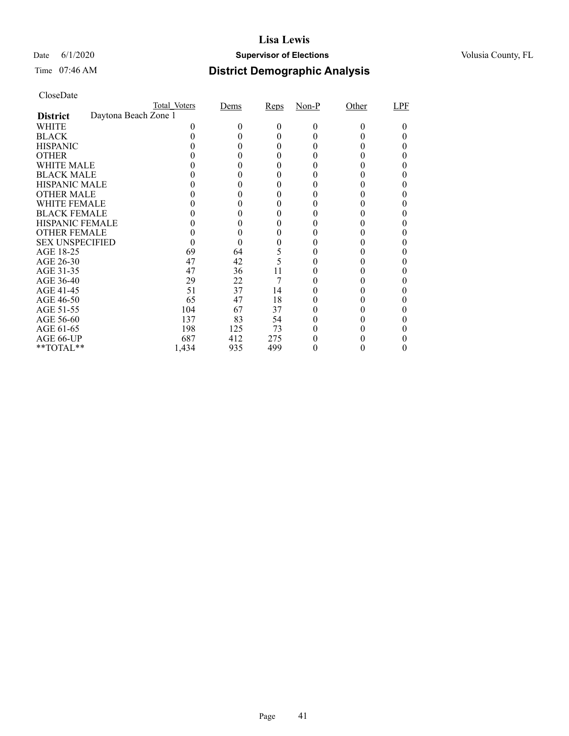### Date 6/1/2020 **Supervisor of Elections Supervisor of Elections** Volusia County, FL

| CloseDate |
|-----------|
|-----------|

|                        |                      | Total Voters | Dems | Reps     | $Non-P$ | Other | LPF |
|------------------------|----------------------|--------------|------|----------|---------|-------|-----|
| <b>District</b>        | Daytona Beach Zone 1 |              |      |          |         |       |     |
| WHITE                  |                      |              |      | $^{(1)}$ | $_{0}$  |       |     |
| <b>BLACK</b>           |                      |              |      |          |         |       |     |
| <b>HISPANIC</b>        |                      |              |      |          |         |       |     |
| <b>OTHER</b>           |                      |              |      |          |         |       |     |
| WHITE MALE             |                      |              |      |          |         |       |     |
| <b>BLACK MALE</b>      |                      |              |      |          |         |       |     |
| <b>HISPANIC MALE</b>   |                      |              |      |          |         |       |     |
| <b>OTHER MALE</b>      |                      |              |      |          |         |       |     |
| <b>WHITE FEMALE</b>    |                      |              |      |          |         |       |     |
| <b>BLACK FEMALE</b>    |                      |              |      |          |         |       |     |
| <b>HISPANIC FEMALE</b> |                      |              |      |          |         |       |     |
| <b>OTHER FEMALE</b>    |                      |              |      |          |         |       |     |
| <b>SEX UNSPECIFIED</b> |                      |              |      |          |         |       |     |
| AGE 18-25              |                      | 69           | 64   | 5        |         |       |     |
| AGE 26-30              |                      | 47           | 42   | 5        |         |       |     |
| AGE 31-35              |                      | 47           | 36   | 11       |         |       |     |
| AGE 36-40              |                      | 29           | 22   |          |         |       |     |
| AGE 41-45              |                      | 51           | 37   | 14       |         |       |     |
| AGE 46-50              |                      | 65           | 47   | 18       |         |       |     |
| AGE 51-55              |                      | 104          | 67   | 37       |         |       |     |
| AGE 56-60              |                      | 137          | 83   | 54       |         |       |     |
| AGE 61-65              |                      | 198          | 125  | 73       |         |       |     |
| AGE 66-UP              |                      | 687          | 412  | 275      |         |       |     |
| **TOTAL**              |                      | 1,434        | 935  | 499      |         |       |     |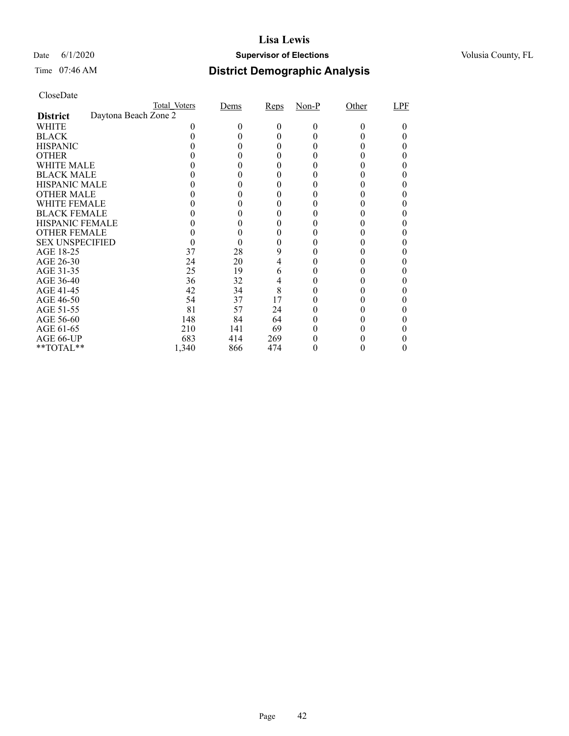### Date 6/1/2020 **Supervisor of Elections Supervisor of Elections** Volusia County, FL

## Time 07:46 AM **District Demographic Analysis**

|                        |                      | Total Voters | Dems | Reps | $Non-P$ | Other  | LPF |
|------------------------|----------------------|--------------|------|------|---------|--------|-----|
| <b>District</b>        | Daytona Beach Zone 2 |              |      |      |         |        |     |
| WHITE                  |                      |              | 0    | 0    | 0       | $_{0}$ |     |
| <b>BLACK</b>           |                      |              |      | 0    |         |        |     |
| <b>HISPANIC</b>        |                      |              |      | 0    |         |        |     |
| <b>OTHER</b>           |                      |              |      |      |         |        |     |
| WHITE MALE             |                      |              |      | 0    |         |        |     |
| <b>BLACK MALE</b>      |                      |              |      |      |         |        |     |
| <b>HISPANIC MALE</b>   |                      |              |      |      |         |        |     |
| <b>OTHER MALE</b>      |                      |              |      |      |         |        |     |
| WHITE FEMALE           |                      |              |      |      |         |        |     |
| <b>BLACK FEMALE</b>    |                      |              |      |      |         |        |     |
| <b>HISPANIC FEMALE</b> |                      |              |      |      |         |        |     |
| <b>OTHER FEMALE</b>    |                      |              |      | 0    |         |        |     |
| <b>SEX UNSPECIFIED</b> |                      |              |      |      |         |        |     |
| AGE 18-25              |                      | 37           | 28   | 9    |         |        |     |
| AGE 26-30              |                      | 24           | 20   | 4    |         |        |     |
| AGE 31-35              |                      | 25           | 19   | 6    |         |        |     |
| AGE 36-40              |                      | 36           | 32   | 4    |         |        |     |
| AGE 41-45              |                      | 42           | 34   | 8    |         |        |     |
| AGE 46-50              |                      | 54           | 37   | 17   |         |        |     |
| AGE 51-55              |                      | 81           | 57   | 24   |         |        |     |
| AGE 56-60              |                      | 148          | 84   | 64   |         |        |     |
| AGE 61-65              |                      | 210          | 141  | 69   |         |        |     |
| AGE 66-UP              |                      | 683          | 414  | 269  |         |        |     |
| **TOTAL**              |                      | 1,340        | 866  | 474  |         |        |     |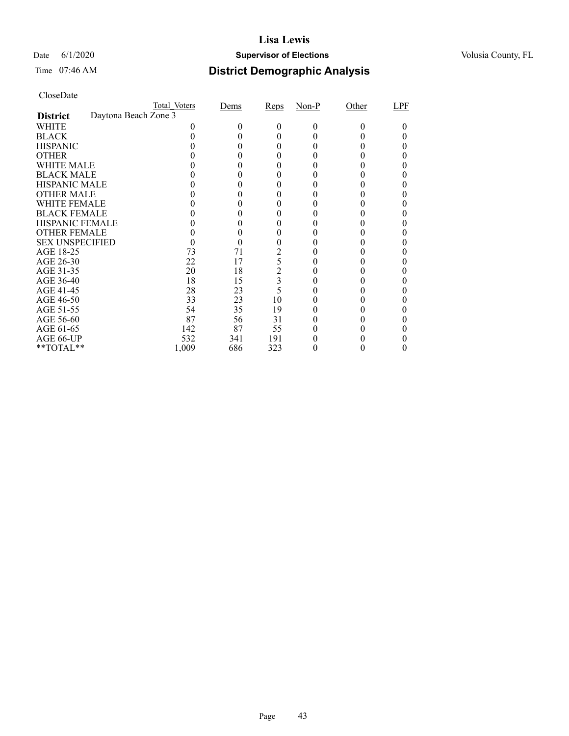### Date 6/1/2020 **Supervisor of Elections Supervisor of Elections** Volusia County, FL

## Time 07:46 AM **District Demographic Analysis**

|                        |                      | Total Voters | Dems | Reps           | $Non-P$ | Other  | LPF |
|------------------------|----------------------|--------------|------|----------------|---------|--------|-----|
| <b>District</b>        | Daytona Beach Zone 3 |              |      |                |         |        |     |
| WHITE                  |                      |              | 0    | 0              | 0       | $_{0}$ |     |
| <b>BLACK</b>           |                      |              |      | 0              |         |        |     |
| <b>HISPANIC</b>        |                      |              |      | 0              |         |        |     |
| <b>OTHER</b>           |                      |              |      |                |         |        |     |
| WHITE MALE             |                      |              |      | 0              |         |        |     |
| <b>BLACK MALE</b>      |                      |              |      |                |         |        |     |
| <b>HISPANIC MALE</b>   |                      |              |      |                |         |        |     |
| <b>OTHER MALE</b>      |                      |              |      |                |         |        |     |
| WHITE FEMALE           |                      |              |      |                |         |        |     |
| <b>BLACK FEMALE</b>    |                      |              |      |                |         |        |     |
| <b>HISPANIC FEMALE</b> |                      |              |      |                |         |        |     |
| <b>OTHER FEMALE</b>    |                      |              | 0    | 0              |         |        |     |
| <b>SEX UNSPECIFIED</b> |                      |              |      |                |         |        |     |
| AGE 18-25              |                      | 73           | 71   | 2              |         |        |     |
| AGE 26-30              |                      | 22           | 17   | 5              |         |        |     |
| AGE 31-35              |                      | 20           | 18   | $\overline{c}$ |         |        |     |
| AGE 36-40              |                      | 18           | 15   | 3              |         |        |     |
| AGE 41-45              |                      | 28           | 23   | 5              |         |        |     |
| AGE 46-50              |                      | 33           | 23   | 10             |         |        |     |
| AGE 51-55              |                      | 54           | 35   | 19             |         |        |     |
| AGE 56-60              |                      | 87           | 56   | 31             |         |        |     |
| AGE 61-65              |                      | 142          | 87   | 55             |         |        |     |
| AGE 66-UP              |                      | 532          | 341  | 191            |         |        |     |
| **TOTAL**              |                      | 1,009        | 686  | 323            |         |        |     |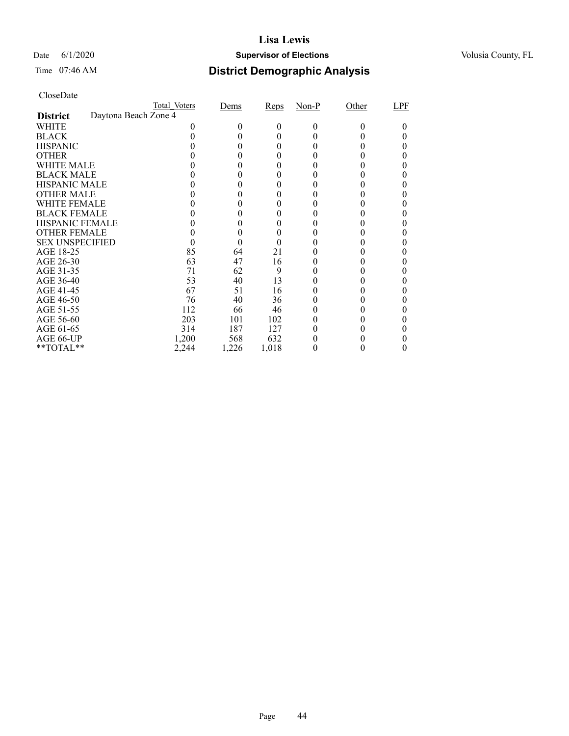### Date 6/1/2020 **Supervisor of Elections Supervisor of Elections** Volusia County, FL

# Time 07:46 AM **District Demographic Analysis**

|                        |                      | Total Voters | Dems  | Reps  | $Non-P$ | Other | LPF |
|------------------------|----------------------|--------------|-------|-------|---------|-------|-----|
| <b>District</b>        | Daytona Beach Zone 4 |              |       |       |         |       |     |
| WHITE                  |                      |              | 0     | 0     | 0       | 0     |     |
| <b>BLACK</b>           |                      |              |       | 0     |         |       |     |
| <b>HISPANIC</b>        |                      |              |       | 0     |         |       |     |
| <b>OTHER</b>           |                      |              |       |       |         |       |     |
| WHITE MALE             |                      |              |       | 0     |         |       |     |
| <b>BLACK MALE</b>      |                      |              |       |       |         |       |     |
| <b>HISPANIC MALE</b>   |                      |              |       |       |         |       |     |
| <b>OTHER MALE</b>      |                      |              |       |       |         |       |     |
| WHITE FEMALE           |                      |              |       |       |         |       |     |
| <b>BLACK FEMALE</b>    |                      |              |       |       |         |       |     |
| <b>HISPANIC FEMALE</b> |                      |              |       |       |         |       |     |
| <b>OTHER FEMALE</b>    |                      |              | 0     | 0     |         |       |     |
| <b>SEX UNSPECIFIED</b> |                      |              |       |       |         |       |     |
| AGE 18-25              |                      | 85           | 64    | 21    |         |       |     |
| AGE 26-30              |                      | 63           | 47    | 16    |         |       |     |
| AGE 31-35              |                      | 71           | 62    | 9     |         |       |     |
| AGE 36-40              |                      | 53           | 40    | 13    |         |       |     |
| AGE 41-45              |                      | 67           | 51    | 16    |         |       |     |
| AGE 46-50              |                      | 76           | 40    | 36    |         |       |     |
| AGE 51-55              |                      | 112          | 66    | 46    |         |       |     |
| AGE 56-60              |                      | 203          | 101   | 102   |         |       |     |
| AGE 61-65              |                      | 314          | 187   | 127   |         |       |     |
| AGE 66-UP              |                      | 1,200        | 568   | 632   |         |       |     |
| **TOTAL**              |                      | 2,244        | 1,226 | 1,018 |         |       |     |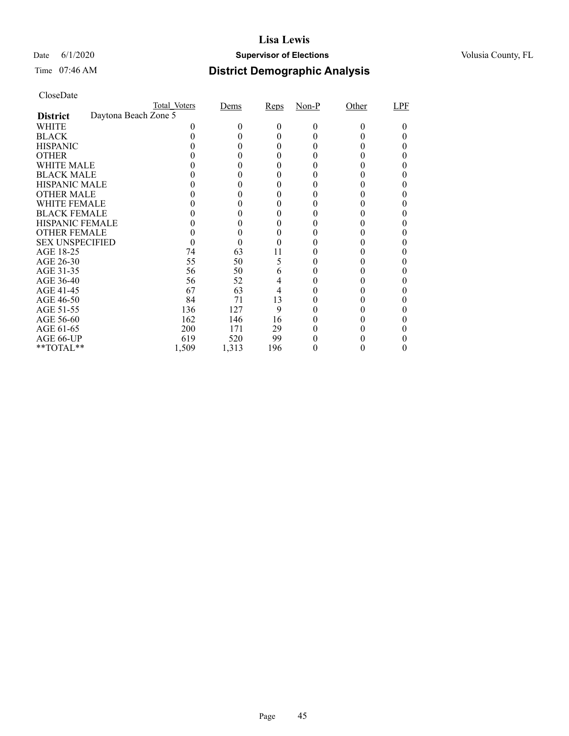### Date 6/1/2020 **Supervisor of Elections Supervisor of Elections** Volusia County, FL

## Time 07:46 AM **District Demographic Analysis**

|                        |                      | Total Voters | Dems  | Reps | $Non-P$ | Other  | LPF |
|------------------------|----------------------|--------------|-------|------|---------|--------|-----|
| <b>District</b>        | Daytona Beach Zone 5 |              |       |      |         |        |     |
| WHITE                  |                      |              | 0     | 0    | 0       | $_{0}$ |     |
| <b>BLACK</b>           |                      |              |       | 0    |         |        |     |
| <b>HISPANIC</b>        |                      |              |       | 0    |         |        |     |
| <b>OTHER</b>           |                      |              |       |      |         |        |     |
| WHITE MALE             |                      |              |       | 0    |         |        |     |
| <b>BLACK MALE</b>      |                      |              |       |      |         |        |     |
| <b>HISPANIC MALE</b>   |                      |              |       |      |         |        |     |
| <b>OTHER MALE</b>      |                      |              |       |      |         |        |     |
| WHITE FEMALE           |                      |              |       |      |         |        |     |
| <b>BLACK FEMALE</b>    |                      |              |       |      |         |        |     |
| <b>HISPANIC FEMALE</b> |                      |              |       |      |         |        |     |
| <b>OTHER FEMALE</b>    |                      |              |       | 0    |         |        |     |
| <b>SEX UNSPECIFIED</b> |                      |              |       |      |         |        |     |
| AGE 18-25              |                      | 74           | 63    | 11   |         |        |     |
| AGE 26-30              |                      | 55           | 50    | 5    |         |        |     |
| AGE 31-35              |                      | 56           | 50    | 6    |         |        |     |
| AGE 36-40              |                      | 56           | 52    | 4    |         |        |     |
| AGE 41-45              |                      | 67           | 63    | 4    |         |        |     |
| AGE 46-50              |                      | 84           | 71    | 13   |         |        |     |
| AGE 51-55              |                      | 136          | 127   | 9    |         |        |     |
| AGE 56-60              |                      | 162          | 146   | 16   |         |        |     |
| AGE 61-65              |                      | 200          | 171   | 29   |         |        |     |
| AGE 66-UP              |                      | 619          | 520   | 99   |         |        |     |
| **TOTAL**              |                      | 1,509        | 1,313 | 196  |         |        |     |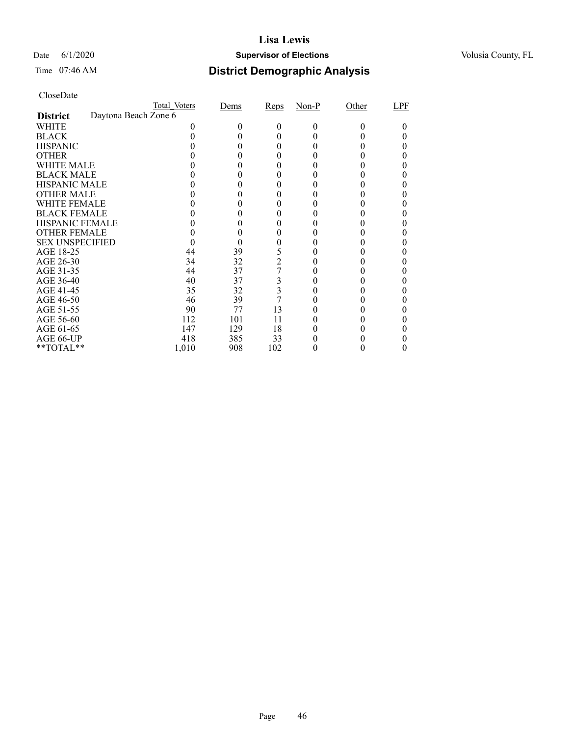### Date 6/1/2020 **Supervisor of Elections Supervisor of Elections** Volusia County, FL

## Time 07:46 AM **District Demographic Analysis**

|                        |                      | Total Voters | Dems | Reps           | $Non-P$ | Other  | LPF |
|------------------------|----------------------|--------------|------|----------------|---------|--------|-----|
| <b>District</b>        | Daytona Beach Zone 6 |              |      |                |         |        |     |
| WHITE                  |                      |              | 0    | 0              | 0       | $_{0}$ |     |
| <b>BLACK</b>           |                      |              |      | 0              |         |        |     |
| <b>HISPANIC</b>        |                      |              |      | 0              |         |        |     |
| <b>OTHER</b>           |                      |              |      |                |         |        |     |
| WHITE MALE             |                      |              |      | 0              |         |        |     |
| <b>BLACK MALE</b>      |                      |              |      |                |         |        |     |
| <b>HISPANIC MALE</b>   |                      |              |      |                |         |        |     |
| <b>OTHER MALE</b>      |                      |              |      |                |         |        |     |
| WHITE FEMALE           |                      |              |      |                |         |        |     |
| <b>BLACK FEMALE</b>    |                      |              |      |                |         |        |     |
| <b>HISPANIC FEMALE</b> |                      |              |      |                |         |        |     |
| <b>OTHER FEMALE</b>    |                      |              |      | 0              |         |        |     |
| <b>SEX UNSPECIFIED</b> |                      |              |      |                |         |        |     |
| AGE 18-25              |                      | 44           | 39   | 5              |         |        |     |
| AGE 26-30              |                      | 34           | 32   | $\overline{2}$ |         |        |     |
| AGE 31-35              |                      | 44           | 37   | 7              |         |        |     |
| AGE 36-40              |                      | 40           | 37   | 3              |         |        |     |
| AGE 41-45              |                      | 35           | 32   | 3              |         |        |     |
| AGE 46-50              |                      | 46           | 39   |                |         |        |     |
| AGE 51-55              |                      | 90           | 77   | 13             |         |        |     |
| AGE 56-60              |                      | 112          | 101  | 11             |         |        |     |
| AGE 61-65              |                      | 147          | 129  | 18             |         |        |     |
| AGE 66-UP              |                      | 418          | 385  | 33             |         |        |     |
| **TOTAL**              |                      | 1,010        | 908  | 102            |         |        |     |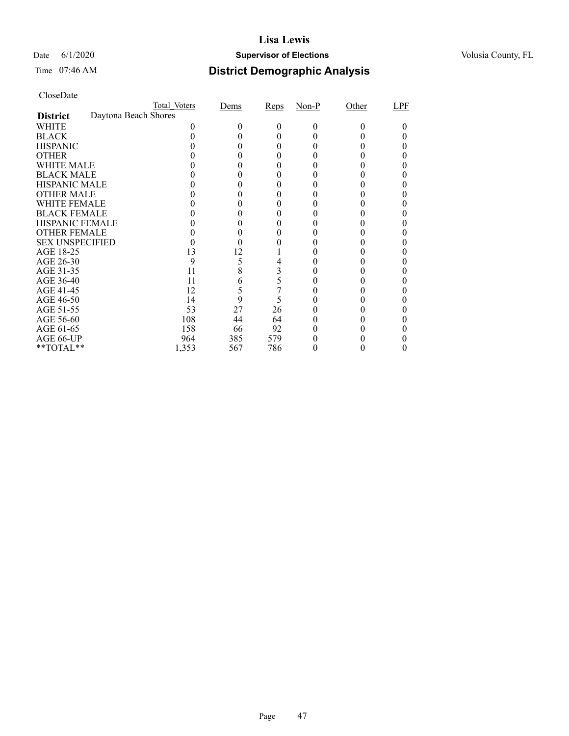### Date 6/1/2020 **Supervisor of Elections Supervisor of Elections** Volusia County, FL

## Time 07:46 AM **District Demographic Analysis**

|                        |                      | Total Voters | Dems | Reps | $Non-P$ | Other  | LPF |
|------------------------|----------------------|--------------|------|------|---------|--------|-----|
| <b>District</b>        | Daytona Beach Shores |              |      |      |         |        |     |
| WHITE                  |                      |              |      | 0    | 0       | $_{0}$ |     |
| <b>BLACK</b>           |                      |              |      |      |         |        |     |
| <b>HISPANIC</b>        |                      |              |      | 0    |         |        |     |
| <b>OTHER</b>           |                      |              |      |      |         |        |     |
| WHITE MALE             |                      |              |      |      |         |        |     |
| <b>BLACK MALE</b>      |                      |              |      |      |         |        |     |
| <b>HISPANIC MALE</b>   |                      |              |      |      |         |        |     |
| <b>OTHER MALE</b>      |                      |              |      |      |         |        |     |
| WHITE FEMALE           |                      |              |      |      |         |        |     |
| <b>BLACK FEMALE</b>    |                      |              |      |      |         |        |     |
| <b>HISPANIC FEMALE</b> |                      |              |      |      |         |        |     |
| <b>OTHER FEMALE</b>    |                      |              |      |      |         |        |     |
| <b>SEX UNSPECIFIED</b> |                      |              |      |      |         |        |     |
| AGE 18-25              |                      | 13           | 12   |      |         |        |     |
| AGE 26-30              |                      | 9            | 5    |      |         |        |     |
| AGE 31-35              |                      | 11           | 8    | 3    |         |        |     |
| AGE 36-40              |                      | 11           | 6    | 5    |         |        |     |
| AGE 41-45              |                      | 12           | 5    |      |         |        |     |
| AGE 46-50              |                      | 14           | 9    | 5    |         |        |     |
| AGE 51-55              |                      | 53           | 27   | 26   |         |        |     |
| AGE 56-60              |                      | 108          | 44   | 64   |         |        |     |
| AGE 61-65              |                      | 158          | 66   | 92   |         |        |     |
| AGE 66-UP              |                      | 964          | 385  | 579  |         |        |     |
| **TOTAL**              |                      | 1,353        | 567  | 786  |         |        |     |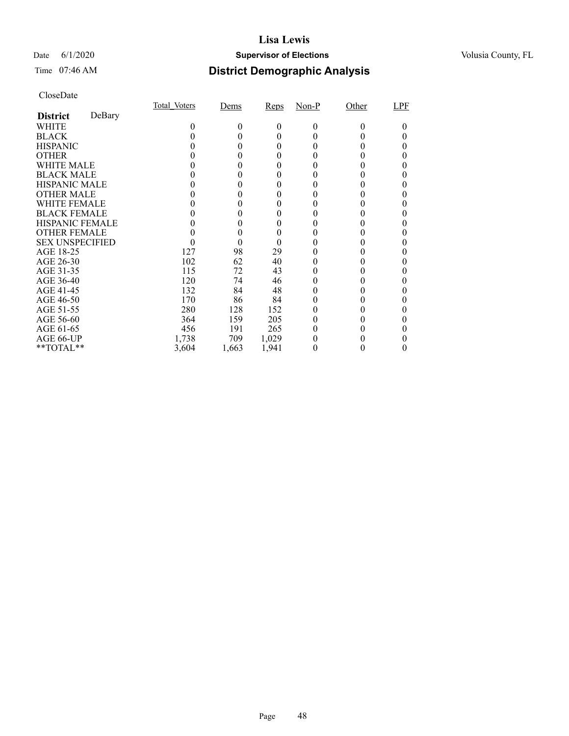### Date 6/1/2020 **Supervisor of Elections Supervisor of Elections** Volusia County, FL

## Time 07:46 AM **District Demographic Analysis**

|                        |        | Total Voters | Dems  | Reps     | Non-P | Other | LPF |
|------------------------|--------|--------------|-------|----------|-------|-------|-----|
| <b>District</b>        | DeBary |              |       |          |       |       |     |
| WHITE                  |        | 0            | 0     | $\theta$ | 0     | 0     |     |
| <b>BLACK</b>           |        |              |       | 0        |       |       |     |
| <b>HISPANIC</b>        |        |              |       | $_{0}$   |       |       |     |
| <b>OTHER</b>           |        |              |       |          |       |       |     |
| WHITE MALE             |        |              |       |          |       |       |     |
| <b>BLACK MALE</b>      |        |              |       | 0        |       |       |     |
| <b>HISPANIC MALE</b>   |        |              |       |          |       |       |     |
| <b>OTHER MALE</b>      |        |              |       | 0        |       |       |     |
| WHITE FEMALE           |        |              |       |          |       |       |     |
| <b>BLACK FEMALE</b>    |        |              |       |          |       |       |     |
| <b>HISPANIC FEMALE</b> |        |              |       |          |       |       |     |
| <b>OTHER FEMALE</b>    |        |              |       | 0        |       |       |     |
| <b>SEX UNSPECIFIED</b> |        |              |       | $\theta$ |       |       |     |
| AGE 18-25              |        | 127          | 98    | 29       |       |       |     |
| AGE 26-30              |        | 102          | 62    | 40       | 0     |       |     |
| AGE 31-35              |        | 115          | 72    | 43       |       |       |     |
| AGE 36-40              |        | 120          | 74    | 46       |       |       |     |
| AGE 41-45              |        | 132          | 84    | 48       |       |       |     |
| AGE 46-50              |        | 170          | 86    | 84       |       |       |     |
| AGE 51-55              |        | 280          | 128   | 152      | 0     | 0     |     |
| AGE 56-60              |        | 364          | 159   | 205      | 0     |       |     |
| AGE 61-65              |        | 456          | 191   | 265      | 0     |       |     |
| AGE 66-UP              |        | 1,738        | 709   | 1,029    |       |       |     |
| $*$ TOTAL $*$          |        | 3,604        | 1,663 | 1,941    | 0     |       |     |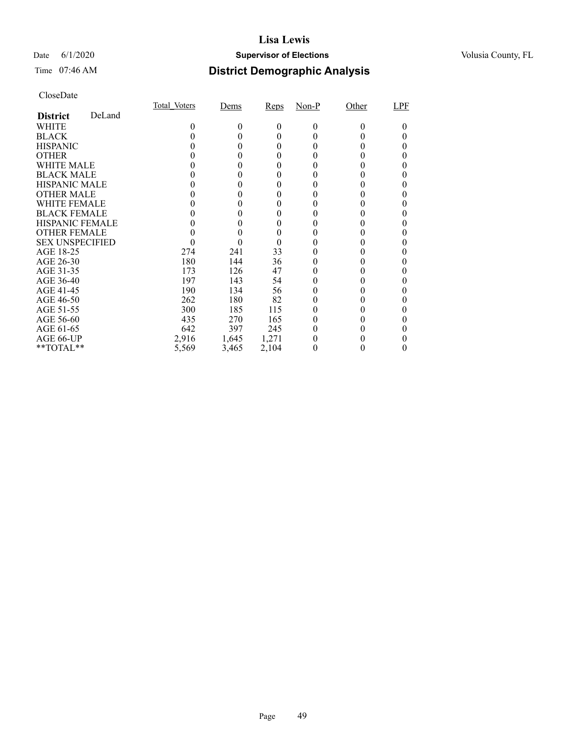### Date 6/1/2020 **Supervisor of Elections Supervisor of Elections** Volusia County, FL

## Time 07:46 AM **District Demographic Analysis**

|                        |        | Total Voters | Dems         | Reps     | $Non-P$  | Other    | LPF |
|------------------------|--------|--------------|--------------|----------|----------|----------|-----|
| <b>District</b>        | DeLand |              |              |          |          |          |     |
| WHITE                  |        | 0            | 0            | $\theta$ | $\Omega$ | $\Omega$ | 0   |
| <b>BLACK</b>           |        |              |              | $\theta$ | $_{0}$   |          |     |
| <b>HISPANIC</b>        |        |              | $\mathbf{0}$ | 0        | 0        |          |     |
| <b>OTHER</b>           |        |              |              |          |          |          |     |
| WHITE MALE             |        |              |              | 0        |          |          |     |
| <b>BLACK MALE</b>      |        |              |              | 0        |          |          |     |
| <b>HISPANIC MALE</b>   |        |              |              |          |          |          |     |
| <b>OTHER MALE</b>      |        |              | 0            | 0        | 0        |          |     |
| <b>WHITE FEMALE</b>    |        |              |              |          |          |          |     |
| <b>BLACK FEMALE</b>    |        |              |              | 0        |          |          |     |
| <b>HISPANIC FEMALE</b> |        |              |              | 0        |          |          |     |
| <b>OTHER FEMALE</b>    |        |              |              |          |          |          |     |
| <b>SEX UNSPECIFIED</b> |        |              |              | $\theta$ |          |          | 0   |
| AGE 18-25              |        | 274          | 241          | 33       |          |          |     |
| AGE 26-30              |        | 180          | 144          | 36       | $_{0}$   |          |     |
| AGE 31-35              |        | 173          | 126          | 47       |          |          |     |
| AGE 36-40              |        | 197          | 143          | 54       |          |          |     |
| AGE 41-45              |        | 190          | 134          | 56       |          |          | 0   |
| AGE 46-50              |        | 262          | 180          | 82       | 0        |          |     |
| AGE 51-55              |        | 300          | 185          | 115      | $_{0}$   |          |     |
| AGE 56-60              |        | 435          | 270          | 165      |          |          |     |
| AGE 61-65              |        | 642          | 397          | 245      | $_{0}$   |          |     |
| AGE 66-UP              |        | 2,916        | 1,645        | 1,271    |          |          |     |
| $*$ $TOTAL**$          |        | 5,569        | 3,465        | 2,104    | 0        |          | 0   |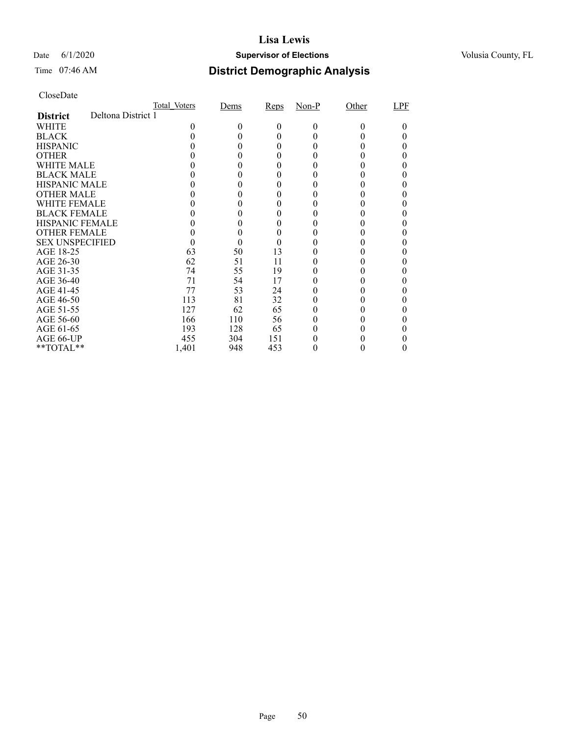### Date 6/1/2020 **Supervisor of Elections Supervisor of Elections** Volusia County, FL

# Time 07:46 AM **District Demographic Analysis**

|                        |                    | Total Voters | Dems   | Reps | $Non-P$ | Other | LPF |
|------------------------|--------------------|--------------|--------|------|---------|-------|-----|
| <b>District</b>        | Deltona District 1 |              |        |      |         |       |     |
| WHITE                  |                    | 0            | $_{0}$ | 0    | 0       | 0     |     |
| <b>BLACK</b>           |                    |              |        | 0    |         |       |     |
| <b>HISPANIC</b>        |                    |              | 0      | 0    |         |       |     |
| <b>OTHER</b>           |                    |              |        | 0    |         |       |     |
| WHITE MALE             |                    |              |        | 0    |         |       |     |
| <b>BLACK MALE</b>      |                    |              |        |      |         |       |     |
| <b>HISPANIC MALE</b>   |                    |              |        |      |         |       |     |
| <b>OTHER MALE</b>      |                    |              |        |      |         |       |     |
| WHITE FEMALE           |                    |              |        |      |         |       |     |
| <b>BLACK FEMALE</b>    |                    |              |        | 0    |         |       |     |
| <b>HISPANIC FEMALE</b> |                    |              |        |      |         |       |     |
| <b>OTHER FEMALE</b>    |                    |              | 0      | 0    |         |       |     |
| <b>SEX UNSPECIFIED</b> |                    |              |        |      |         |       |     |
| AGE 18-25              |                    | 63           | 50     | 13   |         |       |     |
| AGE 26-30              |                    | 62           | 51     | 11   |         |       |     |
| AGE 31-35              |                    | 74           | 55     | 19   |         |       |     |
| AGE 36-40              |                    | 71           | 54     | 17   |         |       |     |
| AGE 41-45              |                    | 77           | 53     | 24   |         |       |     |
| AGE 46-50              |                    | 113          | 81     | 32   |         |       |     |
| AGE 51-55              |                    | 127          | 62     | 65   |         |       |     |
| AGE 56-60              |                    | 166          | 110    | 56   |         |       |     |
| AGE 61-65              |                    | 193          | 128    | 65   |         |       |     |
| AGE 66-UP              |                    | 455          | 304    | 151  |         |       |     |
| **TOTAL**              |                    | 1,401        | 948    | 453  |         | 0     | 0   |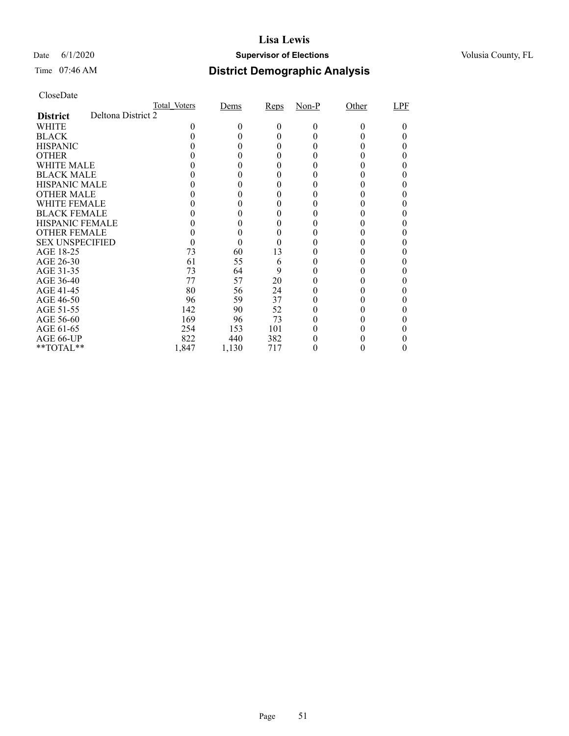### Date 6/1/2020 **Supervisor of Elections Supervisor of Elections** Volusia County, FL

# Time 07:46 AM **District Demographic Analysis**

|                        |                    | Total Voters | Dems   | Reps | $Non-P$ | Other | LPF |
|------------------------|--------------------|--------------|--------|------|---------|-------|-----|
| <b>District</b>        | Deltona District 2 |              |        |      |         |       |     |
| WHITE                  |                    | 0            | $_{0}$ | 0    | 0       | 0     |     |
| <b>BLACK</b>           |                    |              |        | 0    |         |       |     |
| <b>HISPANIC</b>        |                    |              |        | 0    |         |       |     |
| <b>OTHER</b>           |                    |              |        | 0    |         |       |     |
| WHITE MALE             |                    |              |        | 0    |         |       |     |
| <b>BLACK MALE</b>      |                    |              |        |      |         |       |     |
| <b>HISPANIC MALE</b>   |                    |              |        |      |         |       |     |
| <b>OTHER MALE</b>      |                    |              |        |      |         |       |     |
| WHITE FEMALE           |                    |              |        |      |         |       |     |
| <b>BLACK FEMALE</b>    |                    |              |        | 0    |         |       |     |
| <b>HISPANIC FEMALE</b> |                    |              |        |      |         |       |     |
| <b>OTHER FEMALE</b>    |                    |              | 0      | 0    |         |       |     |
| <b>SEX UNSPECIFIED</b> |                    |              |        |      |         |       |     |
| AGE 18-25              |                    | 73           | 60     | 13   |         |       |     |
| AGE 26-30              |                    | 61           | 55     | 6    |         |       |     |
| AGE 31-35              |                    | 73           | 64     | 9    |         |       |     |
| AGE 36-40              |                    | 77           | 57     | 20   |         |       |     |
| AGE 41-45              |                    | 80           | 56     | 24   |         |       |     |
| AGE 46-50              |                    | 96           | 59     | 37   |         |       |     |
| AGE 51-55              |                    | 142          | 90     | 52   |         |       |     |
| AGE 56-60              |                    | 169          | 96     | 73   |         |       |     |
| AGE 61-65              |                    | 254          | 153    | 101  |         |       |     |
| AGE 66-UP              |                    | 822          | 440    | 382  |         |       |     |
| **TOTAL**              |                    | 1,847        | 1,130  | 717  |         |       |     |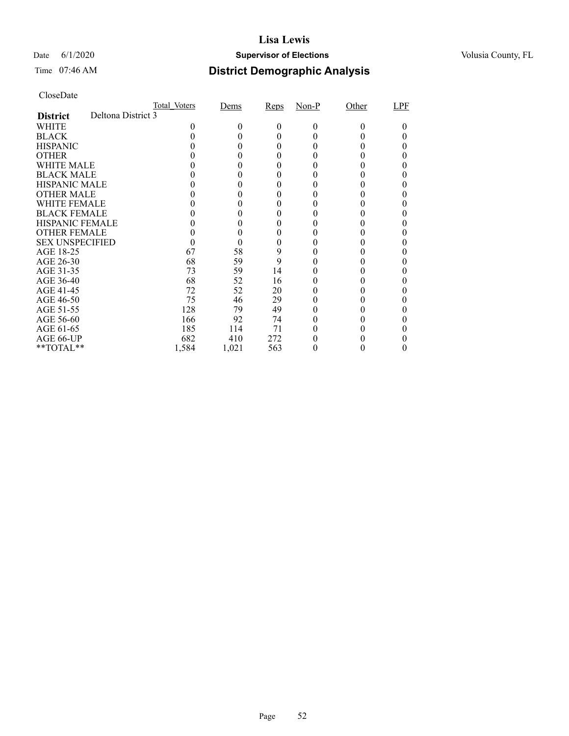### Date 6/1/2020 **Supervisor of Elections Supervisor of Elections** Volusia County, FL

# Time 07:46 AM **District Demographic Analysis**

|                        |                    | Total Voters | Dems   | Reps | $Non-P$ | Other | LPF |
|------------------------|--------------------|--------------|--------|------|---------|-------|-----|
| <b>District</b>        | Deltona District 3 |              |        |      |         |       |     |
| WHITE                  |                    | 0            | $_{0}$ | 0    | 0       | 0     |     |
| <b>BLACK</b>           |                    |              |        | 0    |         |       |     |
| <b>HISPANIC</b>        |                    |              |        | 0    |         |       |     |
| <b>OTHER</b>           |                    |              |        | 0    |         |       |     |
| WHITE MALE             |                    |              |        | 0    |         |       |     |
| <b>BLACK MALE</b>      |                    |              |        |      |         |       |     |
| <b>HISPANIC MALE</b>   |                    |              |        |      |         |       |     |
| <b>OTHER MALE</b>      |                    |              |        |      |         |       |     |
| WHITE FEMALE           |                    |              |        |      |         |       |     |
| <b>BLACK FEMALE</b>    |                    |              |        | 0    |         |       |     |
| <b>HISPANIC FEMALE</b> |                    |              |        |      |         |       |     |
| <b>OTHER FEMALE</b>    |                    |              | 0      | 0    |         |       |     |
| <b>SEX UNSPECIFIED</b> |                    |              |        | 0    |         |       |     |
| AGE 18-25              |                    | 67           | 58     | 9    |         |       |     |
| AGE 26-30              |                    | 68           | 59     | 9    |         |       |     |
| AGE 31-35              |                    | 73           | 59     | 14   |         |       |     |
| AGE 36-40              |                    | 68           | 52     | 16   |         |       |     |
| AGE 41-45              |                    | 72           | 52     | 20   |         |       |     |
| AGE 46-50              |                    | 75           | 46     | 29   |         |       |     |
| AGE 51-55              |                    | 128          | 79     | 49   |         |       |     |
| AGE 56-60              |                    | 166          | 92     | 74   |         |       |     |
| AGE 61-65              |                    | 185          | 114    | 71   |         |       |     |
| AGE 66-UP              |                    | 682          | 410    | 272  |         |       |     |
| **TOTAL**              |                    | 1,584        | 1,021  | 563  |         |       |     |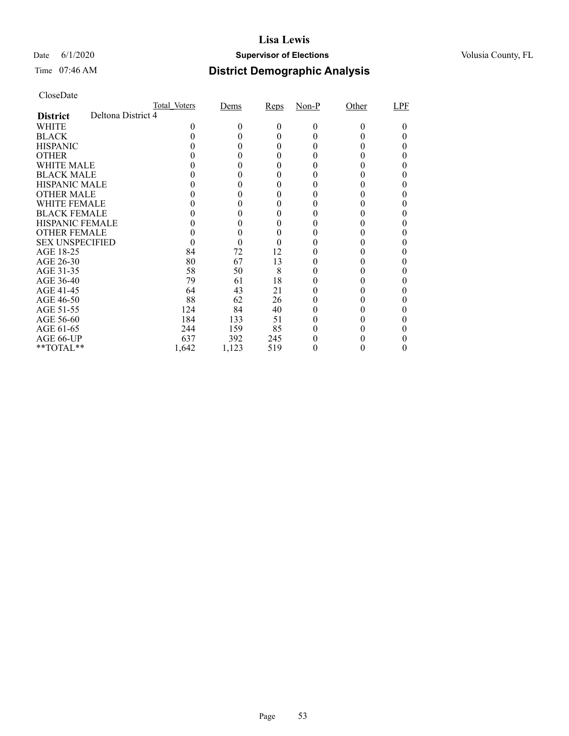### Date 6/1/2020 **Supervisor of Elections Supervisor of Elections** Volusia County, FL

# Time 07:46 AM **District Demographic Analysis**

|                        |                    | Total Voters | Dems   | Reps | $Non-P$ | Other | LPF |
|------------------------|--------------------|--------------|--------|------|---------|-------|-----|
| <b>District</b>        | Deltona District 4 |              |        |      |         |       |     |
| WHITE                  |                    | 0            | $_{0}$ | 0    | 0       | 0     |     |
| <b>BLACK</b>           |                    |              |        | 0    |         |       |     |
| <b>HISPANIC</b>        |                    |              |        | 0    |         |       |     |
| <b>OTHER</b>           |                    |              |        | 0    |         |       |     |
| WHITE MALE             |                    |              |        | 0    |         |       |     |
| <b>BLACK MALE</b>      |                    |              |        |      |         |       |     |
| <b>HISPANIC MALE</b>   |                    |              |        |      |         |       |     |
| <b>OTHER MALE</b>      |                    |              |        |      |         |       |     |
| WHITE FEMALE           |                    |              |        |      |         |       |     |
| <b>BLACK FEMALE</b>    |                    |              |        | 0    |         |       |     |
| <b>HISPANIC FEMALE</b> |                    |              |        |      |         |       |     |
| <b>OTHER FEMALE</b>    |                    |              | 0      | 0    |         |       |     |
| <b>SEX UNSPECIFIED</b> |                    |              |        |      |         |       |     |
| AGE 18-25              |                    | 84           | 72     | 12   |         |       |     |
| AGE 26-30              |                    | 80           | 67     | 13   |         |       |     |
| AGE 31-35              |                    | 58           | 50     | 8    |         |       |     |
| AGE 36-40              |                    | 79           | 61     | 18   |         |       |     |
| AGE 41-45              |                    | 64           | 43     | 21   |         |       |     |
| AGE 46-50              |                    | 88           | 62     | 26   |         |       |     |
| AGE 51-55              |                    | 124          | 84     | 40   |         |       |     |
| AGE 56-60              |                    | 184          | 133    | 51   |         |       |     |
| AGE 61-65              |                    | 244          | 159    | 85   |         |       |     |
| AGE 66-UP              |                    | 637          | 392    | 245  |         |       |     |
| **TOTAL**              |                    | 1,642        | 1,123  | 519  |         | 0     | 0   |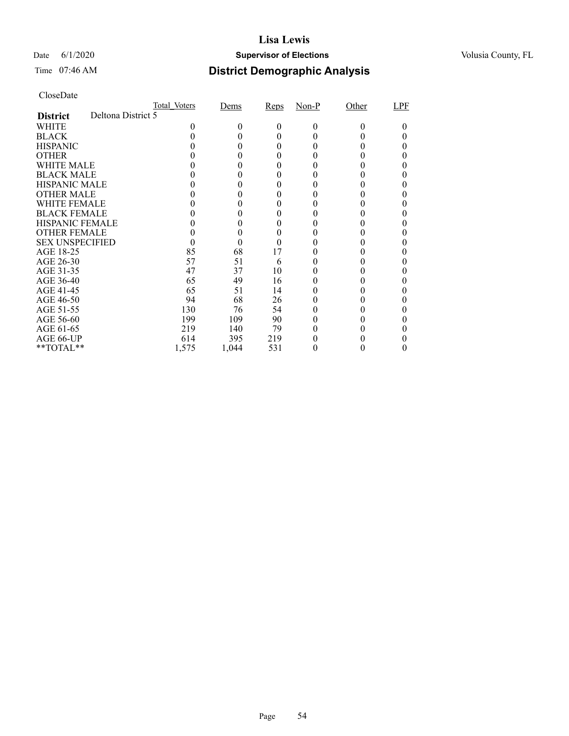### Date 6/1/2020 **Supervisor of Elections Supervisor of Elections** Volusia County, FL

# Time 07:46 AM **District Demographic Analysis**

|                        |                    | Total Voters | Dems   | Reps | $Non-P$ | Other | LPF |
|------------------------|--------------------|--------------|--------|------|---------|-------|-----|
| <b>District</b>        | Deltona District 5 |              |        |      |         |       |     |
| WHITE                  |                    | 0            | $_{0}$ | 0    | 0       | 0     |     |
| <b>BLACK</b>           |                    |              |        | 0    |         |       |     |
| <b>HISPANIC</b>        |                    |              |        | 0    |         |       |     |
| <b>OTHER</b>           |                    |              |        | 0    |         |       |     |
| WHITE MALE             |                    |              |        | 0    |         |       |     |
| <b>BLACK MALE</b>      |                    |              |        |      |         |       |     |
| <b>HISPANIC MALE</b>   |                    |              |        |      |         |       |     |
| <b>OTHER MALE</b>      |                    |              |        |      |         |       |     |
| WHITE FEMALE           |                    |              |        |      |         |       |     |
| <b>BLACK FEMALE</b>    |                    |              |        | 0    |         |       |     |
| <b>HISPANIC FEMALE</b> |                    |              |        |      |         |       |     |
| <b>OTHER FEMALE</b>    |                    |              | 0      | 0    |         |       |     |
| <b>SEX UNSPECIFIED</b> |                    |              |        |      |         |       |     |
| AGE 18-25              |                    | 85           | 68     | 17   |         |       |     |
| AGE 26-30              |                    | 57           | 51     | 6    |         |       |     |
| AGE 31-35              |                    | 47           | 37     | 10   |         |       |     |
| AGE 36-40              |                    | 65           | 49     | 16   |         |       |     |
| AGE 41-45              |                    | 65           | 51     | 14   |         |       |     |
| AGE 46-50              |                    | 94           | 68     | 26   |         |       |     |
| AGE 51-55              |                    | 130          | 76     | 54   |         |       |     |
| AGE 56-60              |                    | 199          | 109    | 90   |         |       |     |
| AGE 61-65              |                    | 219          | 140    | 79   |         |       |     |
| AGE 66-UP              |                    | 614          | 395    | 219  |         |       |     |
| **TOTAL**              |                    | 1,575        | 1,044  | 531  |         |       | 0   |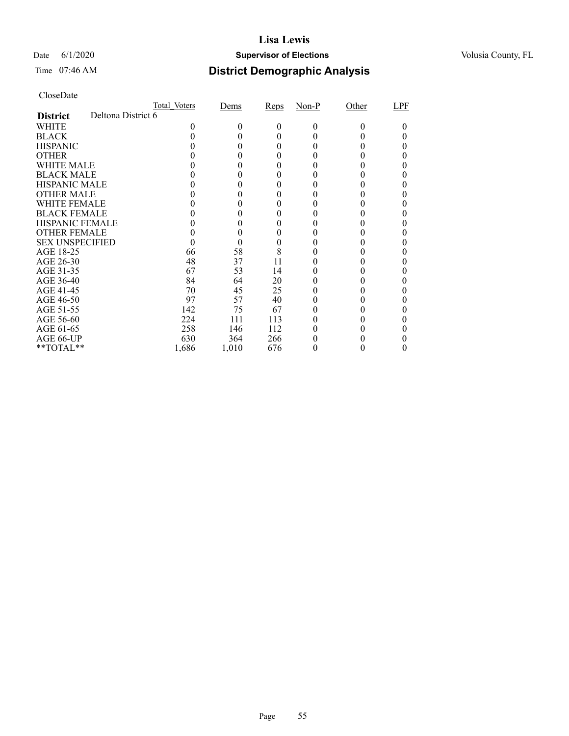### Date 6/1/2020 **Supervisor of Elections Supervisor of Elections** Volusia County, FL

# Time 07:46 AM **District Demographic Analysis**

|                        |                    | Total Voters | Dems   | Reps | $Non-P$ | Other | LPF |
|------------------------|--------------------|--------------|--------|------|---------|-------|-----|
| <b>District</b>        | Deltona District 6 |              |        |      |         |       |     |
| WHITE                  |                    | 0            | $_{0}$ | 0    | 0       | 0     |     |
| <b>BLACK</b>           |                    |              |        | 0    |         |       |     |
| <b>HISPANIC</b>        |                    |              |        | 0    |         |       |     |
| <b>OTHER</b>           |                    |              |        | 0    |         |       |     |
| WHITE MALE             |                    |              |        | 0    |         |       |     |
| <b>BLACK MALE</b>      |                    |              |        |      |         |       |     |
| <b>HISPANIC MALE</b>   |                    |              |        |      |         |       |     |
| <b>OTHER MALE</b>      |                    |              |        |      |         |       |     |
| WHITE FEMALE           |                    |              |        |      |         |       |     |
| <b>BLACK FEMALE</b>    |                    |              |        | 0    |         |       |     |
| <b>HISPANIC FEMALE</b> |                    |              |        |      |         |       |     |
| <b>OTHER FEMALE</b>    |                    |              | 0      | 0    |         |       |     |
| <b>SEX UNSPECIFIED</b> |                    |              | 0      |      |         |       |     |
| AGE 18-25              |                    | 66           | 58     | 8    |         |       |     |
| AGE 26-30              |                    | 48           | 37     | 11   |         |       |     |
| AGE 31-35              |                    | 67           | 53     | 14   |         |       |     |
| AGE 36-40              |                    | 84           | 64     | 20   |         |       |     |
| AGE 41-45              |                    | 70           | 45     | 25   |         |       |     |
| AGE 46-50              |                    | 97           | 57     | 40   |         |       |     |
| AGE 51-55              |                    | 142          | 75     | 67   |         |       |     |
| AGE 56-60              |                    | 224          | 111    | 113  |         |       |     |
| AGE 61-65              |                    | 258          | 146    | 112  |         |       |     |
| AGE 66-UP              |                    | 630          | 364    | 266  |         |       |     |
| **TOTAL**              |                    | 1,686        | 1,010  | 676  |         | 0     | 0   |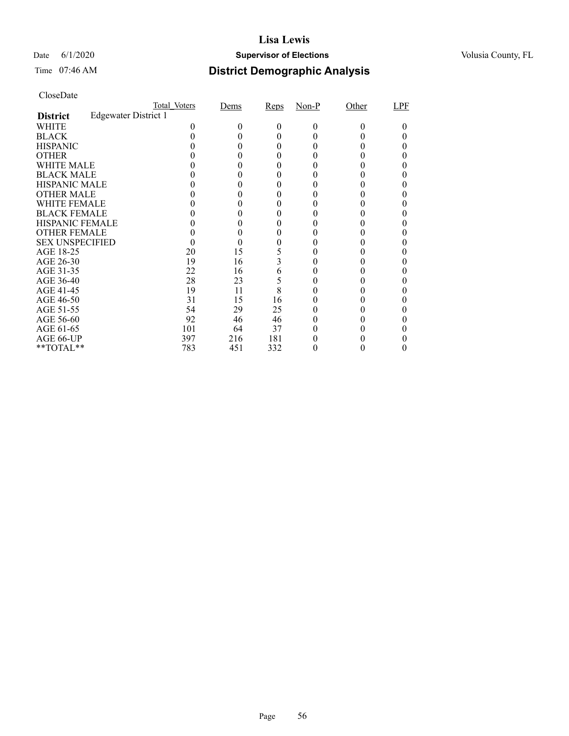### Date 6/1/2020 **Supervisor of Elections Supervisor of Elections** Volusia County, FL

# Time 07:46 AM **District Demographic Analysis**

|                        |                             | Total Voters | Dems | Reps | $Non-P$ | Other | LPF |
|------------------------|-----------------------------|--------------|------|------|---------|-------|-----|
| <b>District</b>        | <b>Edgewater District 1</b> |              |      |      |         |       |     |
| WHITE                  |                             |              | 0    | 0    | 0       | 0     |     |
| <b>BLACK</b>           |                             |              |      | 0    |         |       |     |
| <b>HISPANIC</b>        |                             |              |      | 0    |         |       |     |
| <b>OTHER</b>           |                             |              |      |      |         |       |     |
| WHITE MALE             |                             |              |      | 0    |         |       |     |
| <b>BLACK MALE</b>      |                             |              |      |      |         |       |     |
| <b>HISPANIC MALE</b>   |                             |              |      |      |         |       |     |
| <b>OTHER MALE</b>      |                             |              |      |      |         |       |     |
| WHITE FEMALE           |                             |              |      |      |         |       |     |
| <b>BLACK FEMALE</b>    |                             |              |      | 0    |         |       |     |
| <b>HISPANIC FEMALE</b> |                             |              |      |      |         |       |     |
| <b>OTHER FEMALE</b>    |                             |              |      |      |         |       |     |
| <b>SEX UNSPECIFIED</b> |                             |              |      |      |         |       |     |
| AGE 18-25              |                             | 20           | 15   |      |         |       |     |
| AGE 26-30              |                             | 19           | 16   | 3    |         |       |     |
| AGE 31-35              |                             | 22           | 16   | 6    |         |       |     |
| AGE 36-40              |                             | 28           | 23   | 5    |         |       |     |
| AGE 41-45              |                             | 19           | 11   | 8    |         |       |     |
| AGE 46-50              |                             | 31           | 15   | 16   |         |       |     |
| AGE 51-55              |                             | 54           | 29   | 25   |         |       |     |
| AGE 56-60              |                             | 92           | 46   | 46   |         |       |     |
| AGE 61-65              |                             | 101          | 64   | 37   |         |       |     |
| AGE 66-UP              |                             | 397          | 216  | 181  |         |       |     |
| **TOTAL**              |                             | 783          | 451  | 332  |         |       |     |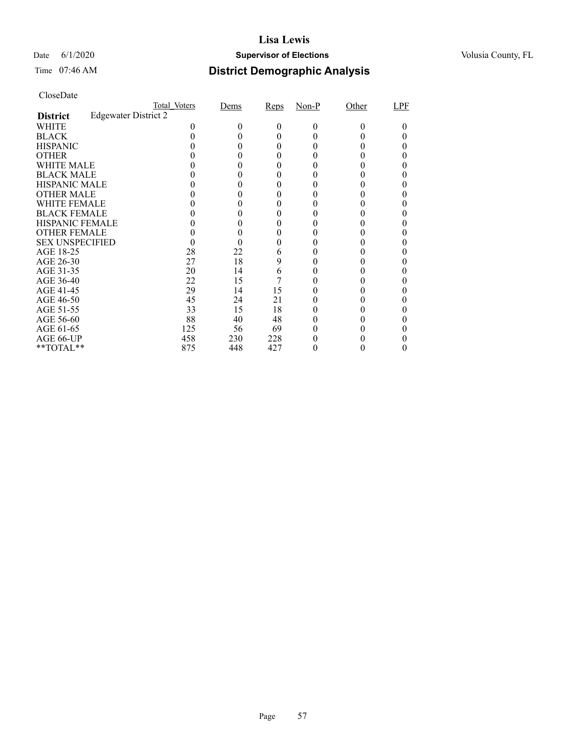### Date 6/1/2020 **Supervisor of Elections Supervisor of Elections** Volusia County, FL

| CloseDate |
|-----------|
|-----------|

|                        |                      | Total Voters | Dems   | Reps | $Non-P$ | Other | LPF |
|------------------------|----------------------|--------------|--------|------|---------|-------|-----|
| <b>District</b>        | Edgewater District 2 |              |        |      |         |       |     |
| WHITE                  |                      |              | $_{0}$ | 0    | 0       | 0     |     |
| <b>BLACK</b>           |                      |              |        |      |         |       |     |
| <b>HISPANIC</b>        |                      |              |        |      |         |       |     |
| <b>OTHER</b>           |                      |              |        |      |         |       |     |
| WHITE MALE             |                      |              |        |      |         |       |     |
| <b>BLACK MALE</b>      |                      |              |        |      |         |       |     |
| <b>HISPANIC MALE</b>   |                      |              |        |      |         |       |     |
| <b>OTHER MALE</b>      |                      |              |        |      |         |       |     |
| <b>WHITE FEMALE</b>    |                      |              |        |      |         |       |     |
| <b>BLACK FEMALE</b>    |                      |              |        |      |         |       |     |
| <b>HISPANIC FEMALE</b> |                      |              |        |      |         |       |     |
| <b>OTHER FEMALE</b>    |                      |              |        |      |         |       |     |
| <b>SEX UNSPECIFIED</b> |                      |              |        |      |         |       |     |
| AGE 18-25              |                      | 28           | 22     | 6    |         |       |     |
| AGE 26-30              |                      | 27           | 18     | 9    |         |       |     |
| AGE 31-35              |                      | 20           | 14     | 6    |         |       |     |
| AGE 36-40              |                      | 22           | 15     |      |         |       |     |
| AGE 41-45              |                      | 29           | 14     | 15   |         |       |     |
| AGE 46-50              |                      | 45           | 24     | 21   |         |       |     |
| AGE 51-55              |                      | 33           | 15     | 18   |         |       |     |
| AGE 56-60              |                      | 88           | 40     | 48   |         |       |     |
| AGE 61-65              |                      | 125          | 56     | 69   |         |       |     |
| AGE 66-UP              |                      | 458          | 230    | 228  |         |       |     |
| **TOTAL**              |                      | 875          | 448    | 427  |         |       |     |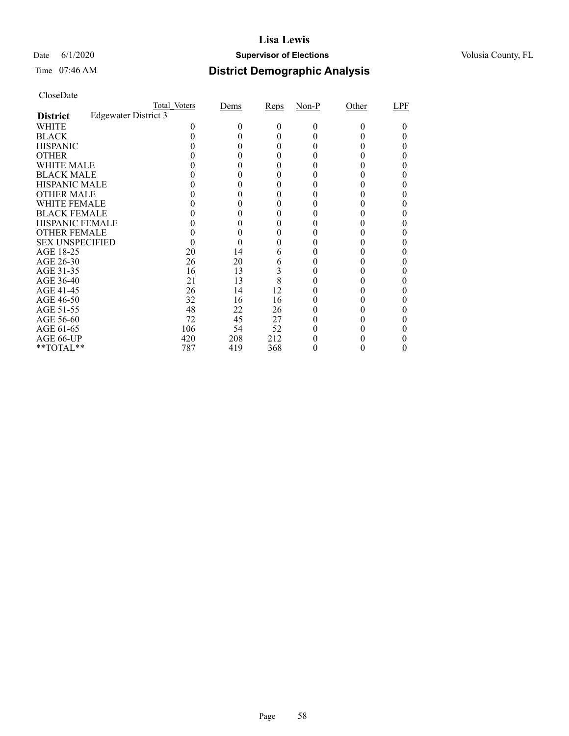### Date 6/1/2020 **Supervisor of Elections Supervisor of Elections** Volusia County, FL

| CloseDate |
|-----------|
|-----------|

|                        |                      | Total Voters | Dems   | Reps | $Non-P$ | Other | LPF |
|------------------------|----------------------|--------------|--------|------|---------|-------|-----|
| <b>District</b>        | Edgewater District 3 |              |        |      |         |       |     |
| WHITE                  |                      |              | $_{0}$ | 0    | 0       | 0     |     |
| <b>BLACK</b>           |                      |              |        | 0    |         |       |     |
| <b>HISPANIC</b>        |                      |              |        | 0    |         |       |     |
| <b>OTHER</b>           |                      |              |        |      |         |       |     |
| WHITE MALE             |                      |              |        |      |         |       |     |
| <b>BLACK MALE</b>      |                      |              |        |      |         |       |     |
| <b>HISPANIC MALE</b>   |                      |              |        |      |         |       |     |
| <b>OTHER MALE</b>      |                      |              |        |      |         |       |     |
| <b>WHITE FEMALE</b>    |                      |              |        |      |         |       |     |
| <b>BLACK FEMALE</b>    |                      |              |        |      |         |       |     |
| <b>HISPANIC FEMALE</b> |                      |              |        |      |         |       |     |
| <b>OTHER FEMALE</b>    |                      |              |        |      |         |       |     |
| <b>SEX UNSPECIFIED</b> |                      |              |        |      |         |       |     |
| AGE 18-25              |                      | 20           | 14     | 6    |         |       |     |
| AGE 26-30              |                      | 26           | 20     | 6    |         |       |     |
| AGE 31-35              |                      | 16           | 13     | 3    |         |       |     |
| AGE 36-40              |                      | 21           | 13     | 8    |         |       |     |
| AGE 41-45              |                      | 26           | 14     | 12   |         |       |     |
| AGE 46-50              |                      | 32           | 16     | 16   |         |       |     |
| AGE 51-55              |                      | 48           | 22     | 26   |         |       |     |
| AGE 56-60              |                      | 72           | 45     | 27   |         |       |     |
| AGE 61-65              |                      | 106          | 54     | 52   |         |       |     |
| AGE 66-UP              |                      | 420          | 208    | 212  |         |       |     |
| **TOTAL**              |                      | 787          | 419    | 368  |         |       |     |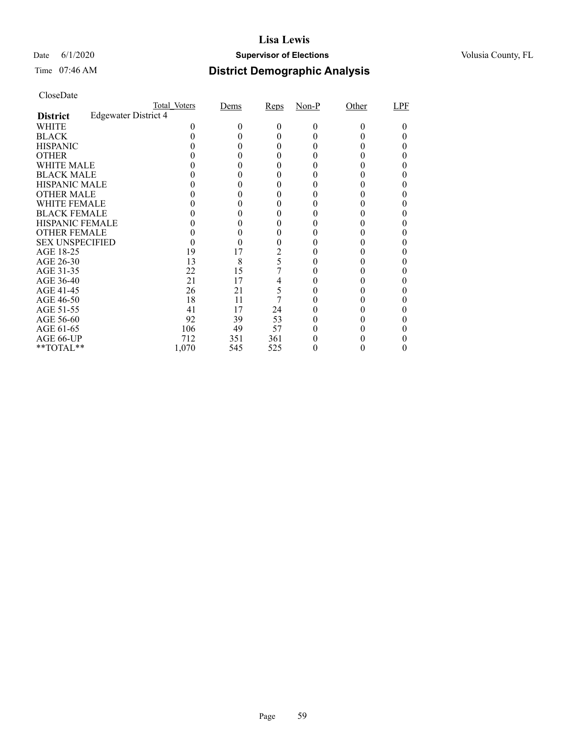### Date 6/1/2020 **Supervisor of Elections Supervisor of Elections** Volusia County, FL

| CloseDate |
|-----------|
|-----------|

|                        |                      | Total Voters | Dems         | Reps | $Non-P$ | Other | LPF |
|------------------------|----------------------|--------------|--------------|------|---------|-------|-----|
| <b>District</b>        | Edgewater District 4 |              |              |      |         |       |     |
| WHITE                  |                      |              | $\mathbf{0}$ | 0    | 0       | 0     |     |
| <b>BLACK</b>           |                      |              |              |      |         |       |     |
| <b>HISPANIC</b>        |                      |              |              |      |         |       |     |
| <b>OTHER</b>           |                      |              |              |      |         |       |     |
| WHITE MALE             |                      |              |              |      |         |       |     |
| <b>BLACK MALE</b>      |                      |              |              |      |         |       |     |
| <b>HISPANIC MALE</b>   |                      |              |              |      |         |       |     |
| <b>OTHER MALE</b>      |                      |              |              |      |         |       |     |
| <b>WHITE FEMALE</b>    |                      |              |              |      |         |       |     |
| <b>BLACK FEMALE</b>    |                      |              |              |      |         |       |     |
| <b>HISPANIC FEMALE</b> |                      |              |              |      |         |       |     |
| <b>OTHER FEMALE</b>    |                      |              |              |      |         |       |     |
| <b>SEX UNSPECIFIED</b> |                      |              |              |      |         |       |     |
| AGE 18-25              |                      | 19           | 17           | 2    |         |       |     |
| AGE 26-30              |                      | 13           | 8            | 5    |         |       |     |
| AGE 31-35              |                      | 22           | 15           |      |         |       |     |
| AGE 36-40              |                      | 21           | 17           | 4    |         |       |     |
| AGE 41-45              |                      | 26           | 21           | 5    |         |       |     |
| AGE 46-50              |                      | 18           | 11           |      |         |       |     |
| AGE 51-55              |                      | 41           | 17           | 24   |         |       |     |
| AGE 56-60              |                      | 92           | 39           | 53   |         |       |     |
| AGE 61-65              |                      | 106          | 49           | 57   |         |       |     |
| AGE 66-UP              |                      | 712          | 351          | 361  |         |       |     |
| **TOTAL**              |                      | 1,070        | 545          | 525  |         |       |     |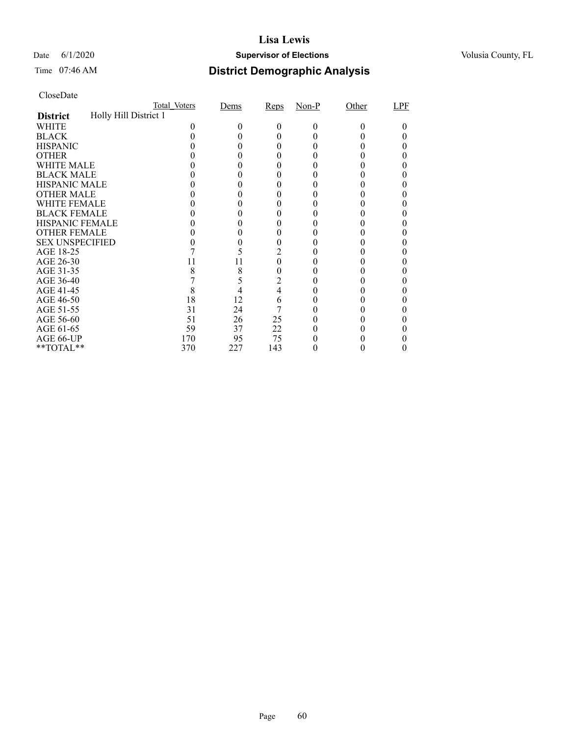### Date 6/1/2020 **Supervisor of Elections Supervisor of Elections** Volusia County, FL

## Time 07:46 AM **District Demographic Analysis**

|                        |                       | Total Voters | Dems | Reps           | $Non-P$ | Other  | LPF |
|------------------------|-----------------------|--------------|------|----------------|---------|--------|-----|
| <b>District</b>        | Holly Hill District 1 |              |      |                |         |        |     |
| WHITE                  |                       |              |      | 0              | 0       | $_{0}$ |     |
| <b>BLACK</b>           |                       |              |      |                |         |        |     |
| <b>HISPANIC</b>        |                       |              |      | 0              |         |        |     |
| <b>OTHER</b>           |                       |              |      |                |         |        |     |
| WHITE MALE             |                       |              |      |                |         |        |     |
| <b>BLACK MALE</b>      |                       |              |      |                |         |        |     |
| <b>HISPANIC MALE</b>   |                       |              |      |                |         |        |     |
| <b>OTHER MALE</b>      |                       |              |      |                |         |        |     |
| WHITE FEMALE           |                       |              |      |                |         |        |     |
| <b>BLACK FEMALE</b>    |                       |              |      |                |         |        |     |
| <b>HISPANIC FEMALE</b> |                       |              |      |                |         |        |     |
| <b>OTHER FEMALE</b>    |                       |              |      | 0              |         |        |     |
| <b>SEX UNSPECIFIED</b> |                       |              |      |                |         |        |     |
| AGE 18-25              |                       |              |      |                |         |        |     |
| AGE 26-30              |                       | 11           | 11   | 0              |         |        |     |
| AGE 31-35              |                       | 8            | 8    | 0              |         |        |     |
| AGE 36-40              |                       |              |      | $\overline{c}$ |         |        |     |
| AGE 41-45              |                       | 8            |      | 4              |         |        |     |
| AGE 46-50              |                       | 18           | 12   | 6              |         |        |     |
| AGE 51-55              |                       | 31           | 24   |                |         |        |     |
| AGE 56-60              |                       | 51           | 26   | 25             |         |        |     |
| AGE 61-65              |                       | 59           | 37   | 22             |         |        |     |
| AGE 66-UP              |                       | 170          | 95   | 75             |         |        |     |
| **TOTAL**              |                       | 370          | 227  | 143            |         |        |     |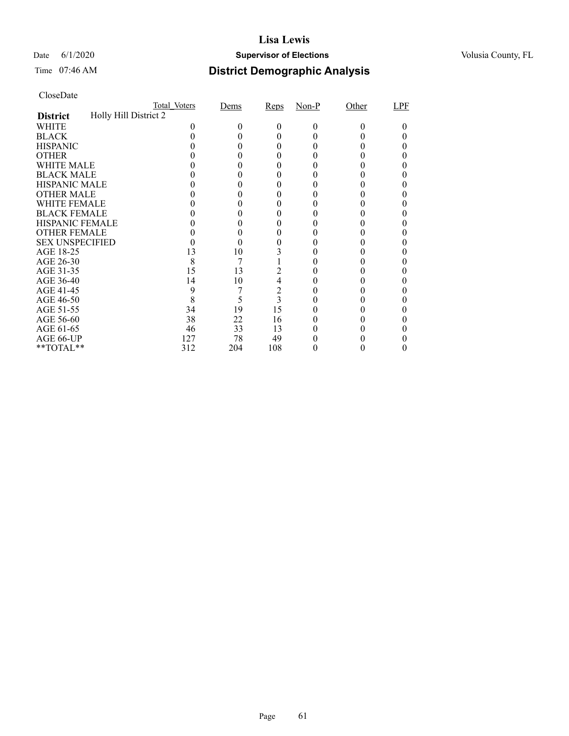### Date 6/1/2020 **Supervisor of Elections Supervisor of Elections** Volusia County, FL

# Time 07:46 AM **District Demographic Analysis**

|                        |                       | Total Voters | Dems | Reps                    | $Non-P$ | Other  | LPF |
|------------------------|-----------------------|--------------|------|-------------------------|---------|--------|-----|
| <b>District</b>        | Holly Hill District 2 |              |      |                         |         |        |     |
| WHITE                  |                       |              | 0    | 0                       | 0       | $_{0}$ |     |
| <b>BLACK</b>           |                       |              |      |                         |         |        |     |
| <b>HISPANIC</b>        |                       |              |      | 0                       |         |        |     |
| <b>OTHER</b>           |                       |              |      |                         |         |        |     |
| WHITE MALE             |                       |              |      |                         |         |        |     |
| <b>BLACK MALE</b>      |                       |              |      |                         |         |        |     |
| <b>HISPANIC MALE</b>   |                       |              |      |                         |         |        |     |
| <b>OTHER MALE</b>      |                       |              |      |                         |         |        |     |
| WHITE FEMALE           |                       |              |      |                         |         |        |     |
| <b>BLACK FEMALE</b>    |                       |              |      |                         |         |        |     |
| <b>HISPANIC FEMALE</b> |                       |              |      |                         |         |        |     |
| <b>OTHER FEMALE</b>    |                       |              |      |                         |         |        |     |
| <b>SEX UNSPECIFIED</b> |                       |              |      |                         |         |        |     |
| AGE 18-25              |                       | 13           | 10   |                         |         |        |     |
| AGE 26-30              |                       | 8            |      |                         |         |        |     |
| AGE 31-35              |                       | 15           | 13   |                         |         |        |     |
| AGE 36-40              |                       | 14           | 10   | $\overline{4}$          |         |        |     |
| AGE 41-45              |                       | 9            |      | $\overline{c}$          |         |        |     |
| AGE 46-50              |                       | 8            | 5    | $\overline{\mathbf{3}}$ |         |        |     |
| AGE 51-55              |                       | 34           | 19   | 15                      |         |        |     |
| AGE 56-60              |                       | 38           | 22   | 16                      |         |        |     |
| AGE 61-65              |                       | 46           | 33   | 13                      |         |        |     |
| AGE 66-UP              |                       | 127          | 78   | 49                      |         |        |     |
| **TOTAL**              |                       | 312          | 204  | 108                     |         |        |     |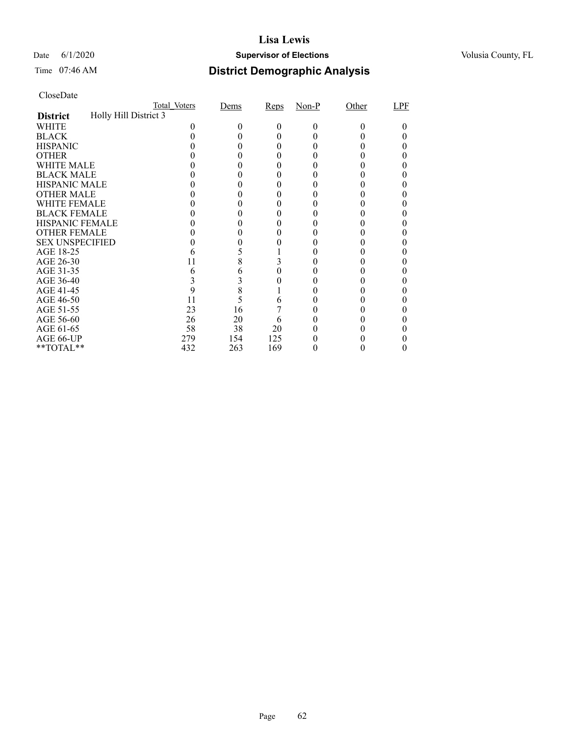### Date 6/1/2020 **Supervisor of Elections Supervisor of Elections** Volusia County, FL

# Time 07:46 AM **District Demographic Analysis**

|                        |                       | Total Voters | Dems | Reps | $Non-P$ | Other  | LPF |
|------------------------|-----------------------|--------------|------|------|---------|--------|-----|
| <b>District</b>        | Holly Hill District 3 |              |      |      |         |        |     |
| WHITE                  |                       |              |      | 0    | 0       | $_{0}$ |     |
| <b>BLACK</b>           |                       |              |      |      |         |        |     |
| <b>HISPANIC</b>        |                       |              |      |      |         |        |     |
| <b>OTHER</b>           |                       |              |      |      |         |        |     |
| WHITE MALE             |                       |              |      |      |         |        |     |
| <b>BLACK MALE</b>      |                       |              |      |      |         |        |     |
| <b>HISPANIC MALE</b>   |                       |              |      |      |         |        |     |
| <b>OTHER MALE</b>      |                       |              |      |      |         |        |     |
| WHITE FEMALE           |                       |              |      |      |         |        |     |
| <b>BLACK FEMALE</b>    |                       |              |      |      |         |        |     |
| <b>HISPANIC FEMALE</b> |                       |              |      |      |         |        |     |
| <b>OTHER FEMALE</b>    |                       |              |      |      |         |        |     |
| <b>SEX UNSPECIFIED</b> |                       |              |      |      |         |        |     |
| AGE 18-25              |                       |              |      |      |         |        |     |
| AGE 26-30              |                       | 11           | 8    |      |         |        |     |
| AGE 31-35              |                       |              |      |      |         |        |     |
| AGE 36-40              |                       |              | 3    |      |         |        |     |
| AGE 41-45              |                       |              | 8    |      |         |        |     |
| AGE 46-50              |                       | 11           | 5    | 6    |         |        |     |
| AGE 51-55              |                       | 23           | 16   |      |         |        |     |
| AGE 56-60              |                       | 26           | 20   | b    |         |        |     |
| AGE 61-65              |                       | 58           | 38   | 20   |         |        |     |
| AGE 66-UP              |                       | 279          | 154  | 125  |         |        |     |
| **TOTAL**              |                       | 432          | 263  | 169  |         |        |     |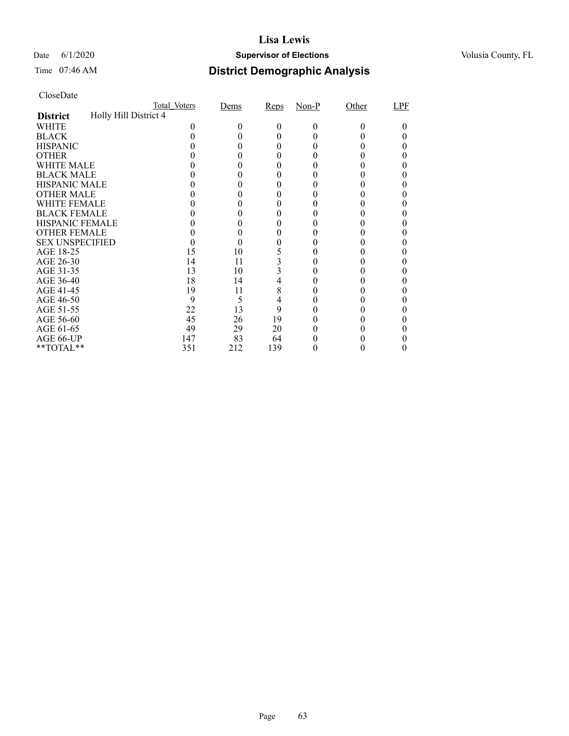### Date 6/1/2020 **Supervisor of Elections Supervisor of Elections** Volusia County, FL

# Time 07:46 AM **District Demographic Analysis**

|                        |                       | Total Voters | Dems | Reps | $Non-P$ | Other  | LPF |
|------------------------|-----------------------|--------------|------|------|---------|--------|-----|
| <b>District</b>        | Holly Hill District 4 |              |      |      |         |        |     |
| WHITE                  |                       |              | 0    | 0    | 0       | $_{0}$ |     |
| <b>BLACK</b>           |                       |              |      |      |         |        |     |
| <b>HISPANIC</b>        |                       |              |      | 0    |         |        |     |
| <b>OTHER</b>           |                       |              |      |      |         |        |     |
| WHITE MALE             |                       |              |      |      |         |        |     |
| <b>BLACK MALE</b>      |                       |              |      |      |         |        |     |
| <b>HISPANIC MALE</b>   |                       |              |      |      |         |        |     |
| <b>OTHER MALE</b>      |                       |              |      |      |         |        |     |
| WHITE FEMALE           |                       |              |      |      |         |        |     |
| <b>BLACK FEMALE</b>    |                       |              |      |      |         |        |     |
| <b>HISPANIC FEMALE</b> |                       |              |      |      |         |        |     |
| <b>OTHER FEMALE</b>    |                       |              |      |      |         |        |     |
| <b>SEX UNSPECIFIED</b> |                       |              |      |      |         |        |     |
| AGE 18-25              |                       | 15           | 10   |      |         |        |     |
| AGE 26-30              |                       | 14           | 11   |      |         |        |     |
| AGE 31-35              |                       | 13           | 10   |      |         |        |     |
| AGE 36-40              |                       | 18           | 14   | 4    |         |        |     |
| AGE 41-45              |                       | 19           | 11   | 8    |         |        |     |
| AGE 46-50              |                       | 9            | 5    | 4    |         |        |     |
| AGE 51-55              |                       | 22           | 13   | 9    |         |        |     |
| AGE 56-60              |                       | 45           | 26   | 19   |         |        |     |
| AGE 61-65              |                       | 49           | 29   | 20   |         |        |     |
| AGE 66-UP              |                       | 147          | 83   | 64   |         |        |     |
| **TOTAL**              |                       | 351          | 212  | 139  |         |        |     |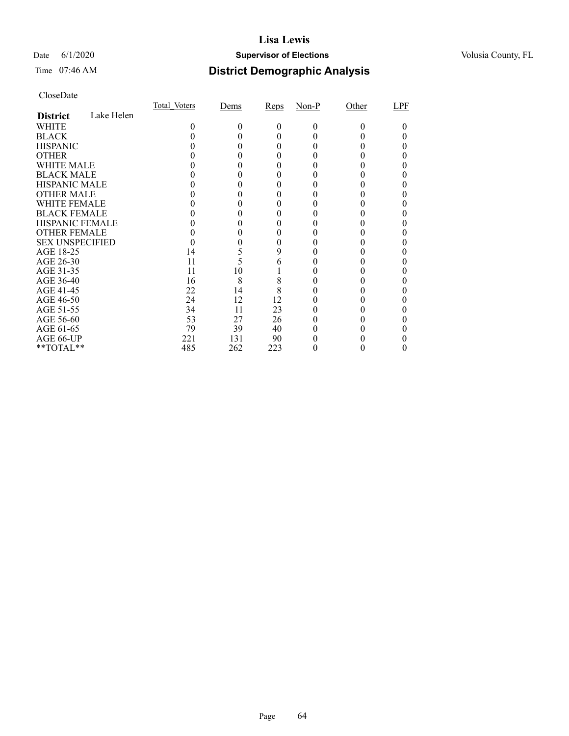### Date 6/1/2020 **Supervisor of Elections Supervisor of Elections** Volusia County, FL

## Time 07:46 AM **District Demographic Analysis**

|                        |            | Total Voters | Dems | Reps     | $Non-P$  | Other    | LPF |
|------------------------|------------|--------------|------|----------|----------|----------|-----|
| <b>District</b>        | Lake Helen |              |      |          |          |          |     |
| WHITE                  |            | $_{0}$       | 0    | $\theta$ | $\Omega$ | $\Omega$ |     |
| <b>BLACK</b>           |            |              |      |          |          |          |     |
| <b>HISPANIC</b>        |            |              |      |          |          |          |     |
| <b>OTHER</b>           |            |              |      |          |          |          |     |
| WHITE MALE             |            |              |      |          |          |          |     |
| <b>BLACK MALE</b>      |            |              |      |          |          |          |     |
| <b>HISPANIC MALE</b>   |            |              |      |          |          |          |     |
| <b>OTHER MALE</b>      |            |              |      |          |          |          |     |
| WHITE FEMALE           |            |              |      |          |          |          |     |
| <b>BLACK FEMALE</b>    |            |              |      |          |          |          |     |
| <b>HISPANIC FEMALE</b> |            |              |      |          |          |          |     |
| <b>OTHER FEMALE</b>    |            |              |      |          |          |          |     |
| <b>SEX UNSPECIFIED</b> |            |              |      |          |          |          |     |
| AGE 18-25              |            | 14           | 5    | 9        |          |          |     |
| AGE 26-30              |            | 11           | 5    | 6        |          |          |     |
| AGE 31-35              |            | 11           | 10   |          |          |          |     |
| AGE 36-40              |            | 16           | 8    | 8        |          |          |     |
| AGE 41-45              |            | 22           | 14   | 8        |          |          |     |
| AGE 46-50              |            | 24           | 12   | 12       |          |          |     |
| AGE 51-55              |            | 34           | 11   | 23       |          |          |     |
| AGE 56-60              |            | 53           | 27   | 26       |          |          |     |
| AGE 61-65              |            | 79           | 39   | 40       |          |          |     |
| AGE 66-UP              |            | 221          | 131  | 90       |          |          |     |
| **TOTAL**              |            | 485          | 262  | 223      |          |          |     |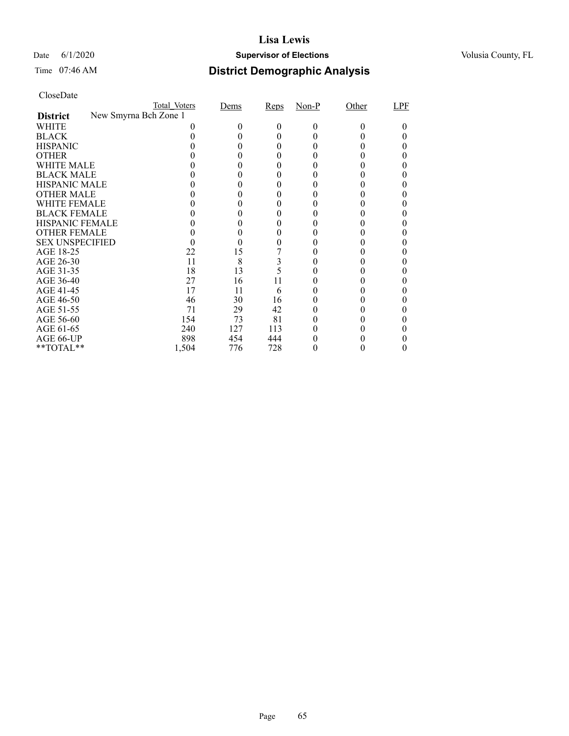### Date 6/1/2020 **Supervisor of Elections Supervisor of Elections** Volusia County, FL

## Time 07:46 AM **District Demographic Analysis**

|                        |                       | Total Voters | Dems | Reps | $Non-P$ | Other  | LPF |
|------------------------|-----------------------|--------------|------|------|---------|--------|-----|
| <b>District</b>        | New Smyrna Bch Zone 1 |              |      |      |         |        |     |
| WHITE                  |                       |              | 0    | 0    | 0       | $_{0}$ |     |
| <b>BLACK</b>           |                       |              |      |      |         |        |     |
| <b>HISPANIC</b>        |                       |              |      | 0    |         |        |     |
| <b>OTHER</b>           |                       |              |      |      |         |        |     |
| WHITE MALE             |                       |              |      |      |         |        |     |
| <b>BLACK MALE</b>      |                       |              |      |      |         |        |     |
| <b>HISPANIC MALE</b>   |                       |              |      |      |         |        |     |
| <b>OTHER MALE</b>      |                       |              |      |      |         |        |     |
| WHITE FEMALE           |                       |              |      |      |         |        |     |
| <b>BLACK FEMALE</b>    |                       |              |      |      |         |        |     |
| <b>HISPANIC FEMALE</b> |                       |              |      |      |         |        |     |
| <b>OTHER FEMALE</b>    |                       |              |      | 0    |         |        |     |
| <b>SEX UNSPECIFIED</b> |                       |              |      |      |         |        |     |
| AGE 18-25              |                       | 22           | 15   |      |         |        |     |
| AGE 26-30              |                       | 11           | 8    | 3    |         |        |     |
| AGE 31-35              |                       | 18           | 13   |      |         |        |     |
| AGE 36-40              |                       | 27           | 16   | 11   |         |        |     |
| AGE 41-45              |                       | 17           | 11   | 6    |         |        |     |
| AGE 46-50              |                       | 46           | 30   | 16   |         |        |     |
| AGE 51-55              |                       | 71           | 29   | 42   |         |        |     |
| AGE 56-60              |                       | 154          | 73   | 81   |         |        |     |
| AGE 61-65              |                       | 240          | 127  | 113  |         |        |     |
| AGE 66-UP              |                       | 898          | 454  | 444  |         |        |     |
| **TOTAL**              |                       | 1,504        | 776  | 728  |         |        |     |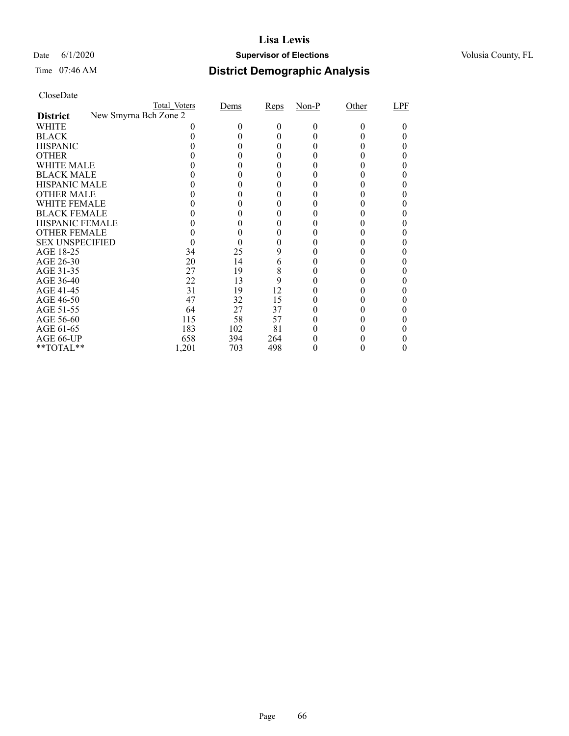### Date 6/1/2020 **Supervisor of Elections Supervisor of Elections** Volusia County, FL

| CloseDate |
|-----------|
|-----------|

|                        |                       | Total Voters | Dems | Reps | $Non-P$ | Other | LPF |
|------------------------|-----------------------|--------------|------|------|---------|-------|-----|
| <b>District</b>        | New Smyrna Bch Zone 2 |              |      |      |         |       |     |
| WHITE                  |                       |              | 0    | 0    | $_{0}$  |       |     |
| <b>BLACK</b>           |                       |              |      |      |         |       |     |
| <b>HISPANIC</b>        |                       |              |      |      |         |       |     |
| <b>OTHER</b>           |                       |              |      |      |         |       |     |
| WHITE MALE             |                       |              |      |      |         |       |     |
| <b>BLACK MALE</b>      |                       |              |      |      |         |       |     |
| <b>HISPANIC MALE</b>   |                       |              |      |      |         |       |     |
| <b>OTHER MALE</b>      |                       |              |      |      |         |       |     |
| <b>WHITE FEMALE</b>    |                       |              |      |      |         |       |     |
| <b>BLACK FEMALE</b>    |                       |              |      |      |         |       |     |
| <b>HISPANIC FEMALE</b> |                       |              |      |      |         |       |     |
| <b>OTHER FEMALE</b>    |                       |              |      |      |         |       |     |
| <b>SEX UNSPECIFIED</b> |                       |              |      |      |         |       |     |
| AGE 18-25              |                       | 34           | 25   | 9    |         |       |     |
| AGE 26-30              |                       | 20           | 14   | 6    |         |       |     |
| AGE 31-35              |                       | 27           | 19   | 8    |         |       |     |
| AGE 36-40              |                       | 22           | 13   | 9    |         |       |     |
| AGE 41-45              |                       | 31           | 19   | 12   |         |       |     |
| AGE 46-50              |                       | 47           | 32   | 15   |         |       |     |
| AGE 51-55              |                       | 64           | 27   | 37   |         |       |     |
| AGE 56-60              |                       | 115          | 58   | 57   |         |       |     |
| AGE 61-65              |                       | 183          | 102  | 81   |         |       |     |
| AGE 66-UP              |                       | 658          | 394  | 264  |         |       |     |
| **TOTAL**              |                       | 1,201        | 703  | 498  |         |       |     |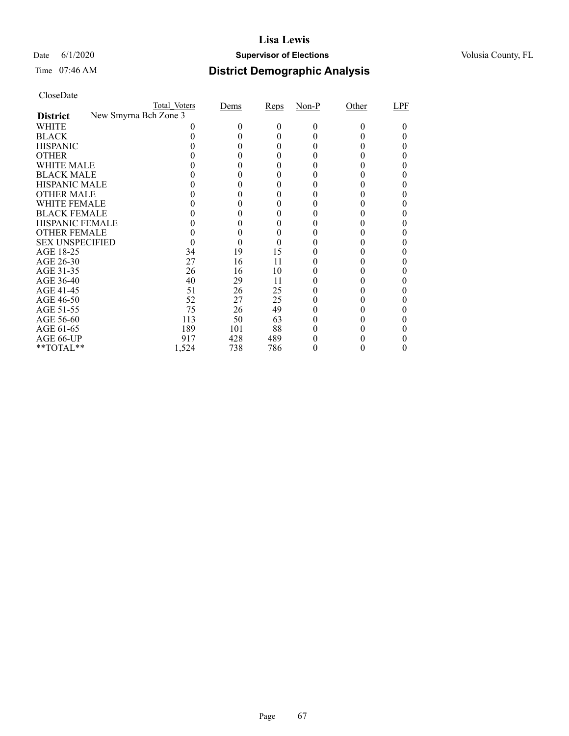### Date 6/1/2020 **Supervisor of Elections Supervisor of Elections** Volusia County, FL

## Time 07:46 AM **District Demographic Analysis**

|                        |                       | Total Voters | Dems | Reps | $Non-P$ | Other | LPF |
|------------------------|-----------------------|--------------|------|------|---------|-------|-----|
| <b>District</b>        | New Smyrna Bch Zone 3 |              |      |      |         |       |     |
| WHITE                  |                       |              | 0    | 0    | 0       | 0     |     |
| <b>BLACK</b>           |                       |              |      | 0    |         |       |     |
| <b>HISPANIC</b>        |                       |              |      | 0    |         |       |     |
| <b>OTHER</b>           |                       |              |      |      |         |       |     |
| WHITE MALE             |                       |              |      | 0    |         |       |     |
| <b>BLACK MALE</b>      |                       |              |      |      |         |       |     |
| <b>HISPANIC MALE</b>   |                       |              |      |      |         |       |     |
| <b>OTHER MALE</b>      |                       |              |      |      |         |       |     |
| WHITE FEMALE           |                       |              |      |      |         |       |     |
| <b>BLACK FEMALE</b>    |                       |              |      |      |         |       |     |
| <b>HISPANIC FEMALE</b> |                       |              |      |      |         |       |     |
| <b>OTHER FEMALE</b>    |                       |              | 0    | 0    |         |       |     |
| <b>SEX UNSPECIFIED</b> |                       |              |      |      |         |       |     |
| AGE 18-25              |                       | 34           | 19   | 15   |         |       |     |
| AGE 26-30              |                       | 27           | 16   | 11   |         |       |     |
| AGE 31-35              |                       | 26           | 16   | 10   |         |       |     |
| AGE 36-40              |                       | 40           | 29   | 11   |         |       |     |
| AGE 41-45              |                       | 51           | 26   | 25   |         |       |     |
| AGE 46-50              |                       | 52           | 27   | 25   |         |       |     |
| AGE 51-55              |                       | 75           | 26   | 49   |         |       |     |
| AGE 56-60              |                       | 113          | 50   | 63   |         |       |     |
| AGE 61-65              |                       | 189          | 101  | 88   |         |       |     |
| AGE 66-UP              |                       | 917          | 428  | 489  |         |       |     |
| **TOTAL**              |                       | 1,524        | 738  | 786  |         |       |     |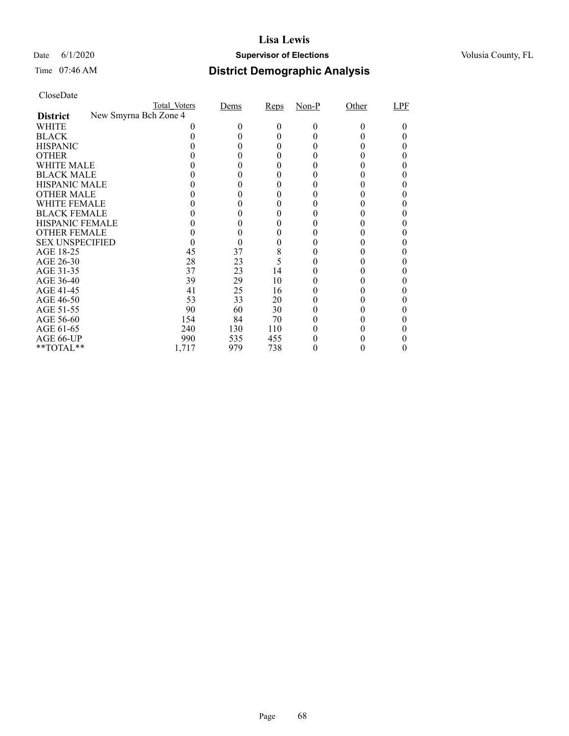### Date 6/1/2020 **Supervisor of Elections Supervisor of Elections** Volusia County, FL

| CloseDate |
|-----------|
|-----------|

|                        |                       | Total Voters | Dems | Reps     | $Non-P$ | Other | LPF |
|------------------------|-----------------------|--------------|------|----------|---------|-------|-----|
| <b>District</b>        | New Smyrna Bch Zone 4 |              |      |          |         |       |     |
| WHITE                  |                       |              |      | $^{(1)}$ | $_{0}$  |       |     |
| <b>BLACK</b>           |                       |              |      |          |         |       |     |
| <b>HISPANIC</b>        |                       |              |      |          |         |       |     |
| <b>OTHER</b>           |                       |              |      |          |         |       |     |
| WHITE MALE             |                       |              |      |          |         |       |     |
| <b>BLACK MALE</b>      |                       |              |      |          |         |       |     |
| <b>HISPANIC MALE</b>   |                       |              |      |          |         |       |     |
| <b>OTHER MALE</b>      |                       |              |      |          |         |       |     |
| <b>WHITE FEMALE</b>    |                       |              |      |          |         |       |     |
| <b>BLACK FEMALE</b>    |                       |              |      |          |         |       |     |
| <b>HISPANIC FEMALE</b> |                       |              |      |          |         |       |     |
| <b>OTHER FEMALE</b>    |                       |              |      |          |         |       |     |
| <b>SEX UNSPECIFIED</b> |                       |              |      |          |         |       |     |
| AGE 18-25              |                       | 45           | 37   | 8        |         |       |     |
| AGE 26-30              |                       | 28           | 23   | 5        |         |       |     |
| AGE 31-35              |                       | 37           | 23   | 14       |         |       |     |
| AGE 36-40              |                       | 39           | 29   | 10       |         |       |     |
| AGE 41-45              |                       | 41           | 25   | 16       |         |       |     |
| AGE 46-50              |                       | 53           | 33   | 20       |         |       |     |
| AGE 51-55              |                       | 90           | 60   | 30       |         |       |     |
| AGE 56-60              |                       | 154          | 84   | 70       |         |       |     |
| AGE 61-65              |                       | 240          | 130  | 110      |         |       |     |
| AGE 66-UP              |                       | 990          | 535  | 455      |         |       |     |
| **TOTAL**              |                       | 1,717        | 979  | 738      |         |       |     |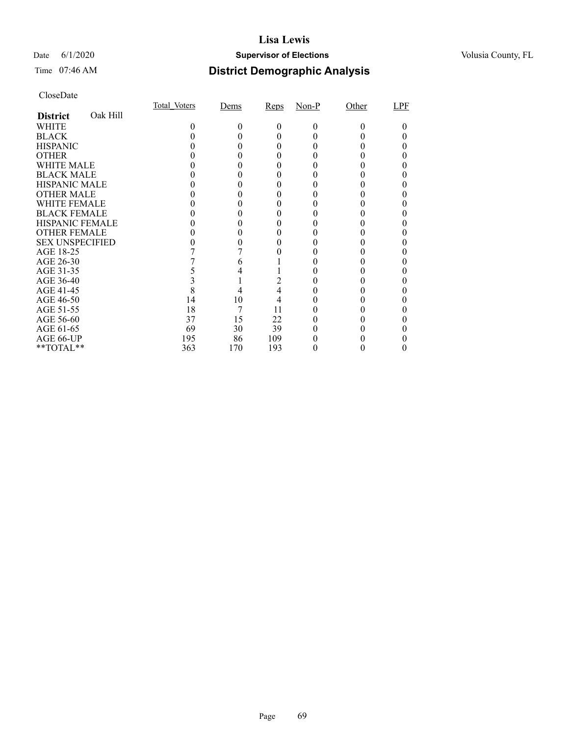### Date 6/1/2020 **Supervisor of Elections Supervisor of Elections** Volusia County, FL

## Time 07:46 AM **District Demographic Analysis**

|                        |          | Total Voters | Dems   | Reps     | $Non-P$  | Other    | LPF |
|------------------------|----------|--------------|--------|----------|----------|----------|-----|
| <b>District</b>        | Oak Hill |              |        |          |          |          |     |
| WHITE                  |          | 0            | $_{0}$ | $\Omega$ | $\Omega$ | $\Omega$ |     |
| <b>BLACK</b>           |          |              |        |          |          |          |     |
| <b>HISPANIC</b>        |          |              |        |          |          |          |     |
| <b>OTHER</b>           |          |              |        |          |          |          |     |
| WHITE MALE             |          |              |        |          |          |          |     |
| <b>BLACK MALE</b>      |          |              |        |          |          |          |     |
| <b>HISPANIC MALE</b>   |          |              |        |          |          |          |     |
| <b>OTHER MALE</b>      |          |              |        |          |          |          |     |
| WHITE FEMALE           |          |              |        |          |          |          |     |
| <b>BLACK FEMALE</b>    |          |              |        |          |          |          |     |
| <b>HISPANIC FEMALE</b> |          |              |        |          |          |          |     |
| <b>OTHER FEMALE</b>    |          |              |        |          |          |          |     |
| <b>SEX UNSPECIFIED</b> |          |              |        |          |          |          |     |
| AGE 18-25              |          |              |        |          |          |          |     |
| AGE 26-30              |          |              |        |          |          |          |     |
| AGE 31-35              |          |              |        |          |          |          |     |
| AGE 36-40              |          |              |        |          |          |          |     |
| AGE 41-45              |          |              |        | 4        |          |          |     |
| AGE 46-50              |          | 14           | 10     | 4        |          |          |     |
| AGE 51-55              |          | 18           | 7      | 11       |          |          |     |
| AGE 56-60              |          | 37           | 15     | 22       |          |          |     |
| AGE 61-65              |          | 69           | 30     | 39       |          |          |     |
| AGE 66-UP              |          | 195          | 86     | 109      |          |          |     |
| **TOTAL**              |          | 363          | 170    | 193      |          |          |     |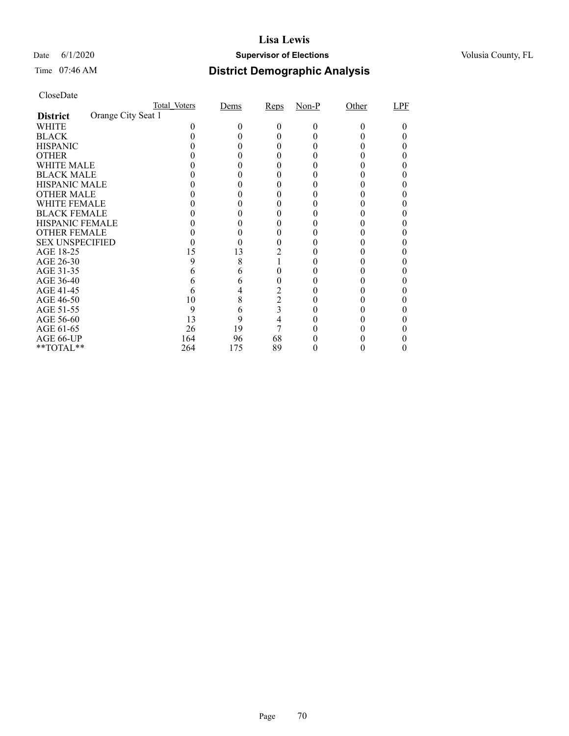### Date 6/1/2020 **Supervisor of Elections Supervisor of Elections** Volusia County, FL

## Time 07:46 AM **District Demographic Analysis**

|                        |                    | Total Voters | Dems | Reps           | $Non-P$ | Other | LPF |
|------------------------|--------------------|--------------|------|----------------|---------|-------|-----|
| <b>District</b>        | Orange City Seat 1 |              |      |                |         |       |     |
| WHITE                  |                    |              |      | 0              | 0       |       |     |
| <b>BLACK</b>           |                    |              |      |                |         |       |     |
| <b>HISPANIC</b>        |                    |              |      |                |         |       |     |
| <b>OTHER</b>           |                    |              |      |                |         |       |     |
| WHITE MALE             |                    |              |      |                |         |       |     |
| <b>BLACK MALE</b>      |                    |              |      |                |         |       |     |
| <b>HISPANIC MALE</b>   |                    |              |      |                |         |       |     |
| <b>OTHER MALE</b>      |                    |              |      |                |         |       |     |
| WHITE FEMALE           |                    |              |      |                |         |       |     |
| <b>BLACK FEMALE</b>    |                    |              |      |                |         |       |     |
| HISPANIC FEMALE        |                    |              |      |                |         |       |     |
| <b>OTHER FEMALE</b>    |                    |              |      |                |         |       |     |
| <b>SEX UNSPECIFIED</b> |                    |              |      |                |         |       |     |
| AGE 18-25              |                    | 15           | 13   |                |         |       |     |
| AGE 26-30              |                    | 9            | 8    |                |         |       |     |
| AGE 31-35              |                    |              |      |                |         |       |     |
| AGE 36-40              |                    |              | 6    | 0              |         |       |     |
| AGE 41-45              |                    |              |      | $\overline{c}$ |         |       |     |
| AGE 46-50              |                    | 10           | 8    | $\overline{c}$ |         |       |     |
| AGE 51-55              |                    | 9            | 6    | 3              |         |       |     |
| AGE 56-60              |                    | 13           | 9    | 4              |         |       |     |
| AGE 61-65              |                    | 26           | 19   | 7              |         |       |     |
| AGE 66-UP              |                    | 164          | 96   | 68             |         |       |     |
| **TOTAL**              |                    | 264          | 175  | 89             |         |       |     |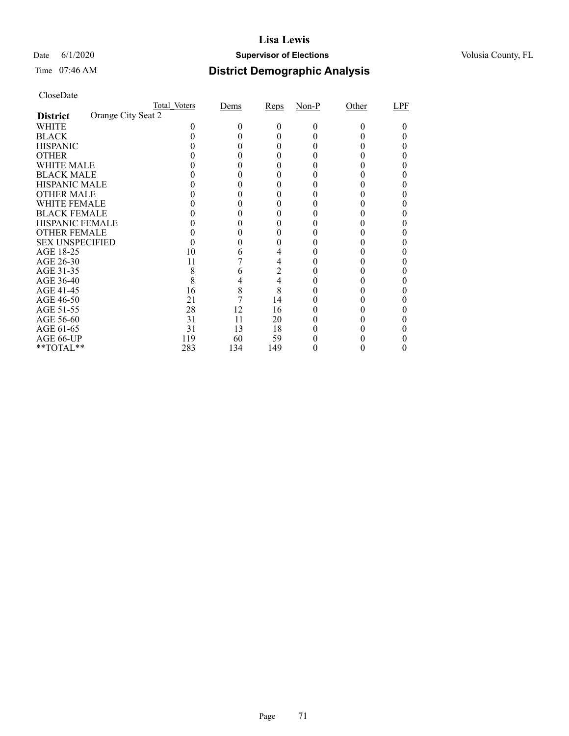### Date 6/1/2020 **Supervisor of Elections Supervisor of Elections** Volusia County, FL

# Time 07:46 AM **District Demographic Analysis**

|                        |                    | Total Voters | Dems | Reps           | $Non-P$ | Other | LPF |
|------------------------|--------------------|--------------|------|----------------|---------|-------|-----|
| <b>District</b>        | Orange City Seat 2 |              |      |                |         |       |     |
| WHITE                  |                    |              |      | 0              | 0       | 0     |     |
| <b>BLACK</b>           |                    |              |      |                |         |       |     |
| <b>HISPANIC</b>        |                    |              |      |                |         |       |     |
| <b>OTHER</b>           |                    |              |      |                |         |       |     |
| WHITE MALE             |                    |              |      |                |         |       |     |
| <b>BLACK MALE</b>      |                    |              |      |                |         |       |     |
| <b>HISPANIC MALE</b>   |                    |              |      |                |         |       |     |
| <b>OTHER MALE</b>      |                    |              |      |                |         |       |     |
| WHITE FEMALE           |                    |              |      |                |         |       |     |
| <b>BLACK FEMALE</b>    |                    |              |      |                |         |       |     |
| <b>HISPANIC FEMALE</b> |                    |              |      |                |         |       |     |
| <b>OTHER FEMALE</b>    |                    |              |      |                |         |       |     |
| <b>SEX UNSPECIFIED</b> |                    |              |      |                |         |       |     |
| AGE 18-25              |                    | 10           | O    |                |         |       |     |
| AGE 26-30              |                    | 11           |      | 4              |         |       |     |
| AGE 31-35              |                    | 8            | 6    | $\overline{2}$ |         |       |     |
| AGE 36-40              |                    | 8            | 4    | 4              |         |       |     |
| AGE 41-45              |                    | 16           | 8    | 8              |         |       |     |
| AGE 46-50              |                    | 21           |      | 14             |         |       |     |
| AGE 51-55              |                    | 28           | 12   | 16             |         |       |     |
| AGE 56-60              |                    | 31           | 11   | 20             |         |       |     |
| AGE 61-65              |                    | 31           | 13   | 18             |         |       |     |
| AGE 66-UP              |                    | 119          | 60   | 59             |         |       |     |
| **TOTAL**              |                    | 283          | 134  | 149            |         |       |     |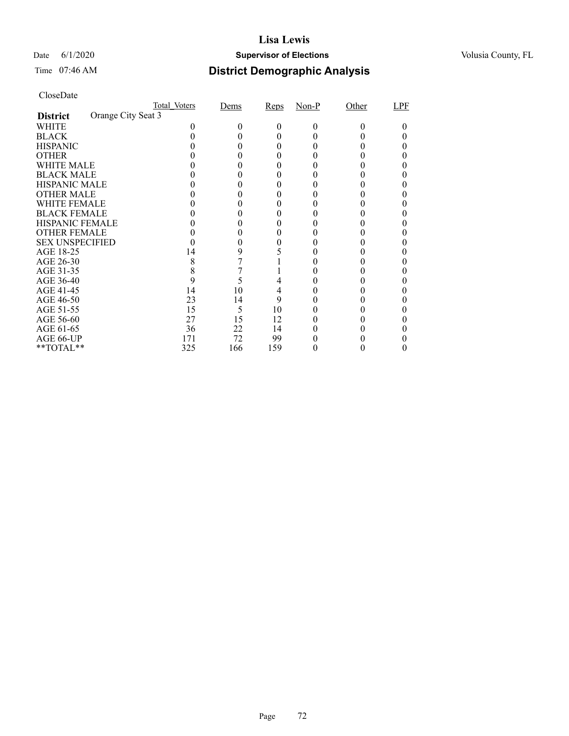### Date 6/1/2020 **Supervisor of Elections Supervisor of Elections** Volusia County, FL

## Time 07:46 AM **District Demographic Analysis**

|                        |                    | Total Voters | Dems | Reps | $Non-P$ | Other | LPF |
|------------------------|--------------------|--------------|------|------|---------|-------|-----|
| <b>District</b>        | Orange City Seat 3 |              |      |      |         |       |     |
| WHITE                  |                    |              |      | 0    | 0       |       |     |
| <b>BLACK</b>           |                    |              |      |      |         |       |     |
| <b>HISPANIC</b>        |                    |              |      |      |         |       |     |
| <b>OTHER</b>           |                    |              |      |      |         |       |     |
| WHITE MALE             |                    |              |      |      |         |       |     |
| <b>BLACK MALE</b>      |                    |              |      |      |         |       |     |
| <b>HISPANIC MALE</b>   |                    |              |      |      |         |       |     |
| <b>OTHER MALE</b>      |                    |              |      |      |         |       |     |
| WHITE FEMALE           |                    |              |      |      |         |       |     |
| <b>BLACK FEMALE</b>    |                    |              |      |      |         |       |     |
| <b>HISPANIC FEMALE</b> |                    |              |      |      |         |       |     |
| <b>OTHER FEMALE</b>    |                    |              |      |      |         |       |     |
| <b>SEX UNSPECIFIED</b> |                    |              |      |      |         |       |     |
| AGE 18-25              |                    | 14           | 9    |      |         |       |     |
| AGE 26-30              |                    | 8            |      |      |         |       |     |
| AGE 31-35              |                    |              |      |      |         |       |     |
| AGE 36-40              |                    | 9            | 5    |      |         |       |     |
| AGE 41-45              |                    | 14           | 10   | 4    |         |       |     |
| AGE 46-50              |                    | 23           | 14   | 9    |         |       |     |
| AGE 51-55              |                    | 15           | 5    | 10   |         |       |     |
| AGE 56-60              |                    | 27           | 15   | 12   |         |       |     |
| AGE 61-65              |                    | 36           | 22   | 14   |         |       |     |
| AGE 66-UP              |                    | 171          | 72   | 99   |         |       |     |
| **TOTAL**              |                    | 325          | 166  | 159  |         |       |     |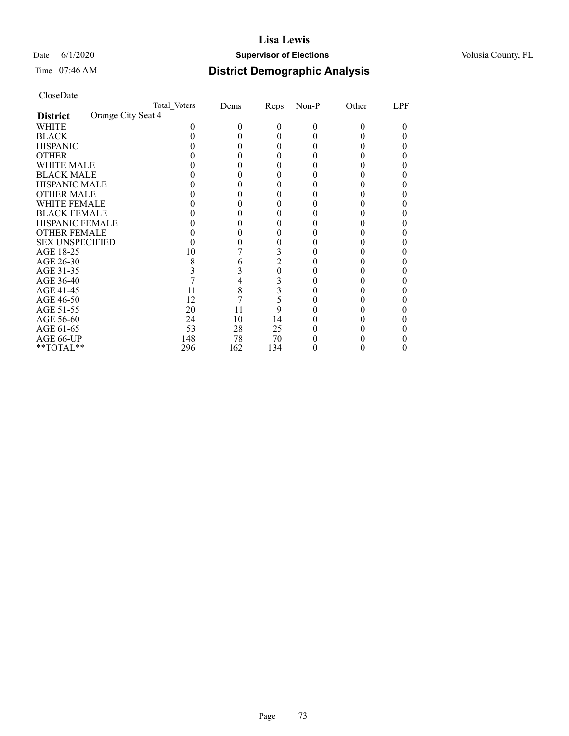## Date 6/1/2020 **Supervisor of Elections Supervisor of Elections** Volusia County, FL

# Time 07:46 AM **District Demographic Analysis**

|                        |                    | Total Voters | Dems | Reps           | $Non-P$ | Other | LPF |
|------------------------|--------------------|--------------|------|----------------|---------|-------|-----|
| <b>District</b>        | Orange City Seat 4 |              |      |                |         |       |     |
| WHITE                  |                    |              |      | 0              | 0       |       |     |
| <b>BLACK</b>           |                    |              |      |                |         |       |     |
| <b>HISPANIC</b>        |                    |              |      |                |         |       |     |
| <b>OTHER</b>           |                    |              |      |                |         |       |     |
| WHITE MALE             |                    |              |      |                |         |       |     |
| <b>BLACK MALE</b>      |                    |              |      |                |         |       |     |
| <b>HISPANIC MALE</b>   |                    |              |      |                |         |       |     |
| <b>OTHER MALE</b>      |                    |              |      |                |         |       |     |
| WHITE FEMALE           |                    |              |      |                |         |       |     |
| <b>BLACK FEMALE</b>    |                    |              |      |                |         |       |     |
| <b>HISPANIC FEMALE</b> |                    |              |      |                |         |       |     |
| <b>OTHER FEMALE</b>    |                    |              |      |                |         |       |     |
| <b>SEX UNSPECIFIED</b> |                    |              |      |                |         |       |     |
| AGE 18-25              |                    | 10           |      |                |         |       |     |
| AGE 26-30              |                    | 8            |      | $\overline{2}$ |         |       |     |
| AGE 31-35              |                    |              |      | 0              |         |       |     |
| AGE 36-40              |                    |              |      |                |         |       |     |
| AGE 41-45              |                    | 11           | 8    | 3              |         |       |     |
| AGE 46-50              |                    | 12           |      | 5              |         |       |     |
| AGE 51-55              |                    | 20           | 11   | 9              |         |       |     |
| AGE 56-60              |                    | 24           | 10   | 14             |         |       |     |
| AGE 61-65              |                    | 53           | 28   | 25             |         |       |     |
| AGE 66-UP              |                    | 148          | 78   | 70             |         |       |     |
| **TOTAL**              |                    | 296          | 162  | 134            |         |       |     |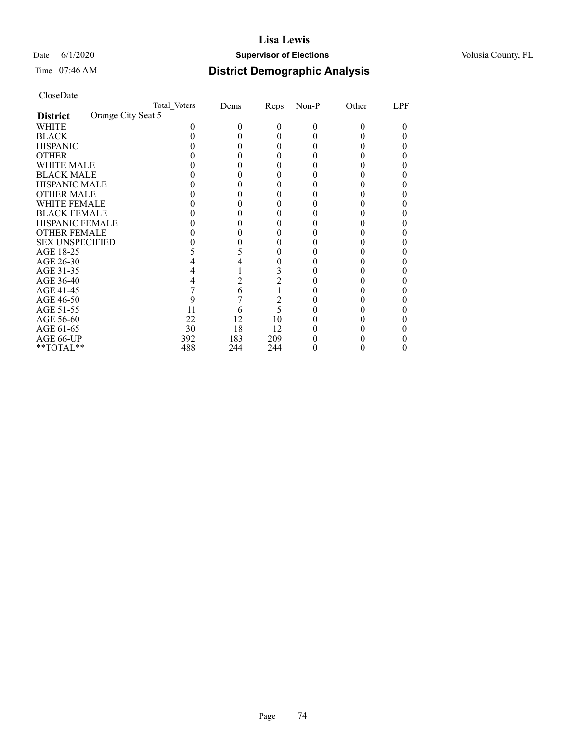## Date 6/1/2020 **Supervisor of Elections Supervisor of Elections** Volusia County, FL

# Time 07:46 AM **District Demographic Analysis**

|                        |                    | Total Voters | Dems | Reps           | $Non-P$ | Other | LPF |
|------------------------|--------------------|--------------|------|----------------|---------|-------|-----|
| <b>District</b>        | Orange City Seat 5 |              |      |                |         |       |     |
| WHITE                  |                    |              |      | 0              | 0       |       |     |
| <b>BLACK</b>           |                    |              |      |                |         |       |     |
| <b>HISPANIC</b>        |                    |              |      |                |         |       |     |
| <b>OTHER</b>           |                    |              |      |                |         |       |     |
| WHITE MALE             |                    |              |      |                |         |       |     |
| <b>BLACK MALE</b>      |                    |              |      |                |         |       |     |
| <b>HISPANIC MALE</b>   |                    |              |      |                |         |       |     |
| <b>OTHER MALE</b>      |                    |              |      |                |         |       |     |
| WHITE FEMALE           |                    |              |      |                |         |       |     |
| <b>BLACK FEMALE</b>    |                    |              |      |                |         |       |     |
| <b>HISPANIC FEMALE</b> |                    |              |      |                |         |       |     |
| <b>OTHER FEMALE</b>    |                    |              |      |                |         |       |     |
| <b>SEX UNSPECIFIED</b> |                    |              |      |                |         |       |     |
| AGE 18-25              |                    |              |      |                |         |       |     |
| AGE 26-30              |                    |              |      |                |         |       |     |
| AGE 31-35              |                    |              |      |                |         |       |     |
| AGE 36-40              |                    |              | 2    | $\overline{c}$ |         |       |     |
| AGE 41-45              |                    |              | 6    |                |         |       |     |
| AGE 46-50              |                    |              |      | $\overline{2}$ |         |       |     |
| AGE 51-55              |                    | 11           | h    | 5              |         |       |     |
| AGE 56-60              |                    | 22           | 12   | 10             |         |       |     |
| AGE 61-65              |                    | 30           | 18   | 12             |         |       |     |
| AGE 66-UP              |                    | 392          | 183  | 209            |         |       |     |
| **TOTAL**              |                    | 488          | 244  | 244            |         |       |     |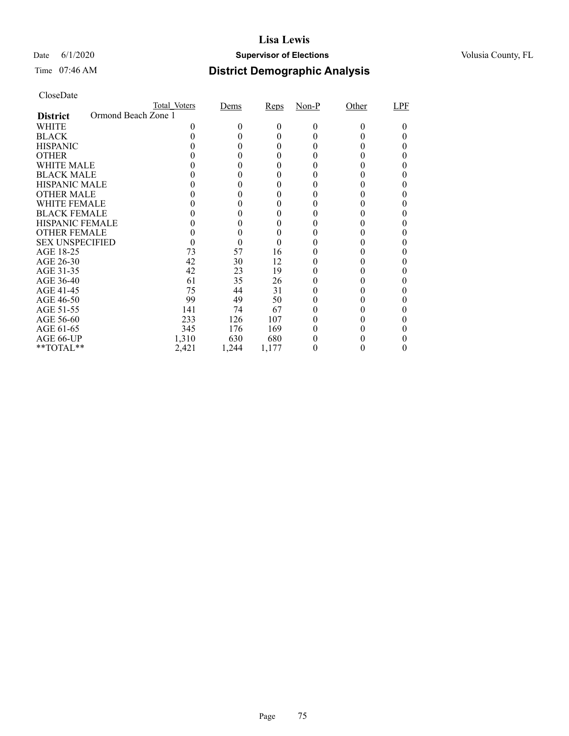## Date 6/1/2020 **Supervisor of Elections Supervisor of Elections** Volusia County, FL

# Time 07:46 AM **District Demographic Analysis**

|                        |                     | Total Voters | Dems   | Reps  | $Non-P$ | Other | LPF |
|------------------------|---------------------|--------------|--------|-------|---------|-------|-----|
| <b>District</b>        | Ormond Beach Zone 1 |              |        |       |         |       |     |
| WHITE                  |                     |              | $_{0}$ | 0     | 0       | 0     |     |
| <b>BLACK</b>           |                     |              |        | 0     |         |       |     |
| <b>HISPANIC</b>        |                     |              |        | 0     |         |       |     |
| <b>OTHER</b>           |                     |              |        | 0     |         |       |     |
| WHITE MALE             |                     |              |        | 0     |         |       |     |
| <b>BLACK MALE</b>      |                     |              |        |       |         |       |     |
| <b>HISPANIC MALE</b>   |                     |              |        |       |         |       |     |
| <b>OTHER MALE</b>      |                     |              |        |       |         |       |     |
| WHITE FEMALE           |                     |              |        |       |         |       |     |
| <b>BLACK FEMALE</b>    |                     |              |        |       |         |       |     |
| <b>HISPANIC FEMALE</b> |                     |              |        |       |         |       |     |
| <b>OTHER FEMALE</b>    |                     |              | 0      | 0     |         |       |     |
| <b>SEX UNSPECIFIED</b> |                     |              | 0      |       |         |       |     |
| AGE 18-25              |                     | 73           | 57     | 16    |         |       |     |
| AGE 26-30              |                     | 42           | 30     | 12    |         |       |     |
| AGE 31-35              |                     | 42           | 23     | 19    |         |       |     |
| AGE 36-40              |                     | 61           | 35     | 26    |         |       |     |
| AGE 41-45              |                     | 75           | 44     | 31    |         |       |     |
| AGE 46-50              |                     | 99           | 49     | 50    |         |       |     |
| AGE 51-55              |                     | 141          | 74     | 67    |         |       |     |
| AGE 56-60              |                     | 233          | 126    | 107   |         |       |     |
| AGE 61-65              |                     | 345          | 176    | 169   |         |       |     |
| AGE 66-UP              |                     | 1,310        | 630    | 680   |         |       |     |
| **TOTAL**              |                     | 2,421        | 1,244  | 1,177 |         |       |     |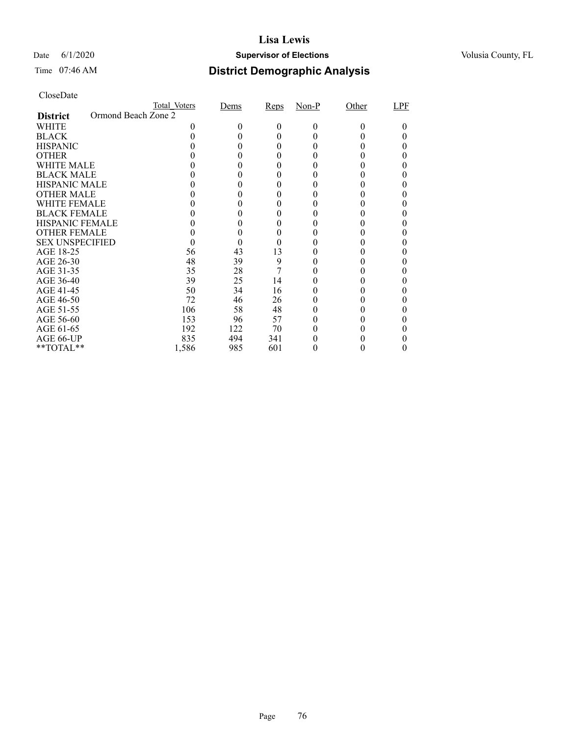## Date 6/1/2020 **Supervisor of Elections Supervisor of Elections** Volusia County, FL

## Time 07:46 AM **District Demographic Analysis**

|                        |                     | Total Voters | Dems   | Reps | $Non-P$ | Other | LPF |
|------------------------|---------------------|--------------|--------|------|---------|-------|-----|
| <b>District</b>        | Ormond Beach Zone 2 |              |        |      |         |       |     |
| WHITE                  |                     |              | $_{0}$ | 0    | 0       | 0     |     |
| <b>BLACK</b>           |                     |              |        | 0    |         |       |     |
| <b>HISPANIC</b>        |                     |              |        | 0    |         |       |     |
| <b>OTHER</b>           |                     |              |        |      |         |       |     |
| WHITE MALE             |                     |              |        | 0    |         |       |     |
| <b>BLACK MALE</b>      |                     |              |        |      |         |       |     |
| <b>HISPANIC MALE</b>   |                     |              |        |      |         |       |     |
| <b>OTHER MALE</b>      |                     |              |        |      |         |       |     |
| WHITE FEMALE           |                     |              |        |      |         |       |     |
| <b>BLACK FEMALE</b>    |                     |              |        |      |         |       |     |
| <b>HISPANIC FEMALE</b> |                     |              |        |      |         |       |     |
| <b>OTHER FEMALE</b>    |                     |              | 0      | 0    |         |       |     |
| <b>SEX UNSPECIFIED</b> |                     |              |        |      |         |       |     |
| AGE 18-25              |                     | 56           | 43     | 13   |         |       |     |
| AGE 26-30              |                     | 48           | 39     | 9    |         |       |     |
| AGE 31-35              |                     | 35           | 28     | 7    |         |       |     |
| AGE 36-40              |                     | 39           | 25     | 14   |         |       |     |
| AGE 41-45              |                     | 50           | 34     | 16   |         |       |     |
| AGE 46-50              |                     | 72           | 46     | 26   |         |       |     |
| AGE 51-55              |                     | 106          | 58     | 48   |         |       |     |
| AGE 56-60              |                     | 153          | 96     | 57   |         |       |     |
| AGE 61-65              |                     | 192          | 122    | 70   |         |       |     |
| AGE 66-UP              |                     | 835          | 494    | 341  |         |       |     |
| **TOTAL**              |                     | 1,586        | 985    | 601  |         |       |     |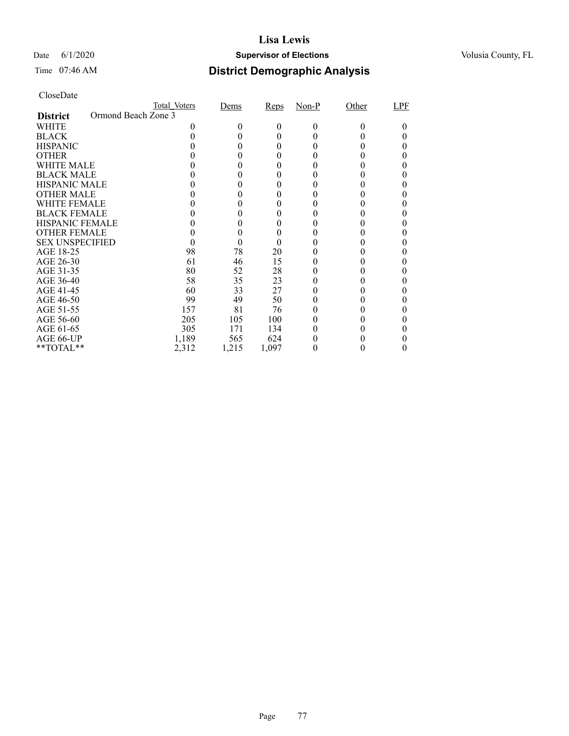## Date 6/1/2020 **Supervisor of Elections Supervisor of Elections** Volusia County, FL

# Time 07:46 AM **District Demographic Analysis**

|                        |                     | Total Voters | Dems   | Reps  | $Non-P$ | Other | LPF |
|------------------------|---------------------|--------------|--------|-------|---------|-------|-----|
| <b>District</b>        | Ormond Beach Zone 3 |              |        |       |         |       |     |
| WHITE                  |                     |              | $_{0}$ | 0     | 0       | 0     |     |
| <b>BLACK</b>           |                     |              |        | 0     |         |       |     |
| <b>HISPANIC</b>        |                     |              |        | 0     |         |       |     |
| <b>OTHER</b>           |                     |              |        | 0     |         |       |     |
| WHITE MALE             |                     |              |        | 0     |         |       |     |
| <b>BLACK MALE</b>      |                     |              |        |       |         |       |     |
| <b>HISPANIC MALE</b>   |                     |              |        |       |         |       |     |
| <b>OTHER MALE</b>      |                     |              |        |       |         |       |     |
| WHITE FEMALE           |                     |              |        |       |         |       |     |
| <b>BLACK FEMALE</b>    |                     |              |        | 0     |         |       |     |
| <b>HISPANIC FEMALE</b> |                     |              |        |       |         |       |     |
| <b>OTHER FEMALE</b>    |                     |              | 0      | 0     |         |       |     |
| <b>SEX UNSPECIFIED</b> |                     |              |        |       |         |       |     |
| AGE 18-25              |                     | 98           | 78     | 20    |         |       |     |
| AGE 26-30              |                     | 61           | 46     | 15    |         |       |     |
| AGE 31-35              |                     | 80           | 52     | 28    |         |       |     |
| AGE 36-40              |                     | 58           | 35     | 23    |         |       |     |
| AGE 41-45              |                     | 60           | 33     | 27    |         |       |     |
| AGE 46-50              |                     | 99           | 49     | 50    |         |       |     |
| AGE 51-55              |                     | 157          | 81     | 76    |         |       |     |
| AGE 56-60              |                     | 205          | 105    | 100   |         |       |     |
| AGE 61-65              |                     | 305          | 171    | 134   |         |       |     |
| AGE 66-UP              |                     | 1,189        | 565    | 624   |         |       |     |
| **TOTAL**              |                     | 2,312        | 1,215  | 1,097 |         |       |     |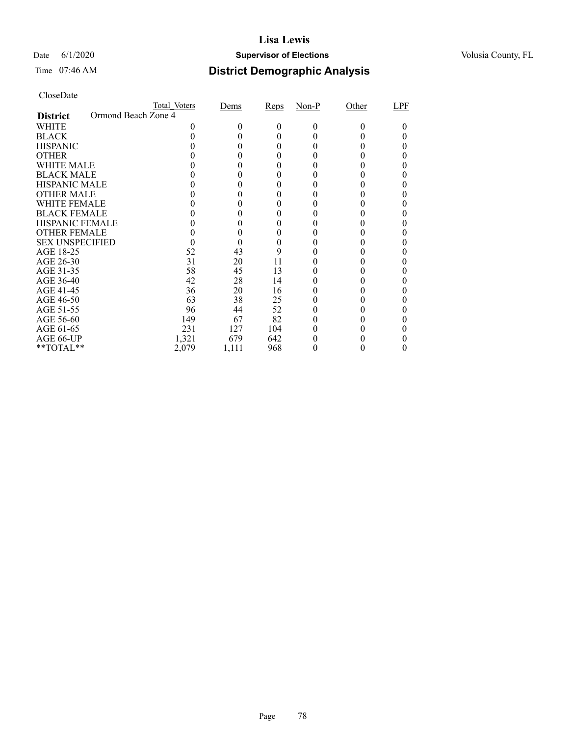## Date 6/1/2020 **Supervisor of Elections Supervisor of Elections** Volusia County, FL

## Time 07:46 AM **District Demographic Analysis**

|                        |                     | Total Voters | Dems   | Reps | $Non-P$ | Other | LPF |
|------------------------|---------------------|--------------|--------|------|---------|-------|-----|
| <b>District</b>        | Ormond Beach Zone 4 |              |        |      |         |       |     |
| WHITE                  |                     |              | $_{0}$ | 0    | 0       | 0     |     |
| <b>BLACK</b>           |                     |              |        | 0    |         |       |     |
| <b>HISPANIC</b>        |                     |              |        | 0    |         |       |     |
| <b>OTHER</b>           |                     |              |        | 0    |         |       |     |
| WHITE MALE             |                     |              |        | 0    |         |       |     |
| <b>BLACK MALE</b>      |                     |              |        |      |         |       |     |
| <b>HISPANIC MALE</b>   |                     |              |        |      |         |       |     |
| <b>OTHER MALE</b>      |                     |              |        |      |         |       |     |
| WHITE FEMALE           |                     |              |        |      |         |       |     |
| <b>BLACK FEMALE</b>    |                     |              |        | 0    |         |       |     |
| <b>HISPANIC FEMALE</b> |                     |              |        |      |         |       |     |
| <b>OTHER FEMALE</b>    |                     |              | 0      | 0    |         |       |     |
| <b>SEX UNSPECIFIED</b> |                     |              |        |      |         |       |     |
| AGE 18-25              |                     | 52           | 43     | 9    |         |       |     |
| AGE 26-30              |                     | 31           | 20     | 11   |         |       |     |
| AGE 31-35              |                     | 58           | 45     | 13   |         |       |     |
| AGE 36-40              |                     | 42           | 28     | 14   |         |       |     |
| AGE 41-45              |                     | 36           | 20     | 16   |         |       |     |
| AGE 46-50              |                     | 63           | 38     | 25   |         |       |     |
| AGE 51-55              |                     | 96           | 44     | 52   |         |       |     |
| AGE 56-60              |                     | 149          | 67     | 82   |         |       |     |
| AGE 61-65              |                     | 231          | 127    | 104  |         |       |     |
| AGE 66-UP              |                     | 1,321        | 679    | 642  |         |       |     |
| **TOTAL**              |                     | 2,079        | 1,111  | 968  |         |       |     |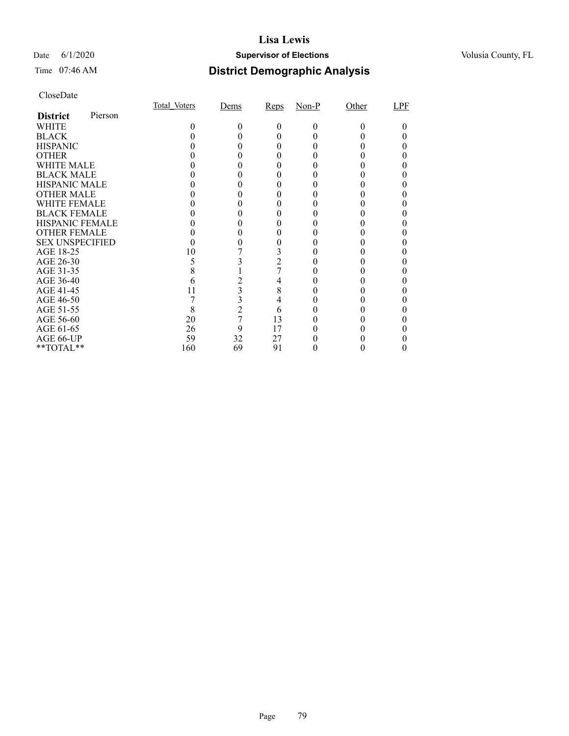## Date 6/1/2020 **Supervisor of Elections Supervisor of Elections** Volusia County, FL

## Time 07:46 AM **District Demographic Analysis**

|                        |         | Total Voters | Dems           | Reps           | $Non-P$ | Other | LPF |
|------------------------|---------|--------------|----------------|----------------|---------|-------|-----|
| <b>District</b>        | Pierson |              |                |                |         |       |     |
| WHITE                  |         | 0            | 0              | $_{0}$         | $_{0}$  | 0     |     |
| <b>BLACK</b>           |         |              |                |                |         |       |     |
| <b>HISPANIC</b>        |         |              |                |                |         |       |     |
| <b>OTHER</b>           |         |              |                |                |         |       |     |
| <b>WHITE MALE</b>      |         |              |                |                |         |       |     |
| <b>BLACK MALE</b>      |         |              |                |                |         |       |     |
| <b>HISPANIC MALE</b>   |         |              |                |                |         |       |     |
| <b>OTHER MALE</b>      |         |              |                |                |         |       |     |
| <b>WHITE FEMALE</b>    |         |              |                |                |         |       |     |
| <b>BLACK FEMALE</b>    |         |              |                |                |         |       |     |
| <b>HISPANIC FEMALE</b> |         |              |                |                |         |       |     |
| <b>OTHER FEMALE</b>    |         |              |                |                |         |       |     |
| <b>SEX UNSPECIFIED</b> |         |              |                |                |         |       |     |
| AGE 18-25              |         | 10           |                |                |         |       |     |
| AGE 26-30              |         |              |                | $\overline{2}$ |         |       |     |
| AGE 31-35              |         |              |                |                |         |       |     |
| AGE 36-40              |         |              |                | 4              |         |       |     |
| AGE 41-45              |         |              | 3              | 8              |         |       |     |
| AGE 46-50              |         |              | 3              | 4              |         |       |     |
| AGE 51-55              |         | 8            | $\overline{c}$ | 6              |         |       |     |
| AGE 56-60              |         | 20           | 7              | 13             |         |       |     |
| AGE 61-65              |         | 26           | 9              | 17             |         |       |     |
| AGE 66-UP              |         | 59           | 32             | 27             |         |       |     |
| **TOTAL**              |         | 160          | 69             | 91             |         |       |     |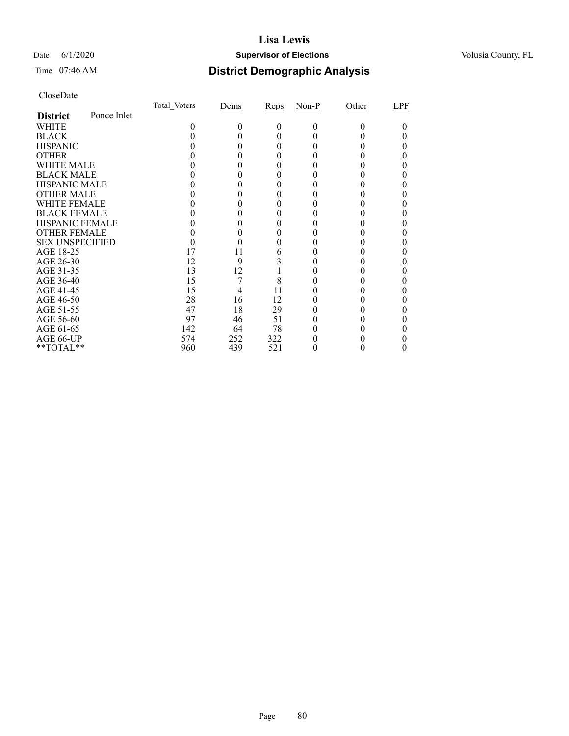## Date 6/1/2020 **Supervisor of Elections Supervisor of Elections** Volusia County, FL

## Time 07:46 AM **District Demographic Analysis**

|                        |             | Total Voters | Dems | Reps | $Non-P$  | Other | LPF |
|------------------------|-------------|--------------|------|------|----------|-------|-----|
| <b>District</b>        | Ponce Inlet |              |      |      |          |       |     |
| WHITE                  |             | 0            | 0    | 0    | $\Omega$ | 0     |     |
| <b>BLACK</b>           |             |              |      |      |          |       |     |
| <b>HISPANIC</b>        |             |              |      |      |          |       |     |
| <b>OTHER</b>           |             |              |      |      |          |       |     |
| WHITE MALE             |             |              |      |      |          |       |     |
| <b>BLACK MALE</b>      |             |              |      |      |          |       |     |
| <b>HISPANIC MALE</b>   |             |              |      |      |          |       |     |
| <b>OTHER MALE</b>      |             |              |      |      |          |       |     |
| <b>WHITE FEMALE</b>    |             |              |      |      |          |       |     |
| <b>BLACK FEMALE</b>    |             |              |      |      |          |       |     |
| <b>HISPANIC FEMALE</b> |             |              |      |      |          |       |     |
| <b>OTHER FEMALE</b>    |             |              |      |      |          |       |     |
| <b>SEX UNSPECIFIED</b> |             |              |      |      |          |       |     |
| AGE 18-25              |             | 17           | 11   | 6    |          |       |     |
| AGE 26-30              |             | 12           | 9    |      |          |       |     |
| AGE 31-35              |             | 13           | 12   |      |          |       |     |
| AGE 36-40              |             | 15           |      | 8    |          |       |     |
| AGE 41-45              |             | 15           |      | 11   |          |       |     |
| AGE 46-50              |             | 28           | 16   | 12   |          |       |     |
| AGE 51-55              |             | 47           | 18   | 29   |          |       |     |
| AGE 56-60              |             | 97           | 46   | 51   |          |       |     |
| AGE 61-65              |             | 142          | 64   | 78   |          |       |     |
| AGE 66-UP              |             | 574          | 252  | 322  |          |       |     |
| **TOTAL**              |             | 960          | 439  | 521  |          |       |     |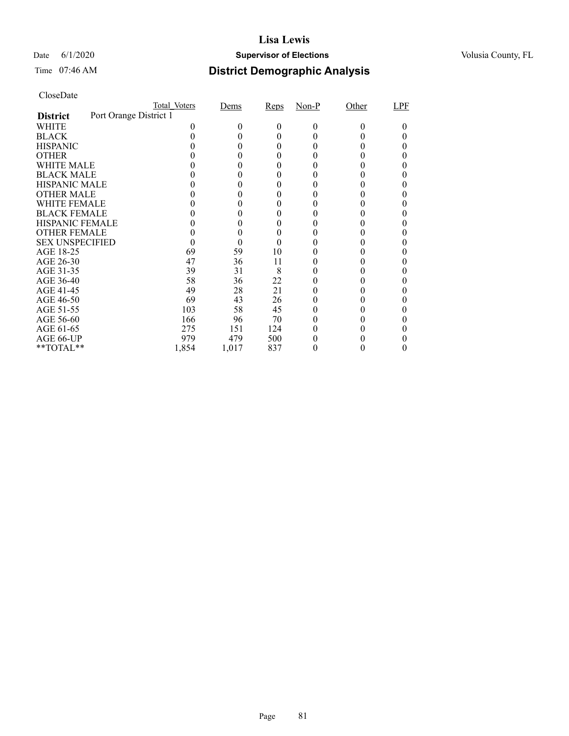## Date 6/1/2020 **Supervisor of Elections Supervisor of Elections** Volusia County, FL

# Time 07:46 AM **District Demographic Analysis**

|                        |                        | Total Voters | Dems  | Reps | $Non-P$ | Other | LPF |
|------------------------|------------------------|--------------|-------|------|---------|-------|-----|
| <b>District</b>        | Port Orange District 1 |              |       |      |         |       |     |
| WHITE                  |                        |              | 0     | 0    | 0       | 0     |     |
| <b>BLACK</b>           |                        |              |       | 0    |         |       |     |
| <b>HISPANIC</b>        |                        |              |       | 0    |         |       |     |
| <b>OTHER</b>           |                        |              |       |      |         |       |     |
| WHITE MALE             |                        |              |       | 0    |         |       |     |
| <b>BLACK MALE</b>      |                        |              |       |      |         |       |     |
| <b>HISPANIC MALE</b>   |                        |              |       |      |         |       |     |
| <b>OTHER MALE</b>      |                        |              |       |      |         |       |     |
| WHITE FEMALE           |                        |              |       |      |         |       |     |
| <b>BLACK FEMALE</b>    |                        |              |       |      |         |       |     |
| <b>HISPANIC FEMALE</b> |                        |              |       |      |         |       |     |
| <b>OTHER FEMALE</b>    |                        |              | 0     | 0    |         |       |     |
| <b>SEX UNSPECIFIED</b> |                        |              |       |      |         |       |     |
| AGE 18-25              |                        | 69           | 59    | 10   |         |       |     |
| AGE 26-30              |                        | 47           | 36    | 11   |         |       |     |
| AGE 31-35              |                        | 39           | 31    | 8    |         |       |     |
| AGE 36-40              |                        | 58           | 36    | 22   |         |       |     |
| AGE 41-45              |                        | 49           | 28    | 21   |         |       |     |
| AGE 46-50              |                        | 69           | 43    | 26   |         |       |     |
| AGE 51-55              |                        | 103          | 58    | 45   |         |       |     |
| AGE 56-60              |                        | 166          | 96    | 70   |         |       |     |
| AGE 61-65              |                        | 275          | 151   | 124  |         |       |     |
| AGE 66-UP              |                        | 979          | 479   | 500  |         |       |     |
| **TOTAL**              |                        | 1,854        | 1,017 | 837  |         |       |     |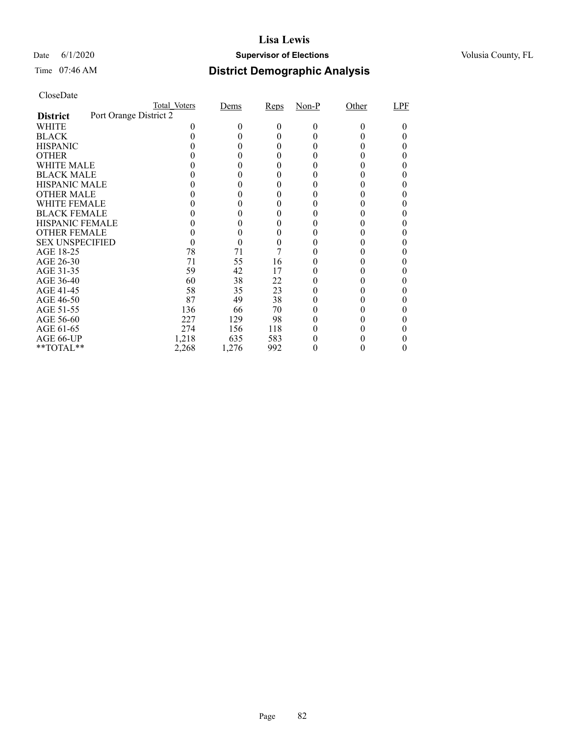## Date 6/1/2020 **Supervisor of Elections Supervisor of Elections** Volusia County, FL

## Time 07:46 AM **District Demographic Analysis**

| CloseDate |
|-----------|
|-----------|

|                        |                        | Total Voters | Dems   | Reps | $Non-P$ | Other | LPF |
|------------------------|------------------------|--------------|--------|------|---------|-------|-----|
| <b>District</b>        | Port Orange District 2 |              |        |      |         |       |     |
| WHITE                  |                        |              | $_{0}$ | 0    | 0       | 0     |     |
| <b>BLACK</b>           |                        |              |        |      |         |       |     |
| <b>HISPANIC</b>        |                        |              |        |      |         |       |     |
| <b>OTHER</b>           |                        |              |        |      |         |       |     |
| WHITE MALE             |                        |              |        |      |         |       |     |
| <b>BLACK MALE</b>      |                        |              |        |      |         |       |     |
| <b>HISPANIC MALE</b>   |                        |              |        |      |         |       |     |
| <b>OTHER MALE</b>      |                        |              |        |      |         |       |     |
| <b>WHITE FEMALE</b>    |                        |              |        |      |         |       |     |
| <b>BLACK FEMALE</b>    |                        |              |        |      |         |       |     |
| <b>HISPANIC FEMALE</b> |                        |              |        |      |         |       |     |
| <b>OTHER FEMALE</b>    |                        |              |        |      |         |       |     |
| <b>SEX UNSPECIFIED</b> |                        |              |        |      |         |       |     |
| AGE 18-25              |                        | 78           | 71     |      |         |       |     |
| AGE 26-30              |                        | 71           | 55     | 16   |         |       |     |
| AGE 31-35              |                        | 59           | 42     | 17   |         |       |     |
| AGE 36-40              |                        | 60           | 38     | 22   |         |       |     |
| AGE 41-45              |                        | 58           | 35     | 23   |         |       |     |
| AGE 46-50              |                        | 87           | 49     | 38   |         |       |     |
| AGE 51-55              |                        | 136          | 66     | 70   |         |       |     |
| AGE 56-60              |                        | 227          | 129    | 98   |         |       |     |
| AGE 61-65              |                        | 274          | 156    | 118  |         |       |     |
| AGE 66-UP              |                        | 1,218        | 635    | 583  |         |       |     |
| **TOTAL**              |                        | 2,268        | 1,276  | 992  | 0       |       |     |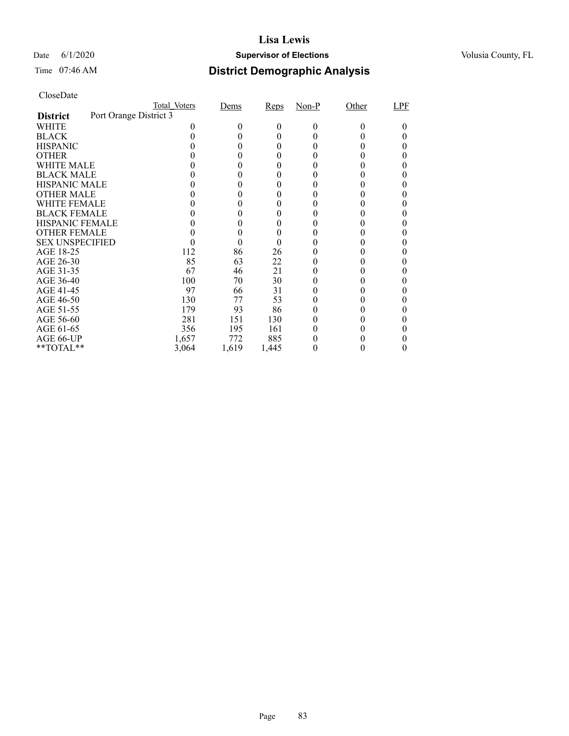## Date 6/1/2020 **Supervisor of Elections Supervisor of Elections** Volusia County, FL

# Time 07:46 AM **District Demographic Analysis**

|                        |                        | Total Voters | Dems   | Reps  | $Non-P$ | Other | LPF |
|------------------------|------------------------|--------------|--------|-------|---------|-------|-----|
| <b>District</b>        | Port Orange District 3 |              |        |       |         |       |     |
| WHITE                  |                        |              | $_{0}$ | 0     | 0       | 0     |     |
| <b>BLACK</b>           |                        |              |        | 0     |         |       |     |
| <b>HISPANIC</b>        |                        |              |        | 0     |         |       |     |
| <b>OTHER</b>           |                        |              |        |       |         |       |     |
| WHITE MALE             |                        |              |        | 0     |         |       |     |
| <b>BLACK MALE</b>      |                        |              |        |       |         |       |     |
| <b>HISPANIC MALE</b>   |                        |              |        |       |         |       |     |
| <b>OTHER MALE</b>      |                        |              |        |       |         |       |     |
| WHITE FEMALE           |                        |              |        |       |         |       |     |
| <b>BLACK FEMALE</b>    |                        |              |        |       |         |       |     |
| <b>HISPANIC FEMALE</b> |                        |              |        |       |         |       |     |
| <b>OTHER FEMALE</b>    |                        |              | 0      | 0     |         |       |     |
| <b>SEX UNSPECIFIED</b> |                        |              |        |       |         |       |     |
| AGE 18-25              |                        | 112          | 86     | 26    |         |       |     |
| AGE 26-30              |                        | 85           | 63     | 22    |         |       |     |
| AGE 31-35              |                        | 67           | 46     | 21    |         |       |     |
| AGE 36-40              |                        | 100          | 70     | 30    |         |       |     |
| AGE 41-45              |                        | 97           | 66     | 31    |         |       |     |
| AGE 46-50              |                        | 130          | 77     | 53    |         |       |     |
| AGE 51-55              |                        | 179          | 93     | 86    |         |       |     |
| AGE 56-60              |                        | 281          | 151    | 130   |         |       |     |
| AGE 61-65              |                        | 356          | 195    | 161   |         |       |     |
| AGE 66-UP              |                        | 1,657        | 772    | 885   |         |       |     |
| **TOTAL**              |                        | 3,064        | 1,619  | 1,445 |         |       |     |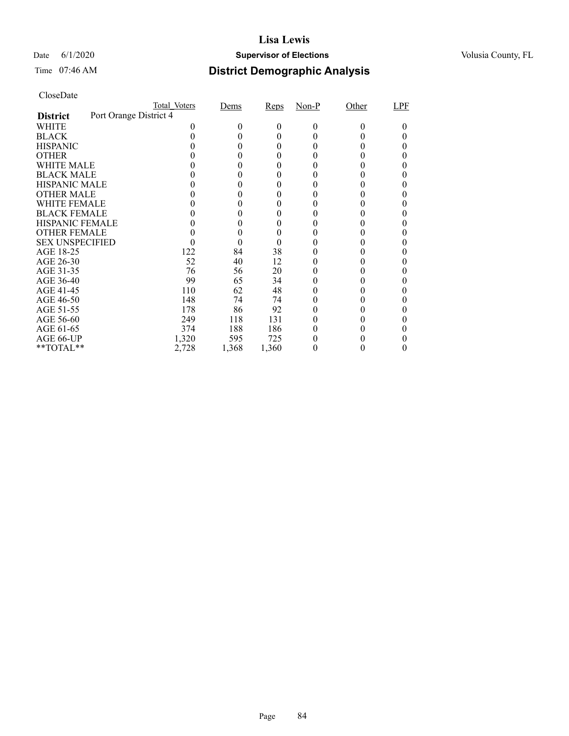## Date 6/1/2020 **Supervisor of Elections Supervisor of Elections** Volusia County, FL

# Time 07:46 AM **District Demographic Analysis**

|                        |                        | Total Voters | Dems   | Reps  | $Non-P$ | Other | LPF |
|------------------------|------------------------|--------------|--------|-------|---------|-------|-----|
| <b>District</b>        | Port Orange District 4 |              |        |       |         |       |     |
| WHITE                  |                        |              | $_{0}$ | 0     | 0       | 0     |     |
| <b>BLACK</b>           |                        |              |        | 0     |         |       |     |
| <b>HISPANIC</b>        |                        |              |        | 0     |         |       |     |
| <b>OTHER</b>           |                        |              |        | 0     |         |       |     |
| WHITE MALE             |                        |              |        | 0     |         |       |     |
| <b>BLACK MALE</b>      |                        |              |        |       |         |       |     |
| <b>HISPANIC MALE</b>   |                        |              |        |       |         |       |     |
| <b>OTHER MALE</b>      |                        |              |        |       |         |       |     |
| WHITE FEMALE           |                        |              |        |       |         |       |     |
| <b>BLACK FEMALE</b>    |                        |              |        |       |         |       |     |
| <b>HISPANIC FEMALE</b> |                        |              |        |       |         |       |     |
| <b>OTHER FEMALE</b>    |                        |              | 0      | 0     |         |       |     |
| <b>SEX UNSPECIFIED</b> |                        |              |        |       |         |       |     |
| AGE 18-25              |                        | 122          | 84     | 38    |         |       |     |
| AGE 26-30              |                        | 52           | 40     | 12    |         |       |     |
| AGE 31-35              |                        | 76           | 56     | 20    |         |       |     |
| AGE 36-40              |                        | 99           | 65     | 34    |         |       |     |
| AGE 41-45              |                        | 110          | 62     | 48    |         |       |     |
| AGE 46-50              |                        | 148          | 74     | 74    |         |       |     |
| AGE 51-55              |                        | 178          | 86     | 92    |         |       |     |
| AGE 56-60              |                        | 249          | 118    | 131   |         |       |     |
| AGE 61-65              |                        | 374          | 188    | 186   |         |       |     |
| AGE 66-UP              |                        | 1,320        | 595    | 725   |         |       |     |
| **TOTAL**              |                        | 2,728        | 1,368  | 1,360 |         |       |     |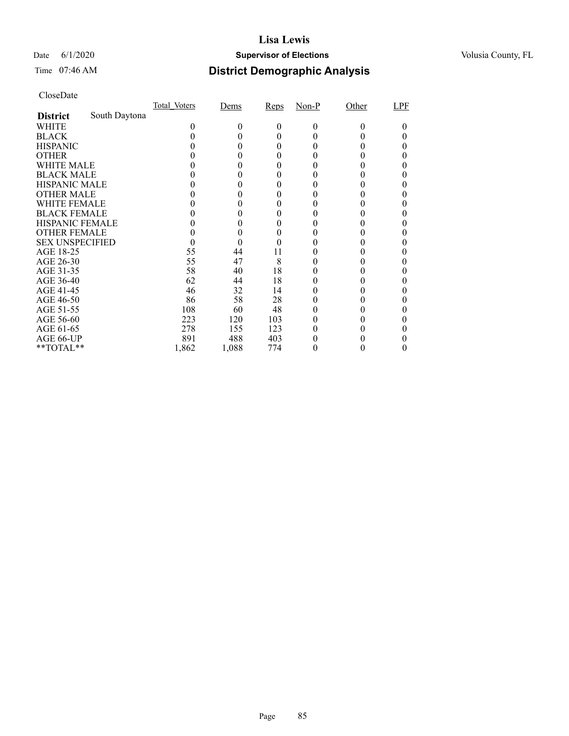## Date 6/1/2020 **Supervisor of Elections Supervisor of Elections** Volusia County, FL

# Time 07:46 AM **District Demographic Analysis**

|                        |               | Total Voters | Dems  | Reps   | $Non-P$ | Other    | LPF |
|------------------------|---------------|--------------|-------|--------|---------|----------|-----|
| <b>District</b>        | South Daytona |              |       |        |         |          |     |
| WHITE                  |               | 0            | 0     | 0      | 0       | $\theta$ |     |
| <b>BLACK</b>           |               |              |       | 0      |         |          |     |
| <b>HISPANIC</b>        |               |              | 0     | $_{0}$ |         |          |     |
| <b>OTHER</b>           |               |              |       | 0      |         |          |     |
| WHITE MALE             |               |              | 0     | $_{0}$ |         |          |     |
| <b>BLACK MALE</b>      |               |              |       |        |         |          |     |
| <b>HISPANIC MALE</b>   |               |              |       |        |         |          |     |
| <b>OTHER MALE</b>      |               |              |       | 0      |         |          |     |
| WHITE FEMALE           |               |              |       | 0      |         |          |     |
| <b>BLACK FEMALE</b>    |               |              |       | 0      |         |          |     |
| <b>HISPANIC FEMALE</b> |               |              |       |        |         |          |     |
| <b>OTHER FEMALE</b>    |               |              | 0     | 0      |         |          |     |
| <b>SEX UNSPECIFIED</b> |               |              |       |        |         |          |     |
| AGE 18-25              |               | 55           | 44    | 11     |         |          |     |
| AGE 26-30              |               | 55           | 47    | 8      |         |          |     |
| AGE 31-35              |               | 58           | 40    | 18     |         |          |     |
| AGE 36-40              |               | 62           | 44    | 18     |         |          |     |
| AGE 41-45              |               | 46           | 32    | 14     |         |          |     |
| AGE 46-50              |               | 86           | 58    | 28     |         |          |     |
| AGE 51-55              |               | 108          | 60    | 48     |         |          |     |
| AGE 56-60              |               | 223          | 120   | 103    |         |          |     |
| AGE 61-65              |               | 278          | 155   | 123    |         |          |     |
| AGE 66-UP              |               | 891          | 488   | 403    |         |          |     |
| **TOTAL**              |               | 1,862        | 1,088 | 774    | 0       | 0        | 0   |